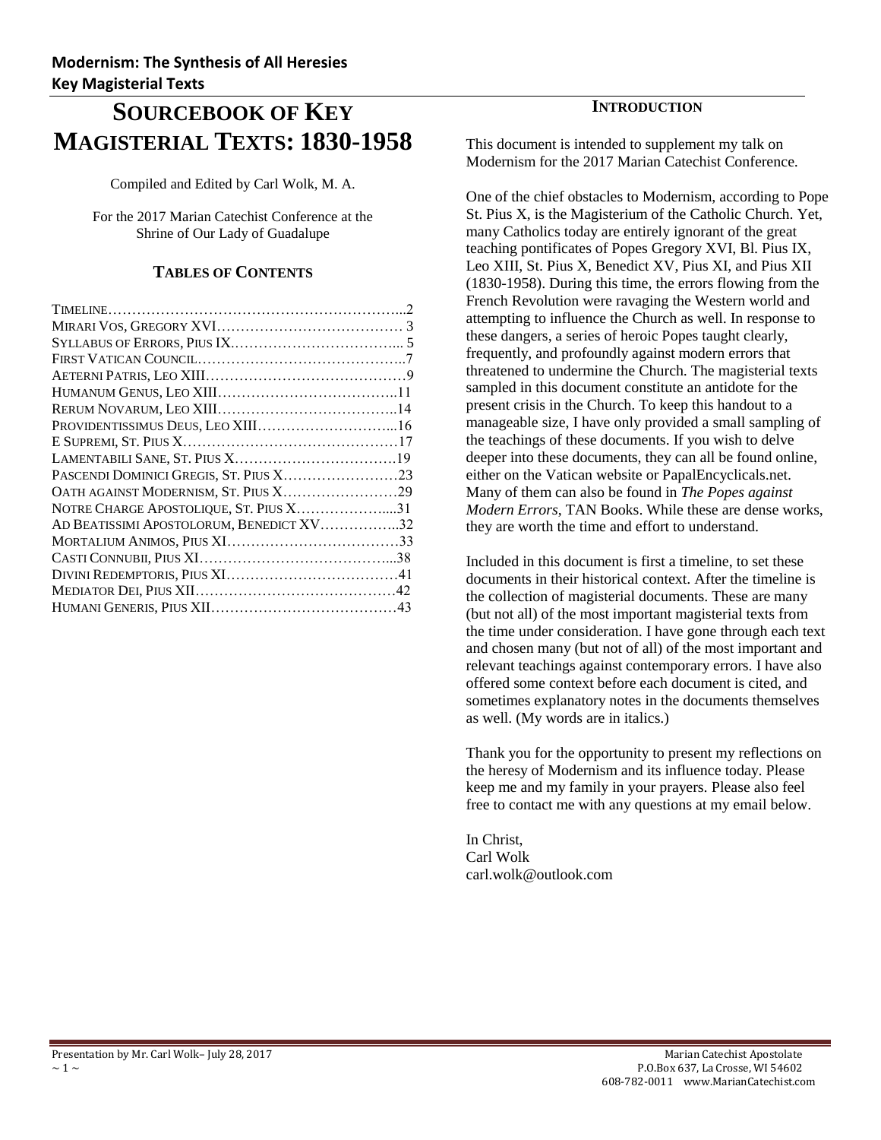# **SOURCEBOOK OF KEY MAGISTERIAL TEXTS: 1830-1958**

Compiled and Edited by Carl Wolk, M. A.

For the 2017 Marian Catechist Conference at the Shrine of Our Lady of Guadalupe

### **TABLES OF CONTENTS**

| PASCENDI DOMINICI GREGIS, ST. PIUS X23   |  |
|------------------------------------------|--|
| OATH AGAINST MODERNISM, ST. PIUS X29     |  |
| NOTRE CHARGE APOSTOLIQUE, ST. PIUS X31   |  |
| AD BEATISSIMI APOSTOLORUM, BENEDICT XV32 |  |
|                                          |  |
|                                          |  |
|                                          |  |
|                                          |  |
|                                          |  |
|                                          |  |

### **INTRODUCTION**

This document is intended to supplement my talk on Modernism for the 2017 Marian Catechist Conference.

One of the chief obstacles to Modernism, according to Pope St. Pius X, is the Magisterium of the Catholic Church. Yet, many Catholics today are entirely ignorant of the great teaching pontificates of Popes Gregory XVI, Bl. Pius IX, Leo XIII, St. Pius X, Benedict XV, Pius XI, and Pius XII (1830-1958). During this time, the errors flowing from the French Revolution were ravaging the Western world and attempting to influence the Church as well. In response to these dangers, a series of heroic Popes taught clearly, frequently, and profoundly against modern errors that threatened to undermine the Church. The magisterial texts sampled in this document constitute an antidote for the present crisis in the Church. To keep this handout to a manageable size, I have only provided a small sampling of the teachings of these documents. If you wish to delve deeper into these documents, they can all be found online, either on the Vatican website or PapalEncyclicals.net. Many of them can also be found in *The Popes against Modern Errors*, TAN Books. While these are dense works, they are worth the time and effort to understand.

Included in this document is first a timeline, to set these documents in their historical context. After the timeline is the collection of magisterial documents. These are many (but not all) of the most important magisterial texts from the time under consideration. I have gone through each text and chosen many (but not of all) of the most important and relevant teachings against contemporary errors. I have also offered some context before each document is cited, and sometimes explanatory notes in the documents themselves as well. (My words are in italics.)

Thank you for the opportunity to present my reflections on the heresy of Modernism and its influence today. Please keep me and my family in your prayers. Please also feel free to contact me with any questions at my email below.

In Christ, Carl Wolk carl.wolk@outlook.com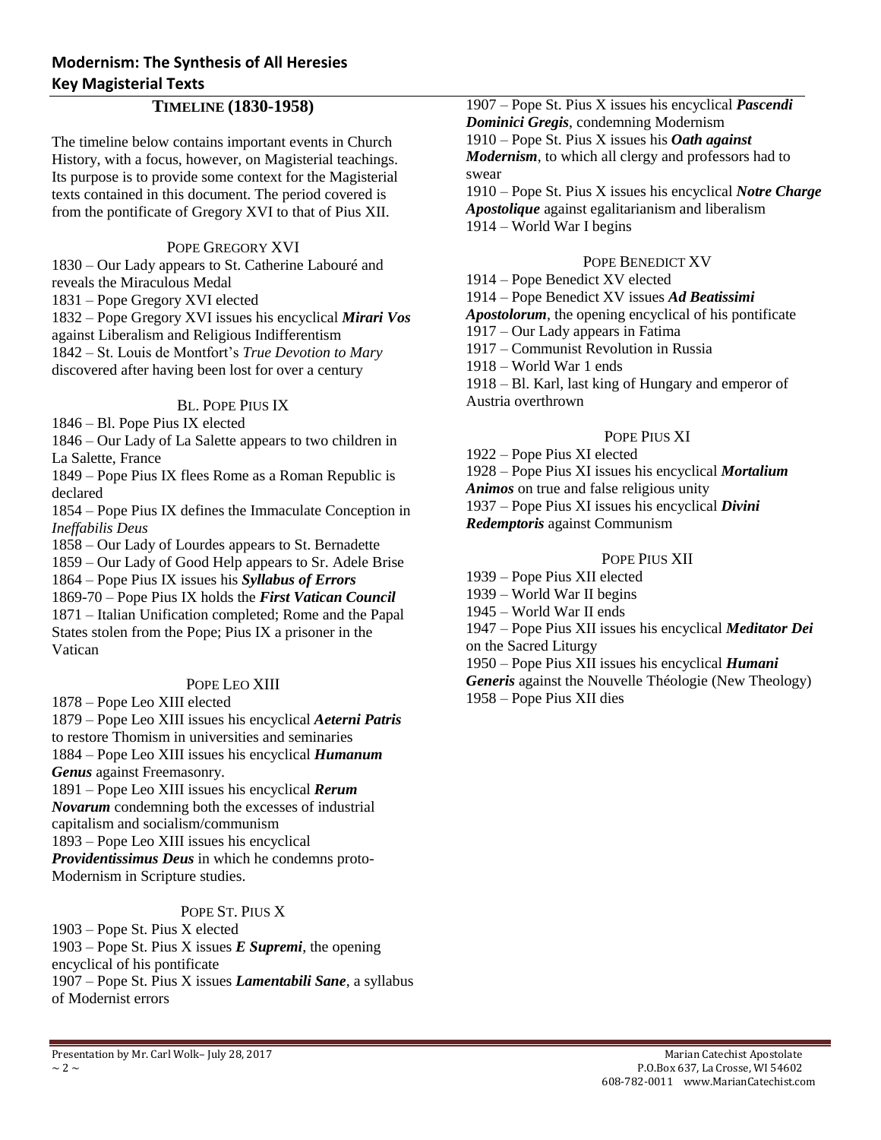### **TIMELINE (1830-1958)**

The timeline below contains important events in Church History, with a focus, however, on Magisterial teachings. Its purpose is to provide some context for the Magisterial texts contained in this document. The period covered is from the pontificate of Gregory XVI to that of Pius XII.

#### POPE GREGORY XVI

1830 – Our Lady appears to St. Catherine Labouré and

reveals the Miraculous Medal

1831 – Pope Gregory XVI elected

1832 – Pope Gregory XVI issues his encyclical *Mirari Vos*

against Liberalism and Religious Indifferentism

1842 – St. Louis de Montfort's *True Devotion to Mary* discovered after having been lost for over a century

#### BL. POPE PIUS IX

1846 – Bl. Pope Pius IX elected

1846 – Our Lady of La Salette appears to two children in La Salette, France

1849 – Pope Pius IX flees Rome as a Roman Republic is declared

1854 – Pope Pius IX defines the Immaculate Conception in *Ineffabilis Deus*

1858 – Our Lady of Lourdes appears to St. Bernadette

1859 – Our Lady of Good Help appears to Sr. Adele Brise 1864 – Pope Pius IX issues his *Syllabus of Errors*

1869-70 – Pope Pius IX holds the *First Vatican Council* 1871 – Italian Unification completed; Rome and the Papal States stolen from the Pope; Pius IX a prisoner in the Vatican

#### POPE LEO XIII

1878 – Pope Leo XIII elected

1879 – Pope Leo XIII issues his encyclical *Aeterni Patris* to restore Thomism in universities and seminaries 1884 – Pope Leo XIII issues his encyclical *Humanum Genus* against Freemasonry. 1891 – Pope Leo XIII issues his encyclical *Rerum Novarum* condemning both the excesses of industrial capitalism and socialism/communism 1893 – Pope Leo XIII issues his encyclical *Providentissimus Deus* in which he condemns proto-Modernism in Scripture studies.

#### POPE ST. PIUS X

1903 – Pope St. Pius X elected 1903 – Pope St. Pius X issues *E Supremi*, the opening encyclical of his pontificate 1907 – Pope St. Pius X issues *Lamentabili Sane*, a syllabus of Modernist errors

1907 – Pope St. Pius X issues his encyclical *Pascendi Dominici Gregis*, condemning Modernism 1910 – Pope St. Pius X issues his *Oath against Modernism*, to which all clergy and professors had to swear

1910 – Pope St. Pius X issues his encyclical *Notre Charge Apostolique* against egalitarianism and liberalism 1914 – World War I begins

### POPE BENEDICT XV

1914 – Pope Benedict XV elected 1914 – Pope Benedict XV issues *Ad Beatissimi Apostolorum*, the opening encyclical of his pontificate 1917 – Our Lady appears in Fatima 1917 – Communist Revolution in Russia 1918 – World War 1 ends 1918 – Bl. Karl, last king of Hungary and emperor of Austria overthrown

#### POPE PIUS XI

1922 – Pope Pius XI elected 1928 – Pope Pius XI issues his encyclical *Mortalium Animos* on true and false religious unity 1937 – Pope Pius XI issues his encyclical *Divini Redemptoris* against Communism

#### POPE PIUS XII

1939 – Pope Pius XII elected 1939 – World War II begins 1945 – World War II ends 1947 – Pope Pius XII issues his encyclical *Meditator Dei* on the Sacred Liturgy 1950 – Pope Pius XII issues his encyclical *Humani Generis* against the Nouvelle Théologie (New Theology) 1958 – Pope Pius XII dies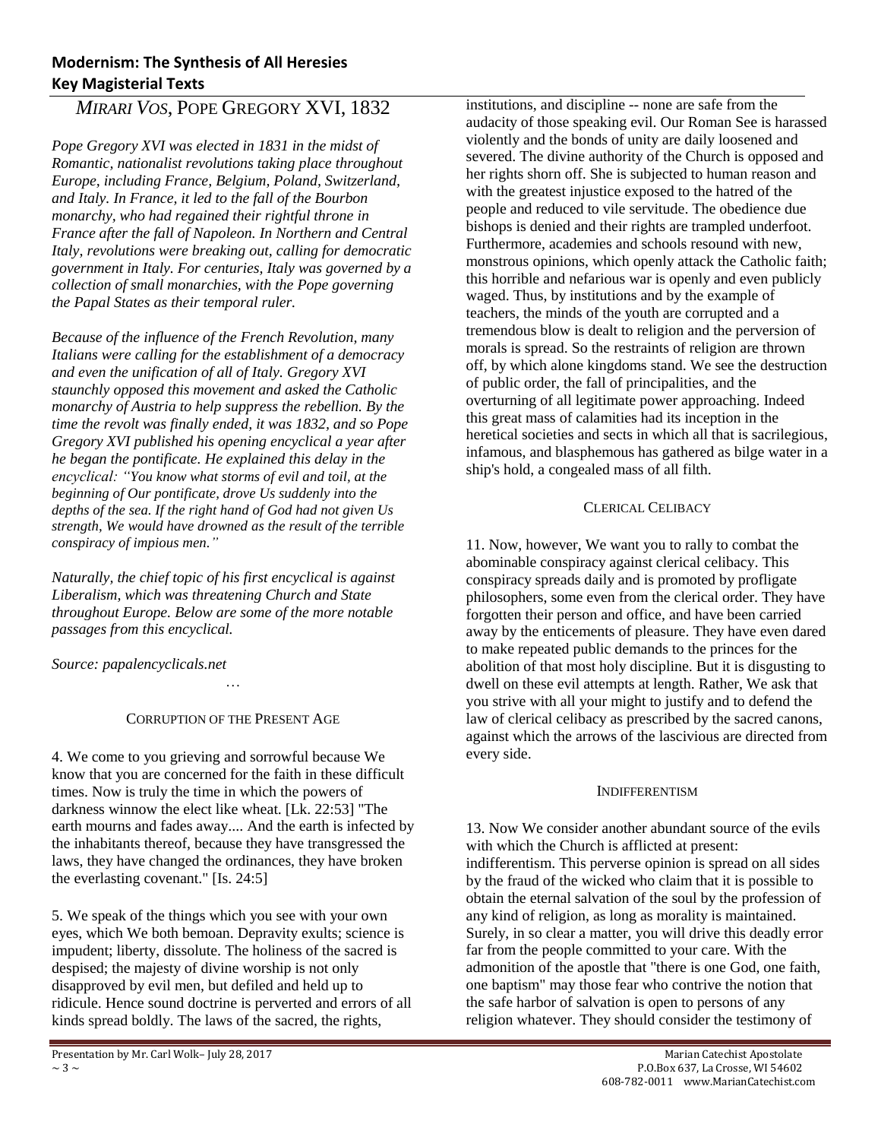### *MIRARI VOS*, POPE GREGORY XVI, 1832

*Pope Gregory XVI was elected in 1831 in the midst of Romantic, nationalist revolutions taking place throughout Europe, including France, Belgium, Poland, Switzerland, and Italy. In France, it led to the fall of the Bourbon monarchy, who had regained their rightful throne in France after the fall of Napoleon. In Northern and Central Italy, revolutions were breaking out, calling for democratic government in Italy. For centuries, Italy was governed by a collection of small monarchies, with the Pope governing the Papal States as their temporal ruler.* 

*Because of the influence of the French Revolution, many Italians were calling for the establishment of a democracy and even the unification of all of Italy. Gregory XVI staunchly opposed this movement and asked the Catholic monarchy of Austria to help suppress the rebellion. By the time the revolt was finally ended, it was 1832, and so Pope Gregory XVI published his opening encyclical a year after he began the pontificate. He explained this delay in the encyclical: "You know what storms of evil and toil, at the beginning of Our pontificate, drove Us suddenly into the depths of the sea. If the right hand of God had not given Us strength, We would have drowned as the result of the terrible conspiracy of impious men."*

*Naturally, the chief topic of his first encyclical is against Liberalism, which was threatening Church and State throughout Europe. Below are some of the more notable passages from this encyclical.*

*Source: papalencyclicals.net*

#### CORRUPTION OF THE PRESENT AGE

…

4. We come to you grieving and sorrowful because We know that you are concerned for the faith in these difficult times. Now is truly the time in which the powers of darkness winnow the elect like wheat. [Lk. 22:53] "The earth mourns and fades away.... And the earth is infected by the inhabitants thereof, because they have transgressed the laws, they have changed the ordinances, they have broken the everlasting covenant." [Is. 24:5]

5. We speak of the things which you see with your own eyes, which We both bemoan. Depravity exults; science is impudent; liberty, dissolute. The holiness of the sacred is despised; the majesty of divine worship is not only disapproved by evil men, but defiled and held up to ridicule. Hence sound doctrine is perverted and errors of all kinds spread boldly. The laws of the sacred, the rights,

institutions, and discipline -- none are safe from the audacity of those speaking evil. Our Roman See is harassed violently and the bonds of unity are daily loosened and severed. The divine authority of the Church is opposed and her rights shorn off. She is subjected to human reason and with the greatest injustice exposed to the hatred of the people and reduced to vile servitude. The obedience due bishops is denied and their rights are trampled underfoot. Furthermore, academies and schools resound with new, monstrous opinions, which openly attack the Catholic faith; this horrible and nefarious war is openly and even publicly waged. Thus, by institutions and by the example of teachers, the minds of the youth are corrupted and a tremendous blow is dealt to religion and the perversion of morals is spread. So the restraints of religion are thrown off, by which alone kingdoms stand. We see the destruction of public order, the fall of principalities, and the overturning of all legitimate power approaching. Indeed this great mass of calamities had its inception in the heretical societies and sects in which all that is sacrilegious, infamous, and blasphemous has gathered as bilge water in a ship's hold, a congealed mass of all filth.

#### CLERICAL CELIBACY

11. Now, however, We want you to rally to combat the abominable conspiracy against clerical celibacy. This conspiracy spreads daily and is promoted by profligate philosophers, some even from the clerical order. They have forgotten their person and office, and have been carried away by the enticements of pleasure. They have even dared to make repeated public demands to the princes for the abolition of that most holy discipline. But it is disgusting to dwell on these evil attempts at length. Rather, We ask that you strive with all your might to justify and to defend the law of clerical celibacy as prescribed by the sacred canons, against which the arrows of the lascivious are directed from every side.

#### INDIFFERENTISM

13. Now We consider another abundant source of the evils with which the Church is afflicted at present: indifferentism. This perverse opinion is spread on all sides by the fraud of the wicked who claim that it is possible to obtain the eternal salvation of the soul by the profession of any kind of religion, as long as morality is maintained. Surely, in so clear a matter, you will drive this deadly error far from the people committed to your care. With the admonition of the apostle that "there is one God, one faith, one baptism" may those fear who contrive the notion that the safe harbor of salvation is open to persons of any religion whatever. They should consider the testimony of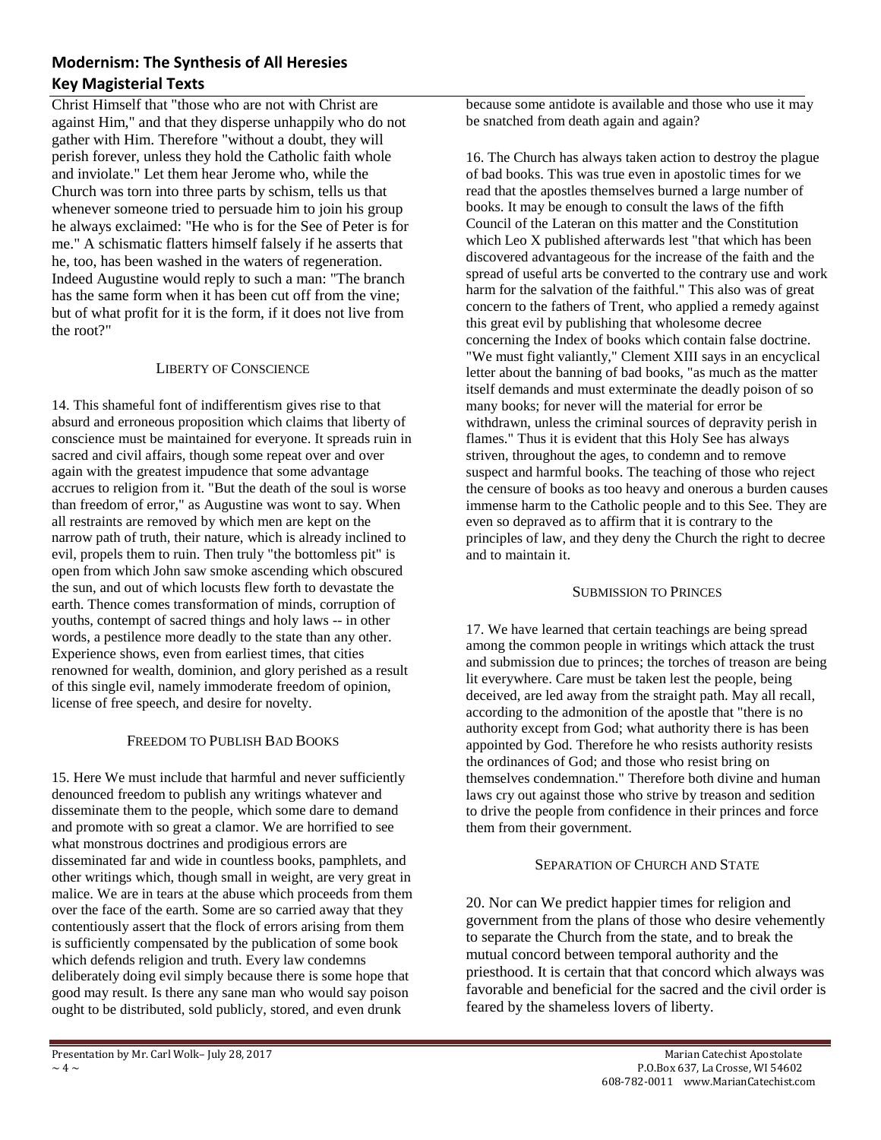Christ Himself that "those who are not with Christ are against Him," and that they disperse unhappily who do not gather with Him. Therefore "without a doubt, they will perish forever, unless they hold the Catholic faith whole and inviolate." Let them hear Jerome who, while the Church was torn into three parts by schism, tells us that whenever someone tried to persuade him to join his group he always exclaimed: "He who is for the See of Peter is for me." A schismatic flatters himself falsely if he asserts that he, too, has been washed in the waters of regeneration. Indeed Augustine would reply to such a man: "The branch has the same form when it has been cut off from the vine; but of what profit for it is the form, if it does not live from the root?"

#### LIBERTY OF CONSCIENCE

14. This shameful font of indifferentism gives rise to that absurd and erroneous proposition which claims that liberty of conscience must be maintained for everyone. It spreads ruin in sacred and civil affairs, though some repeat over and over again with the greatest impudence that some advantage accrues to religion from it. "But the death of the soul is worse than freedom of error," as Augustine was wont to say. When all restraints are removed by which men are kept on the narrow path of truth, their nature, which is already inclined to evil, propels them to ruin. Then truly "the bottomless pit" is open from which John saw smoke ascending which obscured the sun, and out of which locusts flew forth to devastate the earth. Thence comes transformation of minds, corruption of youths, contempt of sacred things and holy laws -- in other words, a pestilence more deadly to the state than any other. Experience shows, even from earliest times, that cities renowned for wealth, dominion, and glory perished as a result of this single evil, namely immoderate freedom of opinion, license of free speech, and desire for novelty.

#### FREEDOM TO PUBLISH BAD BOOKS

15. Here We must include that harmful and never sufficiently denounced freedom to publish any writings whatever and disseminate them to the people, which some dare to demand and promote with so great a clamor. We are horrified to see what monstrous doctrines and prodigious errors are disseminated far and wide in countless books, pamphlets, and other writings which, though small in weight, are very great in malice. We are in tears at the abuse which proceeds from them over the face of the earth. Some are so carried away that they contentiously assert that the flock of errors arising from them is sufficiently compensated by the publication of some book which defends religion and truth. Every law condemns deliberately doing evil simply because there is some hope that good may result. Is there any sane man who would say poison ought to be distributed, sold publicly, stored, and even drunk

because some antidote is available and those who use it may be snatched from death again and again?

16. The Church has always taken action to destroy the plague of bad books. This was true even in apostolic times for we read that the apostles themselves burned a large number of books. It may be enough to consult the laws of the fifth Council of the Lateran on this matter and the Constitution which Leo X published afterwards lest "that which has been discovered advantageous for the increase of the faith and the spread of useful arts be converted to the contrary use and work harm for the salvation of the faithful." This also was of great concern to the fathers of Trent, who applied a remedy against this great evil by publishing that wholesome decree concerning the Index of books which contain false doctrine. "We must fight valiantly," Clement XIII says in an encyclical letter about the banning of bad books, "as much as the matter itself demands and must exterminate the deadly poison of so many books; for never will the material for error be withdrawn, unless the criminal sources of depravity perish in flames." Thus it is evident that this Holy See has always striven, throughout the ages, to condemn and to remove suspect and harmful books. The teaching of those who reject the censure of books as too heavy and onerous a burden causes immense harm to the Catholic people and to this See. They are even so depraved as to affirm that it is contrary to the principles of law, and they deny the Church the right to decree and to maintain it.

#### SUBMISSION TO PRINCES

17. We have learned that certain teachings are being spread among the common people in writings which attack the trust and submission due to princes; the torches of treason are being lit everywhere. Care must be taken lest the people, being deceived, are led away from the straight path. May all recall, according to the admonition of the apostle that "there is no authority except from God; what authority there is has been appointed by God. Therefore he who resists authority resists the ordinances of God; and those who resist bring on themselves condemnation." Therefore both divine and human laws cry out against those who strive by treason and sedition to drive the people from confidence in their princes and force them from their government.

#### SEPARATION OF CHURCH AND STATE

20. Nor can We predict happier times for religion and government from the plans of those who desire vehemently to separate the Church from the state, and to break the mutual concord between temporal authority and the priesthood. It is certain that that concord which always was favorable and beneficial for the sacred and the civil order is feared by the shameless lovers of liberty.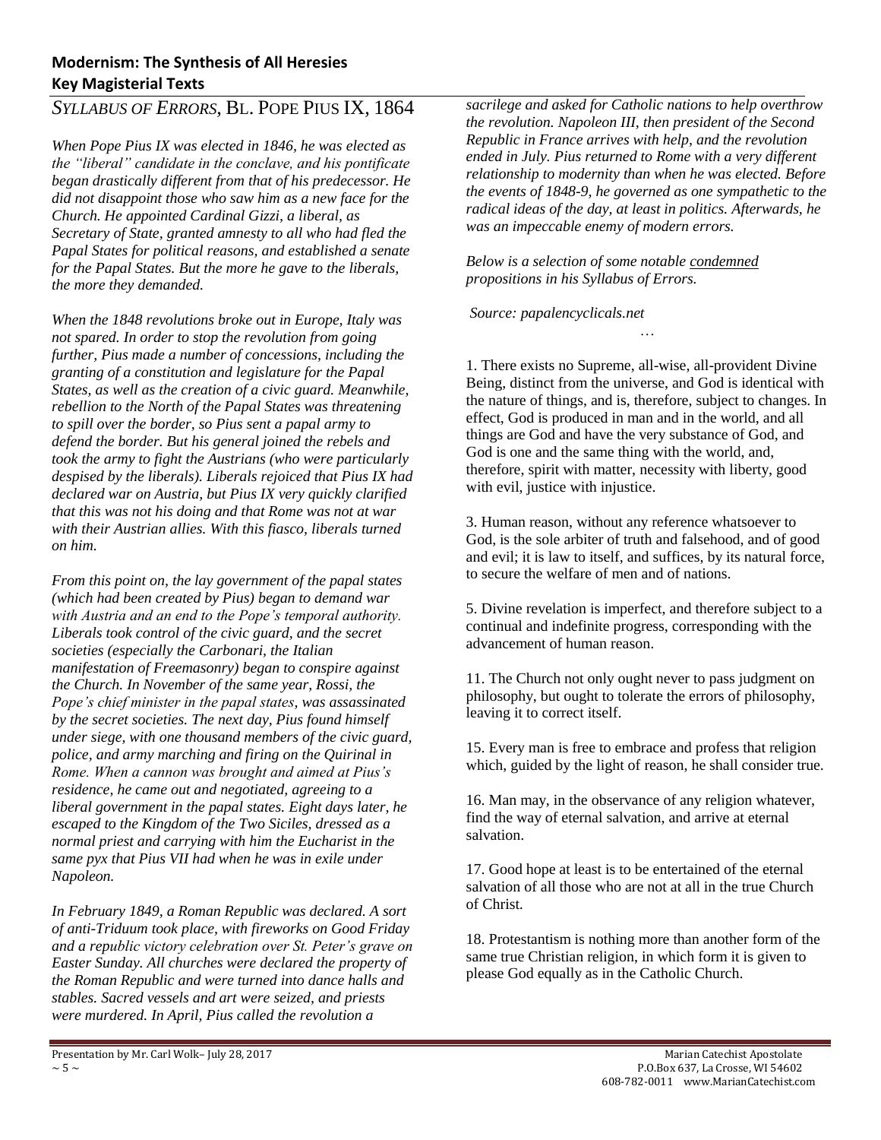### *SYLLABUS OF ERRORS*, BL. POPE PIUS IX, 1864

*When Pope Pius IX was elected in 1846, he was elected as the "liberal" candidate in the conclave, and his pontificate began drastically different from that of his predecessor. He did not disappoint those who saw him as a new face for the Church. He appointed Cardinal Gizzi, a liberal, as Secretary of State, granted amnesty to all who had fled the Papal States for political reasons, and established a senate for the Papal States. But the more he gave to the liberals, the more they demanded.* 

*When the 1848 revolutions broke out in Europe, Italy was not spared. In order to stop the revolution from going further, Pius made a number of concessions, including the granting of a constitution and legislature for the Papal States, as well as the creation of a civic guard. Meanwhile, rebellion to the North of the Papal States was threatening to spill over the border, so Pius sent a papal army to defend the border. But his general joined the rebels and took the army to fight the Austrians (who were particularly despised by the liberals). Liberals rejoiced that Pius IX had declared war on Austria, but Pius IX very quickly clarified that this was not his doing and that Rome was not at war with their Austrian allies. With this fiasco, liberals turned on him.*

*From this point on, the lay government of the papal states (which had been created by Pius) began to demand war with Austria and an end to the Pope's temporal authority. Liberals took control of the civic guard, and the secret societies (especially the Carbonari, the Italian manifestation of Freemasonry) began to conspire against the Church. In November of the same year, Rossi, the Pope's chief minister in the papal states, was assassinated by the secret societies. The next day, Pius found himself under siege, with one thousand members of the civic guard, police, and army marching and firing on the Quirinal in Rome. When a cannon was brought and aimed at Pius's residence, he came out and negotiated, agreeing to a liberal government in the papal states. Eight days later, he escaped to the Kingdom of the Two Siciles, dressed as a normal priest and carrying with him the Eucharist in the same pyx that Pius VII had when he was in exile under Napoleon.*

*In February 1849, a Roman Republic was declared. A sort of anti-Triduum took place, with fireworks on Good Friday and a republic victory celebration over St. Peter's grave on Easter Sunday. All churches were declared the property of the Roman Republic and were turned into dance halls and stables. Sacred vessels and art were seized, and priests were murdered. In April, Pius called the revolution a* 

*sacrilege and asked for Catholic nations to help overthrow the revolution. Napoleon III, then president of the Second Republic in France arrives with help, and the revolution ended in July. Pius returned to Rome with a very different relationship to modernity than when he was elected. Before the events of 1848-9, he governed as one sympathetic to the radical ideas of the day, at least in politics. Afterwards, he was an impeccable enemy of modern errors.*

*Below is a selection of some notable condemned propositions in his Syllabus of Errors.*

*Source: papalencyclicals.net*

1. There exists no Supreme, all-wise, all-provident Divine Being, distinct from the universe, and God is identical with the nature of things, and is, therefore, subject to changes. In effect, God is produced in man and in the world, and all things are God and have the very substance of God, and God is one and the same thing with the world, and, therefore, spirit with matter, necessity with liberty, good with evil, justice with injustice.

…

3. Human reason, without any reference whatsoever to God, is the sole arbiter of truth and falsehood, and of good and evil; it is law to itself, and suffices, by its natural force, to secure the welfare of men and of nations.

5. Divine revelation is imperfect, and therefore subject to a continual and indefinite progress, corresponding with the advancement of human reason.

11. The Church not only ought never to pass judgment on philosophy, but ought to tolerate the errors of philosophy, leaving it to correct itself.

15. Every man is free to embrace and profess that religion which, guided by the light of reason, he shall consider true.

16. Man may, in the observance of any religion whatever, find the way of eternal salvation, and arrive at eternal salvation.

17. Good hope at least is to be entertained of the eternal salvation of all those who are not at all in the true Church of Christ.

18. Protestantism is nothing more than another form of the same true Christian religion, in which form it is given to please God equally as in the Catholic Church.

Presentation by Mr. Carl Wolk- July 28, 2017 Marian Catechist Apostolate Catechist Apostolate  $\sim$  5  $\sim$  P.O.Box 637, La Crosse, WI 54602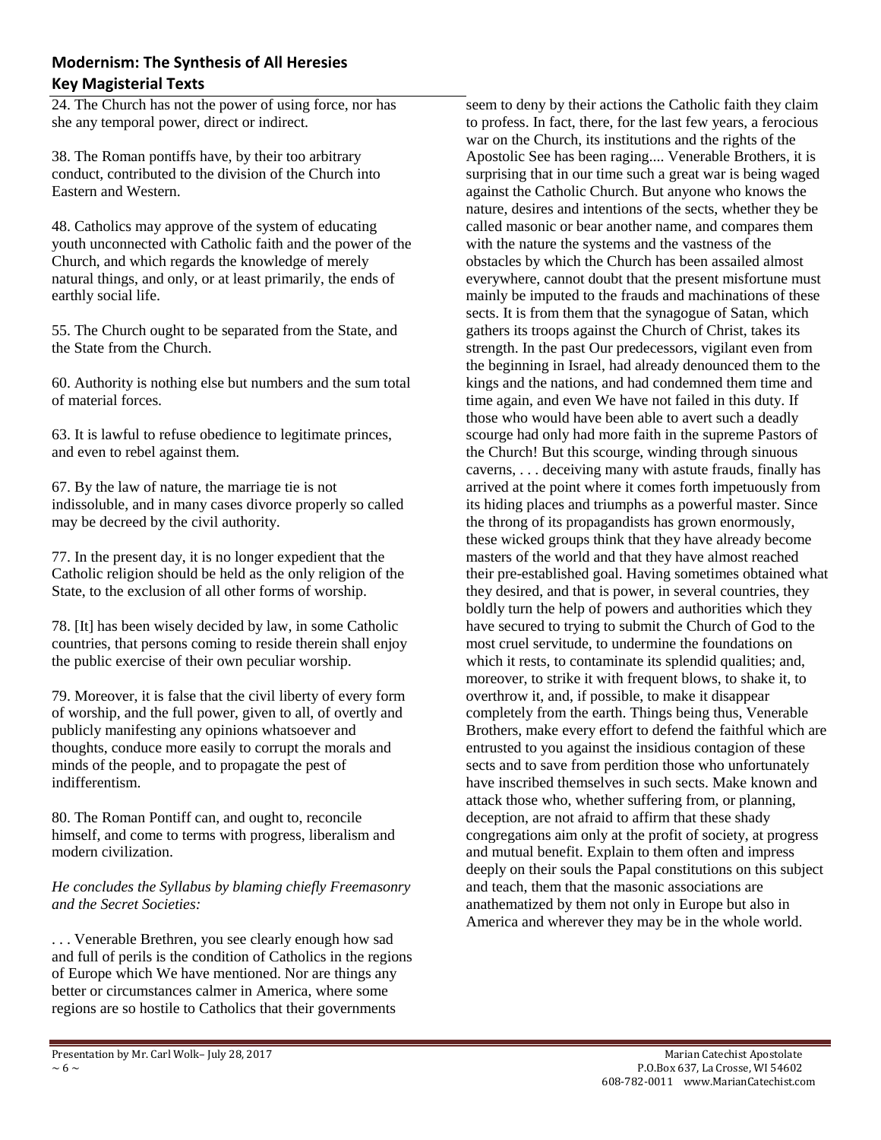24. The Church has not the power of using force, nor has she any temporal power, direct or indirect.

38. The Roman pontiffs have, by their too arbitrary conduct, contributed to the division of the Church into Eastern and Western.

48. Catholics may approve of the system of educating youth unconnected with Catholic faith and the power of the Church, and which regards the knowledge of merely natural things, and only, or at least primarily, the ends of earthly social life.

55. The Church ought to be separated from the State, and the State from the Church.

60. Authority is nothing else but numbers and the sum total of material forces.

63. It is lawful to refuse obedience to legitimate princes, and even to rebel against them.

67. By the law of nature, the marriage tie is not indissoluble, and in many cases divorce properly so called may be decreed by the civil authority.

77. In the present day, it is no longer expedient that the Catholic religion should be held as the only religion of the State, to the exclusion of all other forms of worship.

78. [It] has been wisely decided by law, in some Catholic countries, that persons coming to reside therein shall enjoy the public exercise of their own peculiar worship.

79. Moreover, it is false that the civil liberty of every form of worship, and the full power, given to all, of overtly and publicly manifesting any opinions whatsoever and thoughts, conduce more easily to corrupt the morals and minds of the people, and to propagate the pest of indifferentism.

80. The Roman Pontiff can, and ought to, reconcile himself, and come to terms with progress, liberalism and modern civilization.

#### *He concludes the Syllabus by blaming chiefly Freemasonry and the Secret Societies:*

. . . Venerable Brethren, you see clearly enough how sad and full of perils is the condition of Catholics in the regions of Europe which We have mentioned. Nor are things any better or circumstances calmer in America, where some regions are so hostile to Catholics that their governments

seem to deny by their actions the Catholic faith they claim to profess. In fact, there, for the last few years, a ferocious war on the Church, its institutions and the rights of the Apostolic See has been raging.... Venerable Brothers, it is surprising that in our time such a great war is being waged against the Catholic Church. But anyone who knows the nature, desires and intentions of the sects, whether they be called masonic or bear another name, and compares them with the nature the systems and the vastness of the obstacles by which the Church has been assailed almost everywhere, cannot doubt that the present misfortune must mainly be imputed to the frauds and machinations of these sects. It is from them that the synagogue of Satan, which gathers its troops against the Church of Christ, takes its strength. In the past Our predecessors, vigilant even from the beginning in Israel, had already denounced them to the kings and the nations, and had condemned them time and time again, and even We have not failed in this duty. If those who would have been able to avert such a deadly scourge had only had more faith in the supreme Pastors of the Church! But this scourge, winding through sinuous caverns, . . . deceiving many with astute frauds, finally has arrived at the point where it comes forth impetuously from its hiding places and triumphs as a powerful master. Since the throng of its propagandists has grown enormously, these wicked groups think that they have already become masters of the world and that they have almost reached their pre-established goal. Having sometimes obtained what they desired, and that is power, in several countries, they boldly turn the help of powers and authorities which they have secured to trying to submit the Church of God to the most cruel servitude, to undermine the foundations on which it rests, to contaminate its splendid qualities; and, moreover, to strike it with frequent blows, to shake it, to overthrow it, and, if possible, to make it disappear completely from the earth. Things being thus, Venerable Brothers, make every effort to defend the faithful which are entrusted to you against the insidious contagion of these sects and to save from perdition those who unfortunately have inscribed themselves in such sects. Make known and attack those who, whether suffering from, or planning, deception, are not afraid to affirm that these shady congregations aim only at the profit of society, at progress and mutual benefit. Explain to them often and impress deeply on their souls the Papal constitutions on this subject and teach, them that the masonic associations are anathematized by them not only in Europe but also in America and wherever they may be in the whole world.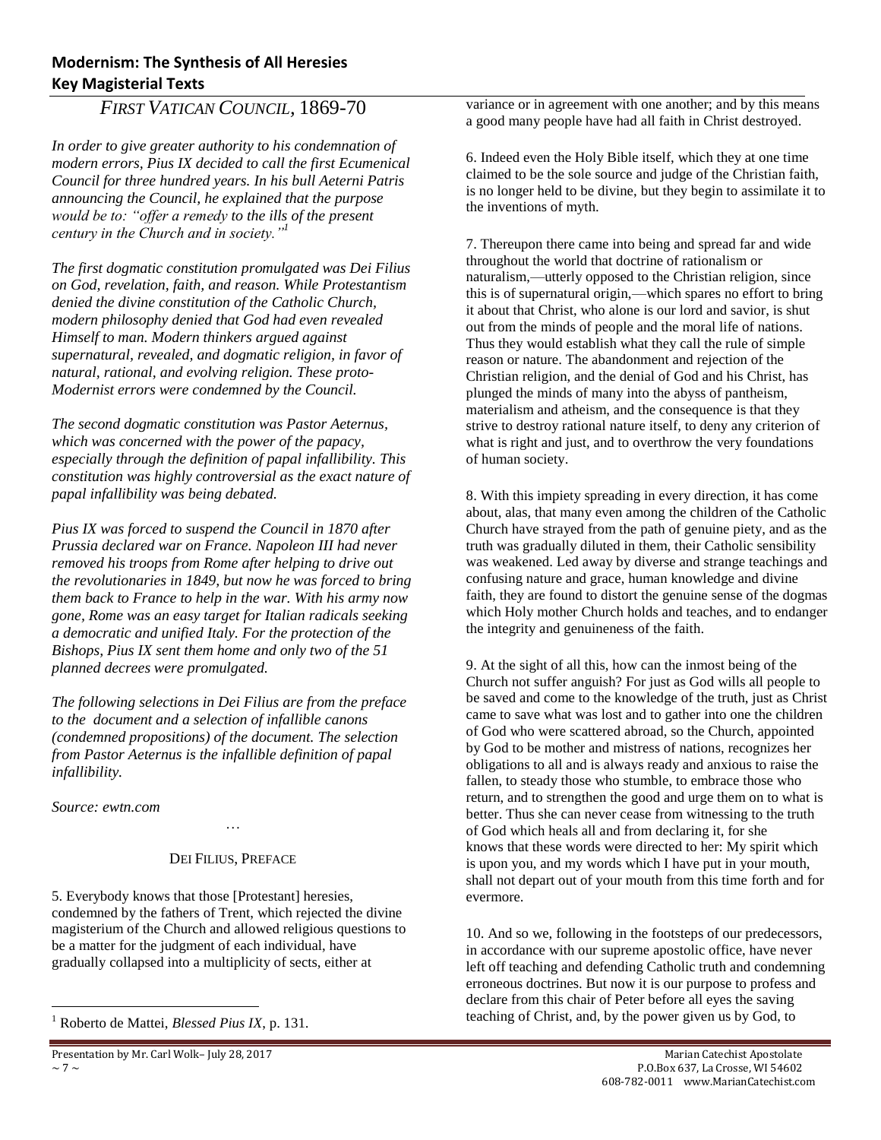*FIRST VATICAN COUNCIL,* 1869-70

*In order to give greater authority to his condemnation of modern errors, Pius IX decided to call the first Ecumenical Council for three hundred years. In his bull Aeterni Patris announcing the Council, he explained that the purpose would be to: "offer a remedy to the ills of the present century in the Church and in society."<sup>1</sup>*

*The first dogmatic constitution promulgated was Dei Filius on God, revelation, faith, and reason. While Protestantism denied the divine constitution of the Catholic Church, modern philosophy denied that God had even revealed Himself to man. Modern thinkers argued against supernatural, revealed, and dogmatic religion, in favor of natural, rational, and evolving religion. These proto-Modernist errors were condemned by the Council.*

*The second dogmatic constitution was Pastor Aeternus, which was concerned with the power of the papacy, especially through the definition of papal infallibility. This constitution was highly controversial as the exact nature of papal infallibility was being debated.*

*Pius IX was forced to suspend the Council in 1870 after Prussia declared war on France. Napoleon III had never removed his troops from Rome after helping to drive out the revolutionaries in 1849, but now he was forced to bring them back to France to help in the war. With his army now gone, Rome was an easy target for Italian radicals seeking a democratic and unified Italy. For the protection of the Bishops, Pius IX sent them home and only two of the 51 planned decrees were promulgated.*

*The following selections in Dei Filius are from the preface to the document and a selection of infallible canons (condemned propositions) of the document. The selection from Pastor Aeternus is the infallible definition of papal infallibility.*

*Source: ewtn.com*

 $\overline{a}$ 

### DEI FILIUS, PREFACE

…

5. Everybody knows that those [Protestant] heresies, condemned by the fathers of Trent, which rejected the divine magisterium of the Church and allowed religious questions to be a matter for the judgment of each individual, have gradually collapsed into a multiplicity of sects, either at

variance or in agreement with one another; and by this means a good many people have had all faith in Christ destroyed.

6. Indeed even the Holy Bible itself, which they at one time claimed to be the sole source and judge of the Christian faith, is no longer held to be divine, but they begin to assimilate it to the inventions of myth.

7. Thereupon there came into being and spread far and wide throughout the world that doctrine of rationalism or naturalism,—utterly opposed to the Christian religion, since this is of supernatural origin,—which spares no effort to bring it about that Christ, who alone is our lord and savior, is shut out from the minds of people and the moral life of nations. Thus they would establish what they call the rule of simple reason or nature. The abandonment and rejection of the Christian religion, and the denial of God and his Christ, has plunged the minds of many into the abyss of pantheism, materialism and atheism, and the consequence is that they strive to destroy rational nature itself, to deny any criterion of what is right and just, and to overthrow the very foundations of human society.

8. With this impiety spreading in every direction, it has come about, alas, that many even among the children of the Catholic Church have strayed from the path of genuine piety, and as the truth was gradually diluted in them, their Catholic sensibility was weakened. Led away by diverse and strange teachings and confusing nature and grace, human knowledge and divine faith, they are found to distort the genuine sense of the dogmas which Holy mother Church holds and teaches, and to endanger the integrity and genuineness of the faith.

9. At the sight of all this, how can the inmost being of the Church not suffer anguish? For just as God wills all people to be saved and come to the knowledge of the truth, just as Christ came to save what was lost and to gather into one the children of God who were scattered abroad, so the Church, appointed by God to be mother and mistress of nations, recognizes her obligations to all and is always ready and anxious to raise the fallen, to steady those who stumble, to embrace those who return, and to strengthen the good and urge them on to what is better. Thus she can never cease from witnessing to the truth of God which heals all and from declaring it, for she knows that these words were directed to her: My spirit which is upon you, and my words which I have put in your mouth, shall not depart out of your mouth from this time forth and for evermore.

10. And so we, following in the footsteps of our predecessors, in accordance with our supreme apostolic office, have never left off teaching and defending Catholic truth and condemning erroneous doctrines. But now it is our purpose to profess and declare from this chair of Peter before all eyes the saving teaching of Christ, and, by the power given us by God, to

<sup>1</sup> Roberto de Mattei, *Blessed Pius IX*, p. 131.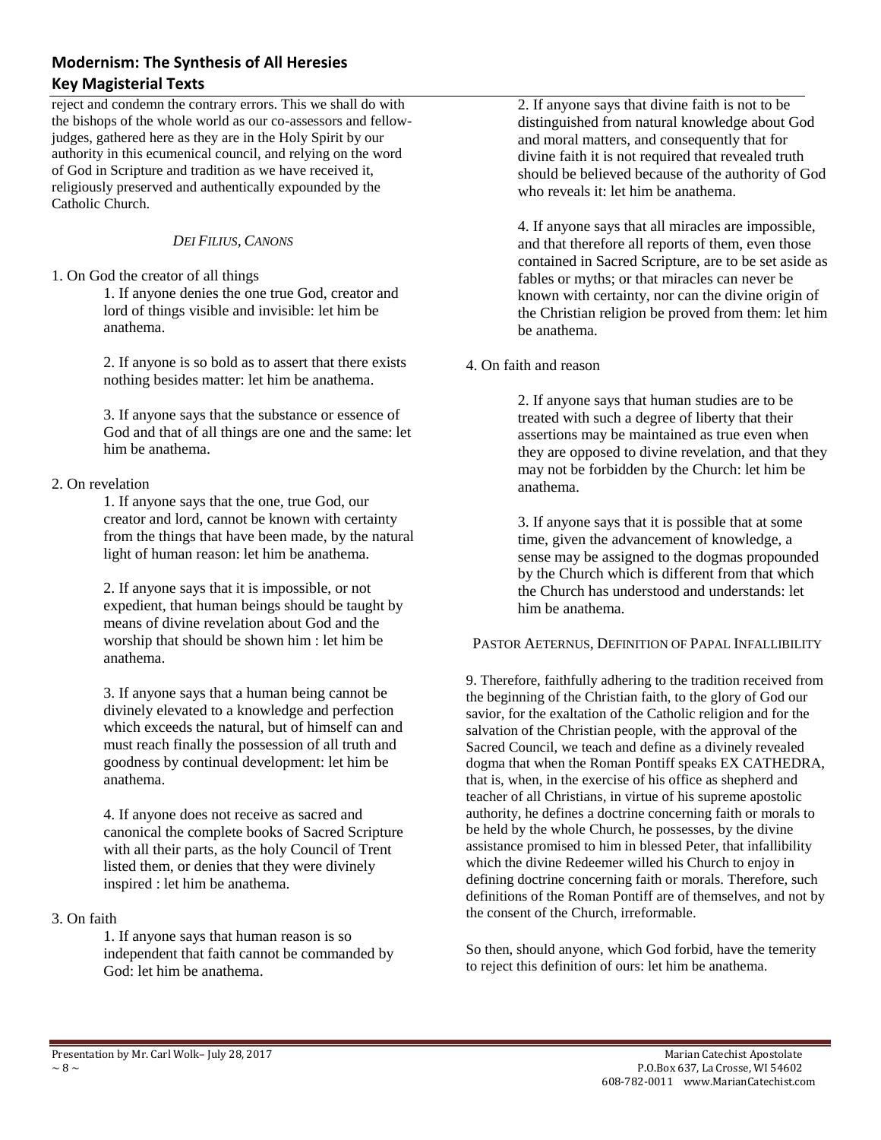reject and condemn the contrary errors. This we shall do with the bishops of the whole world as our co-assessors and fellowjudges, gathered here as they are in the Holy Spirit by our authority in this ecumenical council, and relying on the word of God in Scripture and tradition as we have received it, religiously preserved and authentically expounded by the Catholic Church.

### *DEI FILIUS, CANONS*

#### 1. On God the creator of all things

1. If anyone denies the one true God, creator and lord of things visible and invisible: let him be anathema.

2. If anyone is so bold as to assert that there exists nothing besides matter: let him be anathema.

3. If anyone says that the substance or essence of God and that of all things are one and the same: let him be anathema.

### 2. On revelation

1. If anyone says that the one, true God, our creator and lord, cannot be known with certainty from the things that have been made, by the natural light of human reason: let him be anathema.

2. If anyone says that it is impossible, or not expedient, that human beings should be taught by means of divine revelation about God and the worship that should be shown him : let him be anathema.

3. If anyone says that a human being cannot be divinely elevated to a knowledge and perfection which exceeds the natural, but of himself can and must reach finally the possession of all truth and goodness by continual development: let him be anathema.

4. If anyone does not receive as sacred and canonical the complete books of Sacred Scripture with all their parts, as the holy Council of Trent listed them, or denies that they were divinely inspired : let him be anathema.

### 3. On faith

1. If anyone says that human reason is so independent that faith cannot be commanded by God: let him be anathema.

2. If anyone says that divine faith is not to be distinguished from natural knowledge about God and moral matters, and consequently that for divine faith it is not required that revealed truth should be believed because of the authority of God who reveals it: let him be anathema.

4. If anyone says that all miracles are impossible, and that therefore all reports of them, even those contained in Sacred Scripture, are to be set aside as fables or myths; or that miracles can never be known with certainty, nor can the divine origin of the Christian religion be proved from them: let him be anathema.

4. On faith and reason

2. If anyone says that human studies are to be treated with such a degree of liberty that their assertions may be maintained as true even when they are opposed to divine revelation, and that they may not be forbidden by the Church: let him be anathema.

3. If anyone says that it is possible that at some time, given the advancement of knowledge, a sense may be assigned to the dogmas propounded by the Church which is different from that which the Church has understood and understands: let him be anathema.

#### PASTOR AETERNUS, DEFINITION OF PAPAL INFALLIBILITY

9. Therefore, faithfully adhering to the tradition received from the beginning of the Christian faith, to the glory of God our savior, for the exaltation of the Catholic religion and for the salvation of the Christian people, with the approval of the Sacred Council, we teach and define as a divinely revealed dogma that when the Roman Pontiff speaks EX CATHEDRA, that is, when, in the exercise of his office as shepherd and teacher of all Christians, in virtue of his supreme apostolic authority, he defines a doctrine concerning faith or morals to be held by the whole Church, he possesses, by the divine assistance promised to him in blessed Peter, that infallibility which the divine Redeemer willed his Church to enjoy in defining doctrine concerning faith or morals. Therefore, such definitions of the Roman Pontiff are of themselves, and not by the consent of the Church, irreformable.

So then, should anyone, which God forbid, have the temerity to reject this definition of ours: let him be anathema.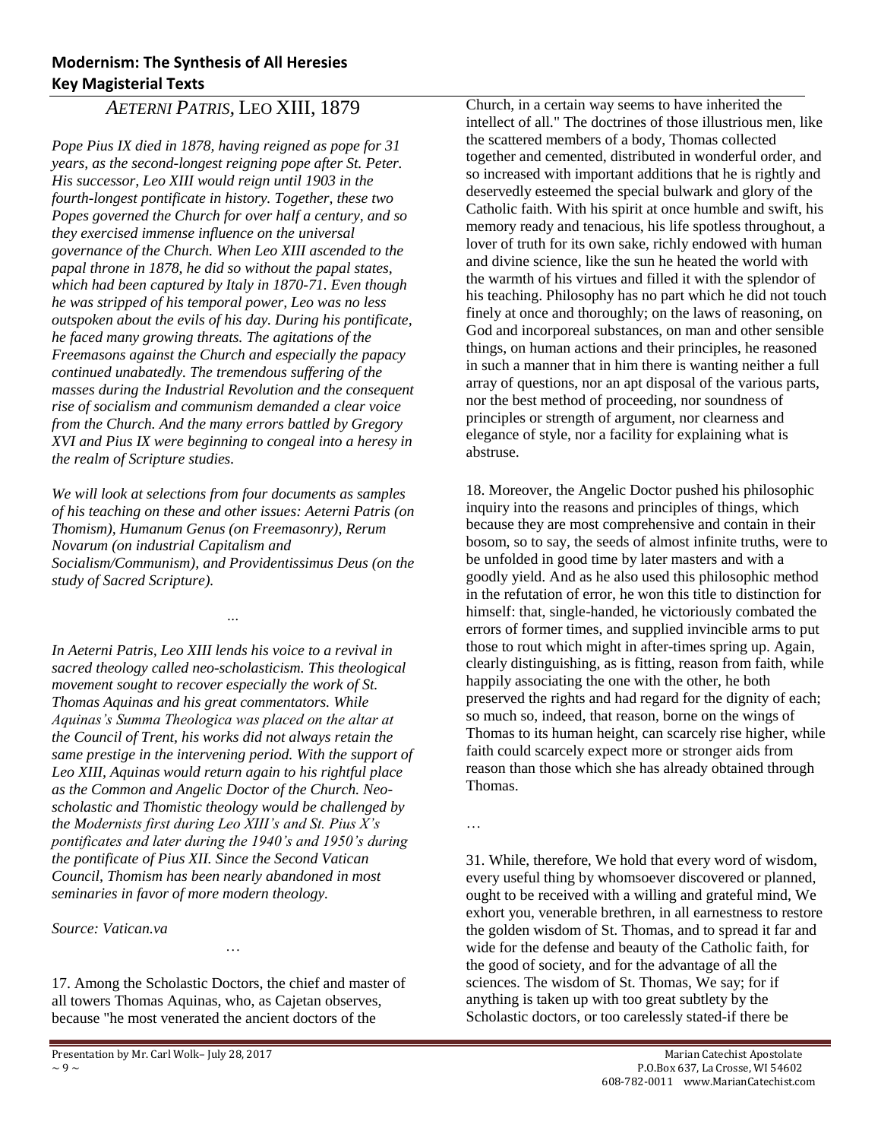### *AETERNI PATRIS,* LEO XIII, 1879

*Pope Pius IX died in 1878, having reigned as pope for 31 years, as the second-longest reigning pope after St. Peter. His successor, Leo XIII would reign until 1903 in the fourth-longest pontificate in history. Together, these two Popes governed the Church for over half a century, and so they exercised immense influence on the universal governance of the Church. When Leo XIII ascended to the papal throne in 1878, he did so without the papal states, which had been captured by Italy in 1870-71. Even though he was stripped of his temporal power, Leo was no less outspoken about the evils of his day. During his pontificate, he faced many growing threats. The agitations of the Freemasons against the Church and especially the papacy continued unabatedly. The tremendous suffering of the masses during the Industrial Revolution and the consequent rise of socialism and communism demanded a clear voice from the Church. And the many errors battled by Gregory XVI and Pius IX were beginning to congeal into a heresy in the realm of Scripture studies.* 

*We will look at selections from four documents as samples of his teaching on these and other issues: Aeterni Patris (on Thomism), Humanum Genus (on Freemasonry), Rerum Novarum (on industrial Capitalism and Socialism/Communism), and Providentissimus Deus (on the study of Sacred Scripture).*

*…*

*In Aeterni Patris, Leo XIII lends his voice to a revival in sacred theology called neo-scholasticism. This theological movement sought to recover especially the work of St. Thomas Aquinas and his great commentators. While Aquinas's Summa Theologica was placed on the altar at the Council of Trent, his works did not always retain the same prestige in the intervening period. With the support of Leo XIII, Aquinas would return again to his rightful place as the Common and Angelic Doctor of the Church. Neoscholastic and Thomistic theology would be challenged by the Modernists first during Leo XIII's and St. Pius X's pontificates and later during the 1940's and 1950's during the pontificate of Pius XII. Since the Second Vatican Council, Thomism has been nearly abandoned in most seminaries in favor of more modern theology.*

*Source: Vatican.va*

17. Among the Scholastic Doctors, the chief and master of all towers Thomas Aquinas, who, as Cajetan observes, because "he most venerated the ancient doctors of the

…

Church, in a certain way seems to have inherited the intellect of all." The doctrines of those illustrious men, like the scattered members of a body, Thomas collected together and cemented, distributed in wonderful order, and so increased with important additions that he is rightly and deservedly esteemed the special bulwark and glory of the Catholic faith. With his spirit at once humble and swift, his memory ready and tenacious, his life spotless throughout, a lover of truth for its own sake, richly endowed with human and divine science, like the sun he heated the world with the warmth of his virtues and filled it with the splendor of his teaching. Philosophy has no part which he did not touch finely at once and thoroughly; on the laws of reasoning, on God and incorporeal substances, on man and other sensible things, on human actions and their principles, he reasoned in such a manner that in him there is wanting neither a full array of questions, nor an apt disposal of the various parts, nor the best method of proceeding, nor soundness of principles or strength of argument, nor clearness and elegance of style, nor a facility for explaining what is abstruse.

18. Moreover, the Angelic Doctor pushed his philosophic inquiry into the reasons and principles of things, which because they are most comprehensive and contain in their bosom, so to say, the seeds of almost infinite truths, were to be unfolded in good time by later masters and with a goodly yield. And as he also used this philosophic method in the refutation of error, he won this title to distinction for himself: that, single-handed, he victoriously combated the errors of former times, and supplied invincible arms to put those to rout which might in after-times spring up. Again, clearly distinguishing, as is fitting, reason from faith, while happily associating the one with the other, he both preserved the rights and had regard for the dignity of each; so much so, indeed, that reason, borne on the wings of Thomas to its human height, can scarcely rise higher, while faith could scarcely expect more or stronger aids from reason than those which she has already obtained through Thomas.

…

31. While, therefore, We hold that every word of wisdom, every useful thing by whomsoever discovered or planned, ought to be received with a willing and grateful mind, We exhort you, venerable brethren, in all earnestness to restore the golden wisdom of St. Thomas, and to spread it far and wide for the defense and beauty of the Catholic faith, for the good of society, and for the advantage of all the sciences. The wisdom of St. Thomas, We say; for if anything is taken up with too great subtlety by the Scholastic doctors, or too carelessly stated-if there be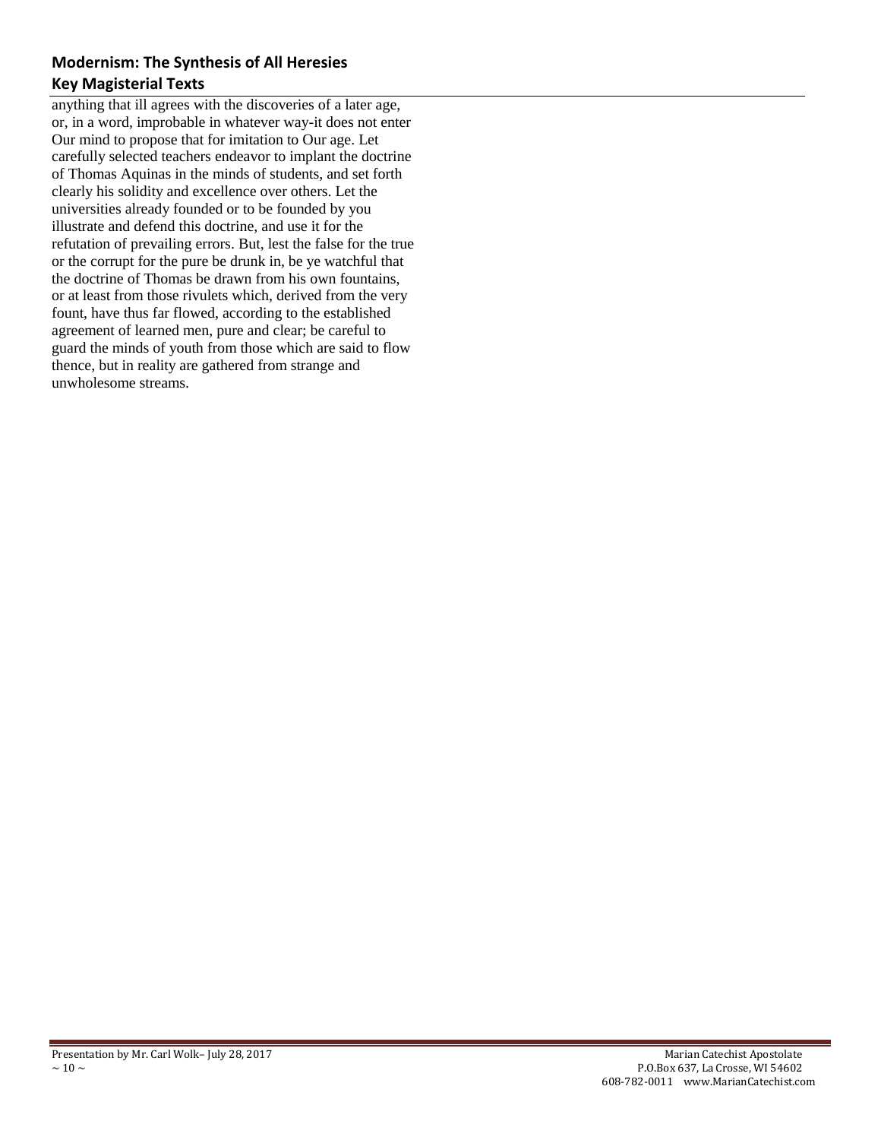anything that ill agrees with the discoveries of a later age, or, in a word, improbable in whatever way-it does not enter Our mind to propose that for imitation to Our age. Let carefully selected teachers endeavor to implant the doctrine of Thomas Aquinas in the minds of students, and set forth clearly his solidity and excellence over others. Let the universities already founded or to be founded by you illustrate and defend this doctrine, and use it for the refutation of prevailing errors. But, lest the false for the true or the corrupt for the pure be drunk in, be ye watchful that the doctrine of Thomas be drawn from his own fountains, or at least from those rivulets which, derived from the very fount, have thus far flowed, according to the established agreement of learned men, pure and clear; be careful to guard the minds of youth from those which are said to flow thence, but in reality are gathered from strange and unwholesome streams.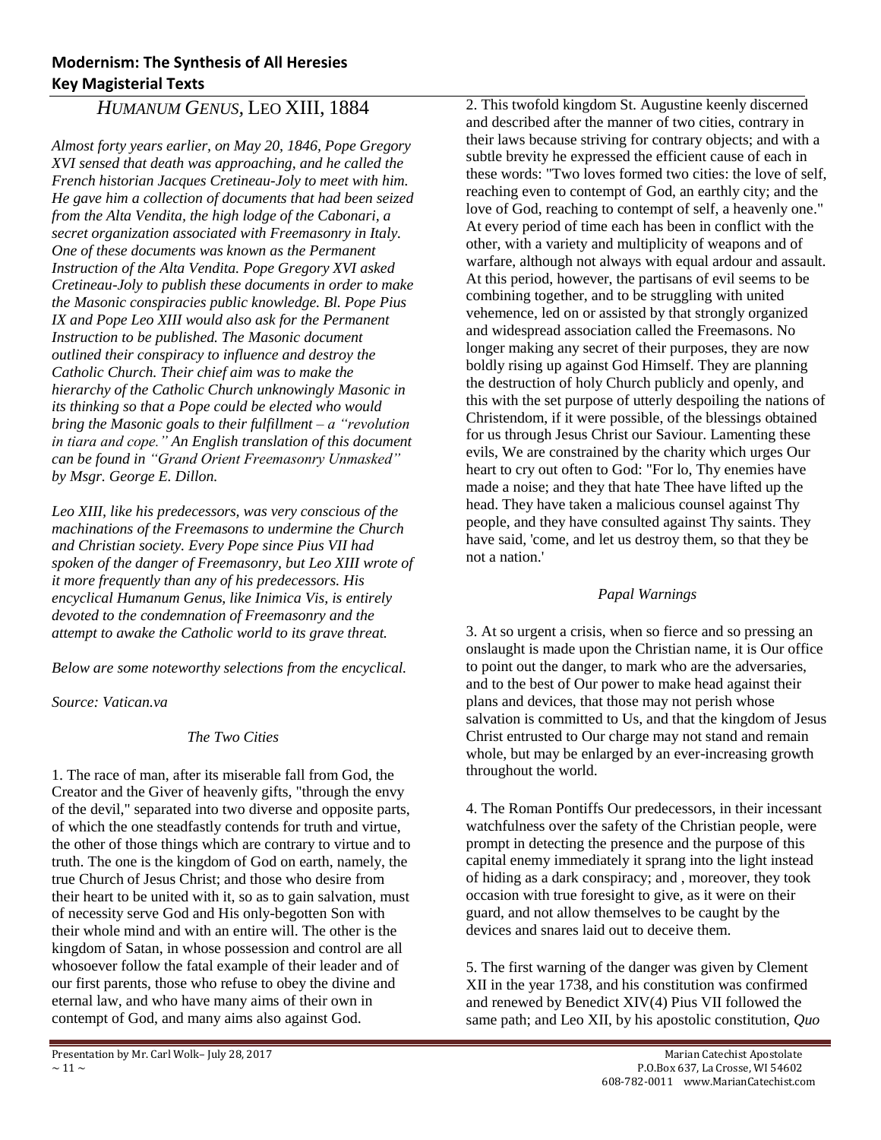### *HUMANUM GENUS,* LEO XIII, 1884

*Almost forty years earlier, on May 20, 1846, Pope Gregory XVI sensed that death was approaching, and he called the French historian Jacques Cretineau-Joly to meet with him. He gave him a collection of documents that had been seized from the Alta Vendita, the high lodge of the Cabonari, a secret organization associated with Freemasonry in Italy. One of these documents was known as the Permanent Instruction of the Alta Vendita. Pope Gregory XVI asked Cretineau-Joly to publish these documents in order to make the Masonic conspiracies public knowledge. Bl. Pope Pius IX and Pope Leo XIII would also ask for the Permanent Instruction to be published. The Masonic document outlined their conspiracy to influence and destroy the Catholic Church. Their chief aim was to make the hierarchy of the Catholic Church unknowingly Masonic in its thinking so that a Pope could be elected who would bring the Masonic goals to their fulfillment – a "revolution in tiara and cope." An English translation of this document can be found in "Grand Orient Freemasonry Unmasked" by Msgr. George E. Dillon.*

*Leo XIII, like his predecessors, was very conscious of the machinations of the Freemasons to undermine the Church and Christian society. Every Pope since Pius VII had spoken of the danger of Freemasonry, but Leo XIII wrote of it more frequently than any of his predecessors. His encyclical Humanum Genus, like Inimica Vis, is entirely devoted to the condemnation of Freemasonry and the attempt to awake the Catholic world to its grave threat.*

*Below are some noteworthy selections from the encyclical.*

*Source: Vatican.va*

#### *The Two Cities*

1. The race of man, after its miserable fall from God, the Creator and the Giver of heavenly gifts, "through the envy of the devil," separated into two diverse and opposite parts, of which the one steadfastly contends for truth and virtue, the other of those things which are contrary to virtue and to truth. The one is the kingdom of God on earth, namely, the true Church of Jesus Christ; and those who desire from their heart to be united with it, so as to gain salvation, must of necessity serve God and His only-begotten Son with their whole mind and with an entire will. The other is the kingdom of Satan, in whose possession and control are all whosoever follow the fatal example of their leader and of our first parents, those who refuse to obey the divine and eternal law, and who have many aims of their own in contempt of God, and many aims also against God.

2. This twofold kingdom St. Augustine keenly discerned and described after the manner of two cities, contrary in their laws because striving for contrary objects; and with a subtle brevity he expressed the efficient cause of each in these words: "Two loves formed two cities: the love of self, reaching even to contempt of God, an earthly city; and the love of God, reaching to contempt of self, a heavenly one." At every period of time each has been in conflict with the other, with a variety and multiplicity of weapons and of warfare, although not always with equal ardour and assault. At this period, however, the partisans of evil seems to be combining together, and to be struggling with united vehemence, led on or assisted by that strongly organized and widespread association called the Freemasons. No longer making any secret of their purposes, they are now boldly rising up against God Himself. They are planning the destruction of holy Church publicly and openly, and this with the set purpose of utterly despoiling the nations of Christendom, if it were possible, of the blessings obtained for us through Jesus Christ our Saviour. Lamenting these evils, We are constrained by the charity which urges Our heart to cry out often to God: "For lo, Thy enemies have made a noise; and they that hate Thee have lifted up the head. They have taken a malicious counsel against Thy people, and they have consulted against Thy saints. They have said, 'come, and let us destroy them, so that they be not a nation.'

#### *Papal Warnings*

3. At so urgent a crisis, when so fierce and so pressing an onslaught is made upon the Christian name, it is Our office to point out the danger, to mark who are the adversaries, and to the best of Our power to make head against their plans and devices, that those may not perish whose salvation is committed to Us, and that the kingdom of Jesus Christ entrusted to Our charge may not stand and remain whole, but may be enlarged by an ever-increasing growth throughout the world.

4. The Roman Pontiffs Our predecessors, in their incessant watchfulness over the safety of the Christian people, were prompt in detecting the presence and the purpose of this capital enemy immediately it sprang into the light instead of hiding as a dark conspiracy; and , moreover, they took occasion with true foresight to give, as it were on their guard, and not allow themselves to be caught by the devices and snares laid out to deceive them.

5. The first warning of the danger was given by Clement XII in the year 1738, and his constitution was confirmed and renewed by Benedict XIV(4) Pius VII followed the same path; and Leo XII, by his apostolic constitution, *Quo*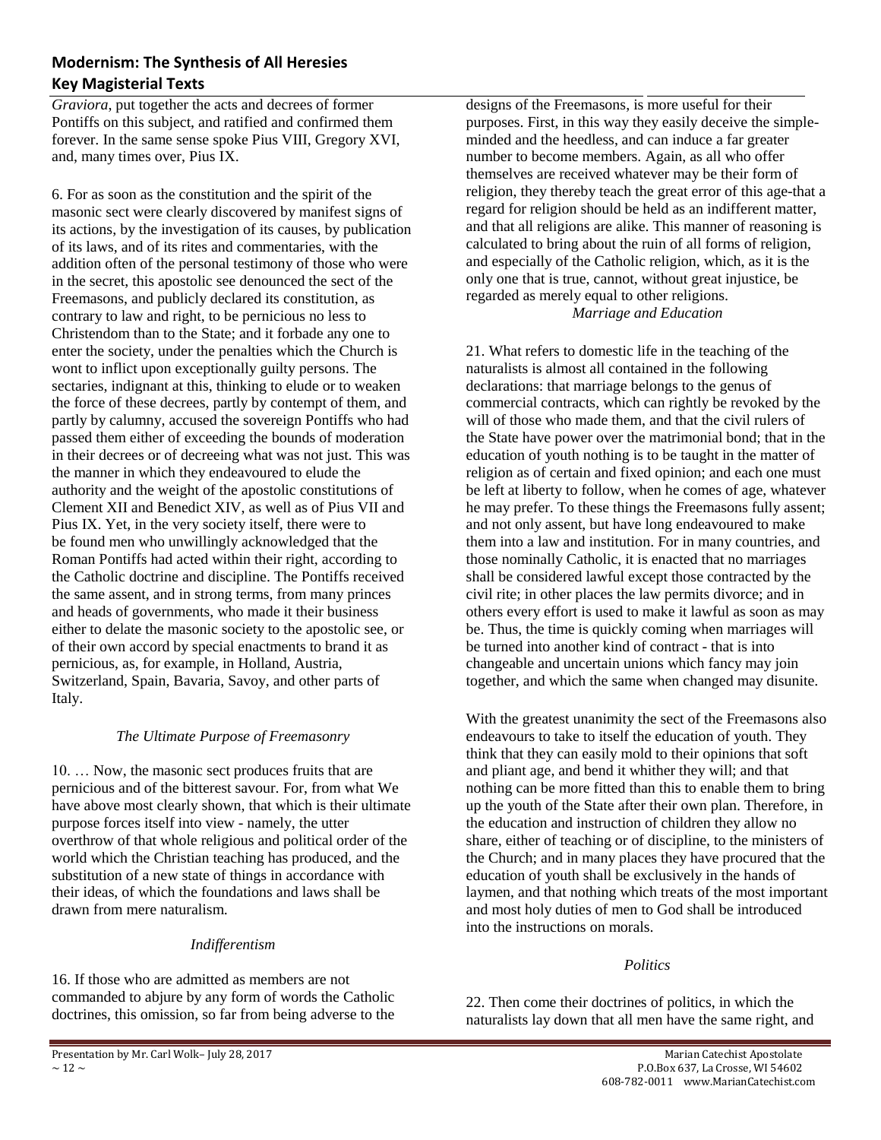*Graviora*, put together the acts and decrees of former Pontiffs on this subject, and ratified and confirmed them forever. In the same sense spoke Pius VIII, Gregory XVI, and, many times over, Pius IX.

6. For as soon as the constitution and the spirit of the masonic sect were clearly discovered by manifest signs of its actions, by the investigation of its causes, by publication of its laws, and of its rites and commentaries, with the addition often of the personal testimony of those who were in the secret, this apostolic see denounced the sect of the Freemasons, and publicly declared its constitution, as contrary to law and right, to be pernicious no less to Christendom than to the State; and it forbade any one to enter the society, under the penalties which the Church is wont to inflict upon exceptionally guilty persons. The sectaries, indignant at this, thinking to elude or to weaken the force of these decrees, partly by contempt of them, and partly by calumny, accused the sovereign Pontiffs who had passed them either of exceeding the bounds of moderation in their decrees or of decreeing what was not just. This was the manner in which they endeavoured to elude the authority and the weight of the apostolic constitutions of Clement XII and Benedict XIV, as well as of Pius VII and Pius IX. Yet, in the very society itself, there were to be found men who unwillingly acknowledged that the Roman Pontiffs had acted within their right, according to the Catholic doctrine and discipline. The Pontiffs received the same assent, and in strong terms, from many princes and heads of governments, who made it their business either to delate the masonic society to the apostolic see, or of their own accord by special enactments to brand it as pernicious, as, for example, in Holland, Austria, Switzerland, Spain, Bavaria, Savoy, and other parts of Italy.

### *The Ultimate Purpose of Freemasonry*

10. … Now, the masonic sect produces fruits that are pernicious and of the bitterest savour. For, from what We have above most clearly shown, that which is their ultimate purpose forces itself into view - namely, the utter overthrow of that whole religious and political order of the world which the Christian teaching has produced, and the substitution of a new state of things in accordance with their ideas, of which the foundations and laws shall be drawn from mere naturalism.

### *Indifferentism*

16. If those who are admitted as members are not commanded to abjure by any form of words the Catholic doctrines, this omission, so far from being adverse to the designs of the Freemasons, is more useful for their purposes. First, in this way they easily deceive the simpleminded and the heedless, and can induce a far greater number to become members. Again, as all who offer themselves are received whatever may be their form of religion, they thereby teach the great error of this age-that a regard for religion should be held as an indifferent matter, and that all religions are alike. This manner of reasoning is calculated to bring about the ruin of all forms of religion, and especially of the Catholic religion, which, as it is the only one that is true, cannot, without great injustice, be regarded as merely equal to other religions. *Marriage and Education*

21. What refers to domestic life in the teaching of the naturalists is almost all contained in the following declarations: that marriage belongs to the genus of commercial contracts, which can rightly be revoked by the will of those who made them, and that the civil rulers of the State have power over the matrimonial bond; that in the education of youth nothing is to be taught in the matter of religion as of certain and fixed opinion; and each one must be left at liberty to follow, when he comes of age, whatever he may prefer. To these things the Freemasons fully assent; and not only assent, but have long endeavoured to make them into a law and institution. For in many countries, and those nominally Catholic, it is enacted that no marriages shall be considered lawful except those contracted by the civil rite; in other places the law permits divorce; and in others every effort is used to make it lawful as soon as may be. Thus, the time is quickly coming when marriages will be turned into another kind of contract - that is into changeable and uncertain unions which fancy may join together, and which the same when changed may disunite.

With the greatest unanimity the sect of the Freemasons also endeavours to take to itself the education of youth. They think that they can easily mold to their opinions that soft and pliant age, and bend it whither they will; and that nothing can be more fitted than this to enable them to bring up the youth of the State after their own plan. Therefore, in the education and instruction of children they allow no share, either of teaching or of discipline, to the ministers of the Church; and in many places they have procured that the education of youth shall be exclusively in the hands of laymen, and that nothing which treats of the most important and most holy duties of men to God shall be introduced into the instructions on morals.

### *Politics*

22. Then come their doctrines of politics, in which the naturalists lay down that all men have the same right, and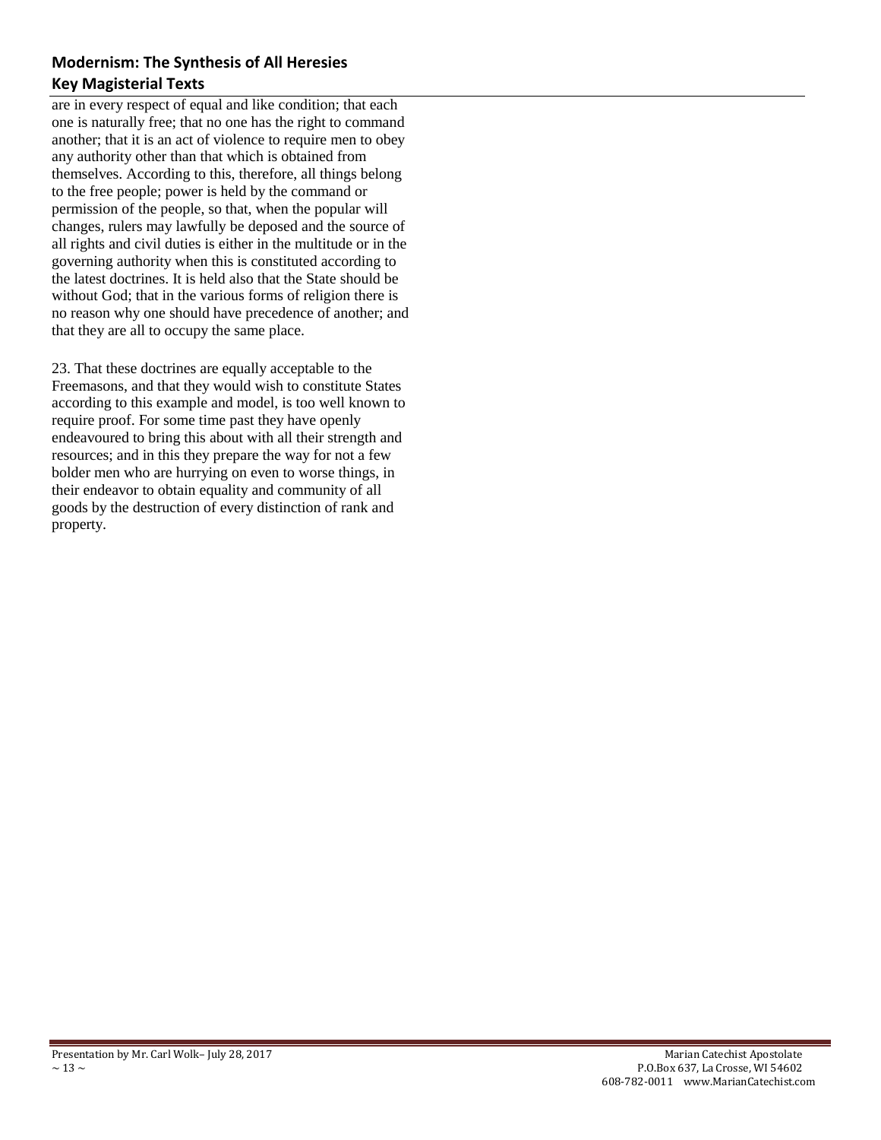are in every respect of equal and like condition; that each one is naturally free; that no one has the right to command another; that it is an act of violence to require men to obey any authority other than that which is obtained from themselves. According to this, therefore, all things belong to the free people; power is held by the command or permission of the people, so that, when the popular will changes, rulers may lawfully be deposed and the source of all rights and civil duties is either in the multitude or in the governing authority when this is constituted according to the latest doctrines. It is held also that the State should be without God; that in the various forms of religion there is no reason why one should have precedence of another; and that they are all to occupy the same place.

23. That these doctrines are equally acceptable to the Freemasons, and that they would wish to constitute States according to this example and model, is too well known to require proof. For some time past they have openly endeavoured to bring this about with all their strength and resources; and in this they prepare the way for not a few bolder men who are hurrying on even to worse things, in their endeavor to obtain equality and community of all goods by the destruction of every distinction of rank and property.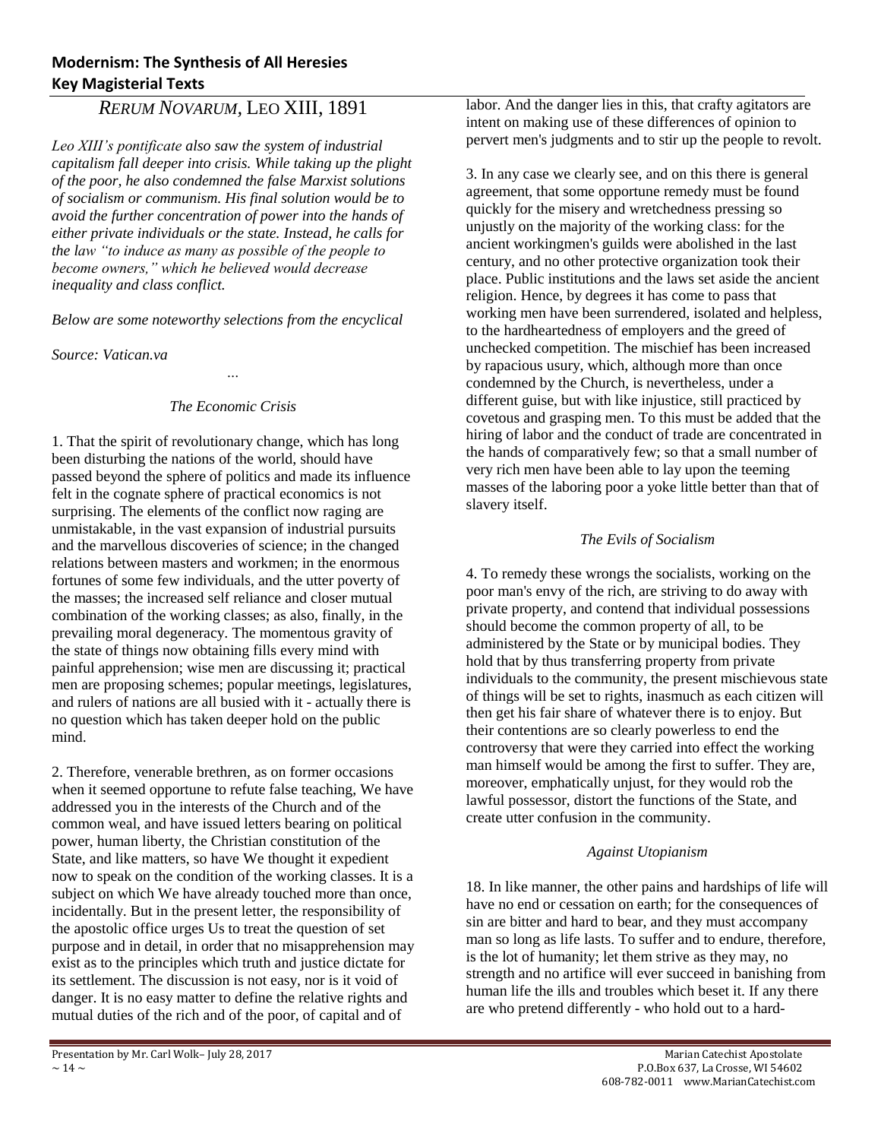### *RERUM NOVARUM,* LEO XIII, 1891

*Leo XIII's pontificate also saw the system of industrial capitalism fall deeper into crisis. While taking up the plight of the poor, he also condemned the false Marxist solutions of socialism or communism. His final solution would be to avoid the further concentration of power into the hands of either private individuals or the state. Instead, he calls for the law "to induce as many as possible of the people to become owners," which he believed would decrease inequality and class conflict.*

*Below are some noteworthy selections from the encyclical*

*Source: Vatican.va*

### *The Economic Crisis*

*…*

1. That the spirit of revolutionary change, which has long been disturbing the nations of the world, should have passed beyond the sphere of politics and made its influence felt in the cognate sphere of practical economics is not surprising. The elements of the conflict now raging are unmistakable, in the vast expansion of industrial pursuits and the marvellous discoveries of science; in the changed relations between masters and workmen; in the enormous fortunes of some few individuals, and the utter poverty of the masses; the increased self reliance and closer mutual combination of the working classes; as also, finally, in the prevailing moral degeneracy. The momentous gravity of the state of things now obtaining fills every mind with painful apprehension; wise men are discussing it; practical men are proposing schemes; popular meetings, legislatures, and rulers of nations are all busied with it - actually there is no question which has taken deeper hold on the public mind.

2. Therefore, venerable brethren, as on former occasions when it seemed opportune to refute false teaching, We have addressed you in the interests of the Church and of the common weal, and have issued letters bearing on political power, human liberty, the Christian constitution of the State, and like matters, so have We thought it expedient now to speak on the condition of the working classes. It is a subject on which We have already touched more than once, incidentally. But in the present letter, the responsibility of the apostolic office urges Us to treat the question of set purpose and in detail, in order that no misapprehension may exist as to the principles which truth and justice dictate for its settlement. The discussion is not easy, nor is it void of danger. It is no easy matter to define the relative rights and mutual duties of the rich and of the poor, of capital and of

labor. And the danger lies in this, that crafty agitators are intent on making use of these differences of opinion to pervert men's judgments and to stir up the people to revolt.

3. In any case we clearly see, and on this there is general agreement, that some opportune remedy must be found quickly for the misery and wretchedness pressing so unjustly on the majority of the working class: for the ancient workingmen's guilds were abolished in the last century, and no other protective organization took their place. Public institutions and the laws set aside the ancient religion. Hence, by degrees it has come to pass that working men have been surrendered, isolated and helpless, to the hardheartedness of employers and the greed of unchecked competition. The mischief has been increased by rapacious usury, which, although more than once condemned by the Church, is nevertheless, under a different guise, but with like injustice, still practiced by covetous and grasping men. To this must be added that the hiring of labor and the conduct of trade are concentrated in the hands of comparatively few; so that a small number of very rich men have been able to lay upon the teeming masses of the laboring poor a yoke little better than that of slavery itself.

### *The Evils of Socialism*

4. To remedy these wrongs the socialists, working on the poor man's envy of the rich, are striving to do away with private property, and contend that individual possessions should become the common property of all, to be administered by the State or by municipal bodies. They hold that by thus transferring property from private individuals to the community, the present mischievous state of things will be set to rights, inasmuch as each citizen will then get his fair share of whatever there is to enjoy. But their contentions are so clearly powerless to end the controversy that were they carried into effect the working man himself would be among the first to suffer. They are, moreover, emphatically unjust, for they would rob the lawful possessor, distort the functions of the State, and create utter confusion in the community.

#### *Against Utopianism*

18. In like manner, the other pains and hardships of life will have no end or cessation on earth; for the consequences of sin are bitter and hard to bear, and they must accompany man so long as life lasts. To suffer and to endure, therefore, is the lot of humanity; let them strive as they may, no strength and no artifice will ever succeed in banishing from human life the ills and troubles which beset it. If any there are who pretend differently - who hold out to a hard-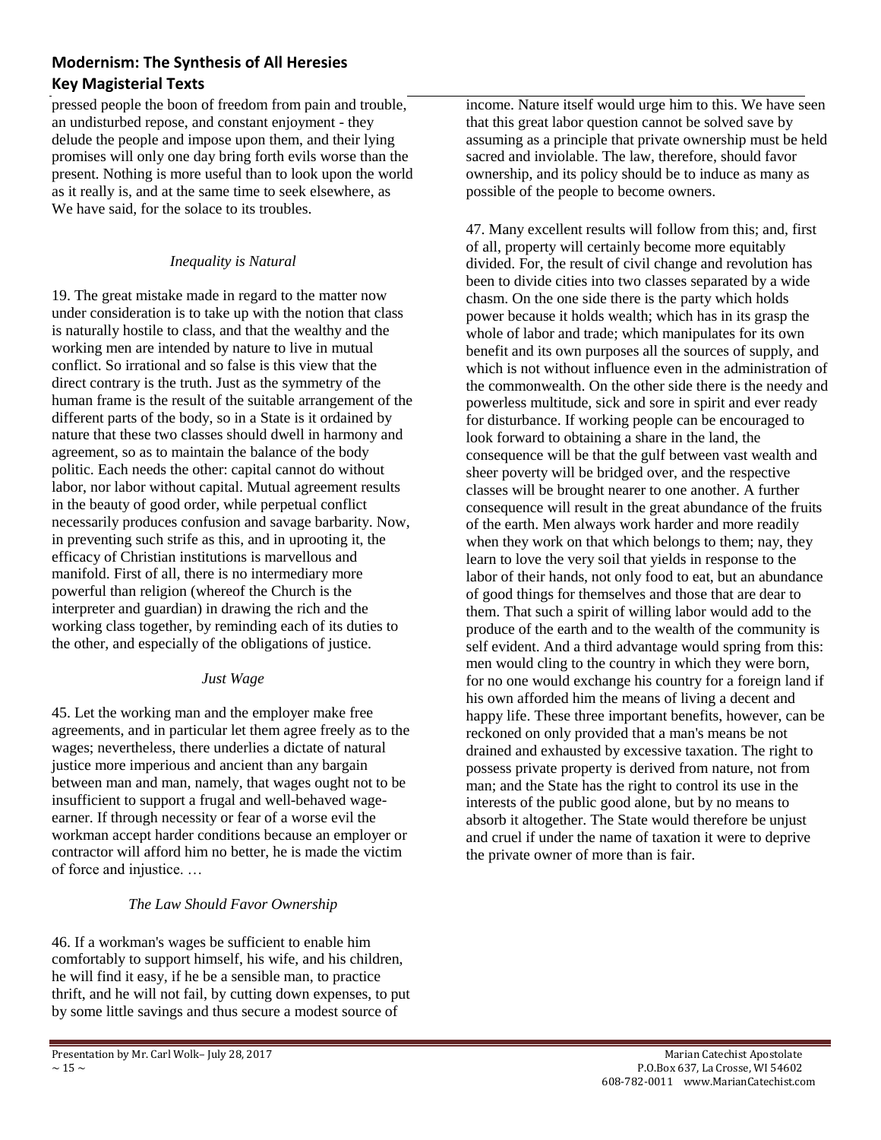pressed people the boon of freedom from pain and trouble, an undisturbed repose, and constant enjoyment - they delude the people and impose upon them, and their lying promises will only one day bring forth evils worse than the present. Nothing is more useful than to look upon the world as it really is, and at the same time to seek elsewhere, as We have said, for the solace to its troubles.

### *Inequality is Natural*

19. The great mistake made in regard to the matter now under consideration is to take up with the notion that class is naturally hostile to class, and that the wealthy and the working men are intended by nature to live in mutual conflict. So irrational and so false is this view that the direct contrary is the truth. Just as the symmetry of the human frame is the result of the suitable arrangement of the different parts of the body, so in a State is it ordained by nature that these two classes should dwell in harmony and agreement, so as to maintain the balance of the body politic. Each needs the other: capital cannot do without labor, nor labor without capital. Mutual agreement results in the beauty of good order, while perpetual conflict necessarily produces confusion and savage barbarity. Now, in preventing such strife as this, and in uprooting it, the efficacy of Christian institutions is marvellous and manifold. First of all, there is no intermediary more powerful than religion (whereof the Church is the interpreter and guardian) in drawing the rich and the working class together, by reminding each of its duties to the other, and especially of the obligations of justice.

### *Just Wage*

45. Let the working man and the employer make free agreements, and in particular let them agree freely as to the wages; nevertheless, there underlies a dictate of natural justice more imperious and ancient than any bargain between man and man, namely, that wages ought not to be insufficient to support a frugal and well-behaved wageearner. If through necessity or fear of a worse evil the workman accept harder conditions because an employer or contractor will afford him no better, he is made the victim of force and injustice. …

### *The Law Should Favor Ownership*

46. If a workman's wages be sufficient to enable him comfortably to support himself, his wife, and his children, he will find it easy, if he be a sensible man, to practice thrift, and he will not fail, by cutting down expenses, to put by some little savings and thus secure a modest source of

income. Nature itself would urge him to this. We have seen that this great labor question cannot be solved save by assuming as a principle that private ownership must be held sacred and inviolable. The law, therefore, should favor ownership, and its policy should be to induce as many as possible of the people to become owners.

47. Many excellent results will follow from this; and, first of all, property will certainly become more equitably divided. For, the result of civil change and revolution has been to divide cities into two classes separated by a wide chasm. On the one side there is the party which holds power because it holds wealth; which has in its grasp the whole of labor and trade; which manipulates for its own benefit and its own purposes all the sources of supply, and which is not without influence even in the administration of the commonwealth. On the other side there is the needy and powerless multitude, sick and sore in spirit and ever ready for disturbance. If working people can be encouraged to look forward to obtaining a share in the land, the consequence will be that the gulf between vast wealth and sheer poverty will be bridged over, and the respective classes will be brought nearer to one another. A further consequence will result in the great abundance of the fruits of the earth. Men always work harder and more readily when they work on that which belongs to them; nay, they learn to love the very soil that yields in response to the labor of their hands, not only food to eat, but an abundance of good things for themselves and those that are dear to them. That such a spirit of willing labor would add to the produce of the earth and to the wealth of the community is self evident. And a third advantage would spring from this: men would cling to the country in which they were born, for no one would exchange his country for a foreign land if his own afforded him the means of living a decent and happy life. These three important benefits, however, can be reckoned on only provided that a man's means be not drained and exhausted by excessive taxation. The right to possess private property is derived from nature, not from man; and the State has the right to control its use in the interests of the public good alone, but by no means to absorb it altogether. The State would therefore be unjust and cruel if under the name of taxation it were to deprive the private owner of more than is fair.

Presentation by Mr. Carl Wolk- July 28, 2017 Marian Catechist Apostolate Catechist Apostolate  $\sim$  15  $\sim$  P.0.Box 637, La Crosse, WI 54602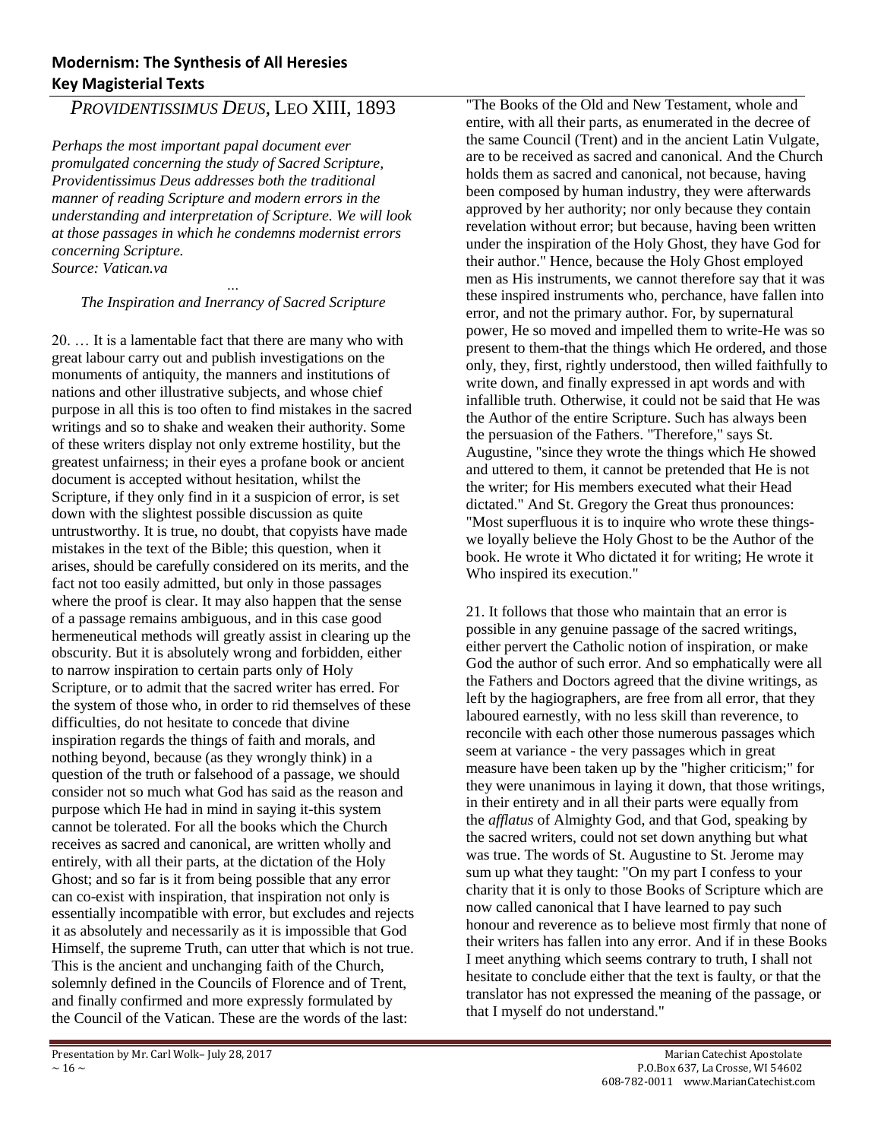### *PROVIDENTISSIMUS DEUS,* LEO XIII, 1893

*Perhaps the most important papal document ever promulgated concerning the study of Sacred Scripture, Providentissimus Deus addresses both the traditional manner of reading Scripture and modern errors in the understanding and interpretation of Scripture. We will look at those passages in which he condemns modernist errors concerning Scripture. Source: Vatican.va*

#### *… The Inspiration and Inerrancy of Sacred Scripture*

20. … It is a lamentable fact that there are many who with great labour carry out and publish investigations on the monuments of antiquity, the manners and institutions of nations and other illustrative subjects, and whose chief purpose in all this is too often to find mistakes in the sacred writings and so to shake and weaken their authority. Some of these writers display not only extreme hostility, but the greatest unfairness; in their eyes a profane book or ancient document is accepted without hesitation, whilst the Scripture, if they only find in it a suspicion of error, is set down with the slightest possible discussion as quite untrustworthy. It is true, no doubt, that copyists have made mistakes in the text of the Bible; this question, when it arises, should be carefully considered on its merits, and the fact not too easily admitted, but only in those passages where the proof is clear. It may also happen that the sense of a passage remains ambiguous, and in this case good hermeneutical methods will greatly assist in clearing up the obscurity. But it is absolutely wrong and forbidden, either to narrow inspiration to certain parts only of Holy Scripture, or to admit that the sacred writer has erred. For the system of those who, in order to rid themselves of these difficulties, do not hesitate to concede that divine inspiration regards the things of faith and morals, and nothing beyond, because (as they wrongly think) in a question of the truth or falsehood of a passage, we should consider not so much what God has said as the reason and purpose which He had in mind in saying it-this system cannot be tolerated. For all the books which the Church receives as sacred and canonical, are written wholly and entirely, with all their parts, at the dictation of the Holy Ghost; and so far is it from being possible that any error can co-exist with inspiration, that inspiration not only is essentially incompatible with error, but excludes and rejects it as absolutely and necessarily as it is impossible that God Himself, the supreme Truth, can utter that which is not true. This is the ancient and unchanging faith of the Church, solemnly defined in the Councils of Florence and of Trent, and finally confirmed and more expressly formulated by the Council of the Vatican. These are the words of the last:

"The Books of the Old and New Testament, whole and entire, with all their parts, as enumerated in the decree of the same Council (Trent) and in the ancient Latin Vulgate, are to be received as sacred and canonical. And the Church holds them as sacred and canonical, not because, having been composed by human industry, they were afterwards approved by her authority; nor only because they contain revelation without error; but because, having been written under the inspiration of the Holy Ghost, they have God for their author." Hence, because the Holy Ghost employed men as His instruments, we cannot therefore say that it was these inspired instruments who, perchance, have fallen into error, and not the primary author. For, by supernatural power, He so moved and impelled them to write-He was so present to them-that the things which He ordered, and those only, they, first, rightly understood, then willed faithfully to write down, and finally expressed in apt words and with infallible truth. Otherwise, it could not be said that He was the Author of the entire Scripture. Such has always been the persuasion of the Fathers. "Therefore," says St. Augustine, "since they wrote the things which He showed and uttered to them, it cannot be pretended that He is not the writer; for His members executed what their Head dictated." And St. Gregory the Great thus pronounces: "Most superfluous it is to inquire who wrote these thingswe loyally believe the Holy Ghost to be the Author of the book. He wrote it Who dictated it for writing; He wrote it Who inspired its execution."

21. It follows that those who maintain that an error is possible in any genuine passage of the sacred writings, either pervert the Catholic notion of inspiration, or make God the author of such error. And so emphatically were all the Fathers and Doctors agreed that the divine writings, as left by the hagiographers, are free from all error, that they laboured earnestly, with no less skill than reverence, to reconcile with each other those numerous passages which seem at variance - the very passages which in great measure have been taken up by the "higher criticism;" for they were unanimous in laying it down, that those writings, in their entirety and in all their parts were equally from the *afflatus* of Almighty God, and that God, speaking by the sacred writers, could not set down anything but what was true. The words of St. Augustine to St. Jerome may sum up what they taught: "On my part I confess to your charity that it is only to those Books of Scripture which are now called canonical that I have learned to pay such honour and reverence as to believe most firmly that none of their writers has fallen into any error. And if in these Books I meet anything which seems contrary to truth, I shall not hesitate to conclude either that the text is faulty, or that the translator has not expressed the meaning of the passage, or that I myself do not understand."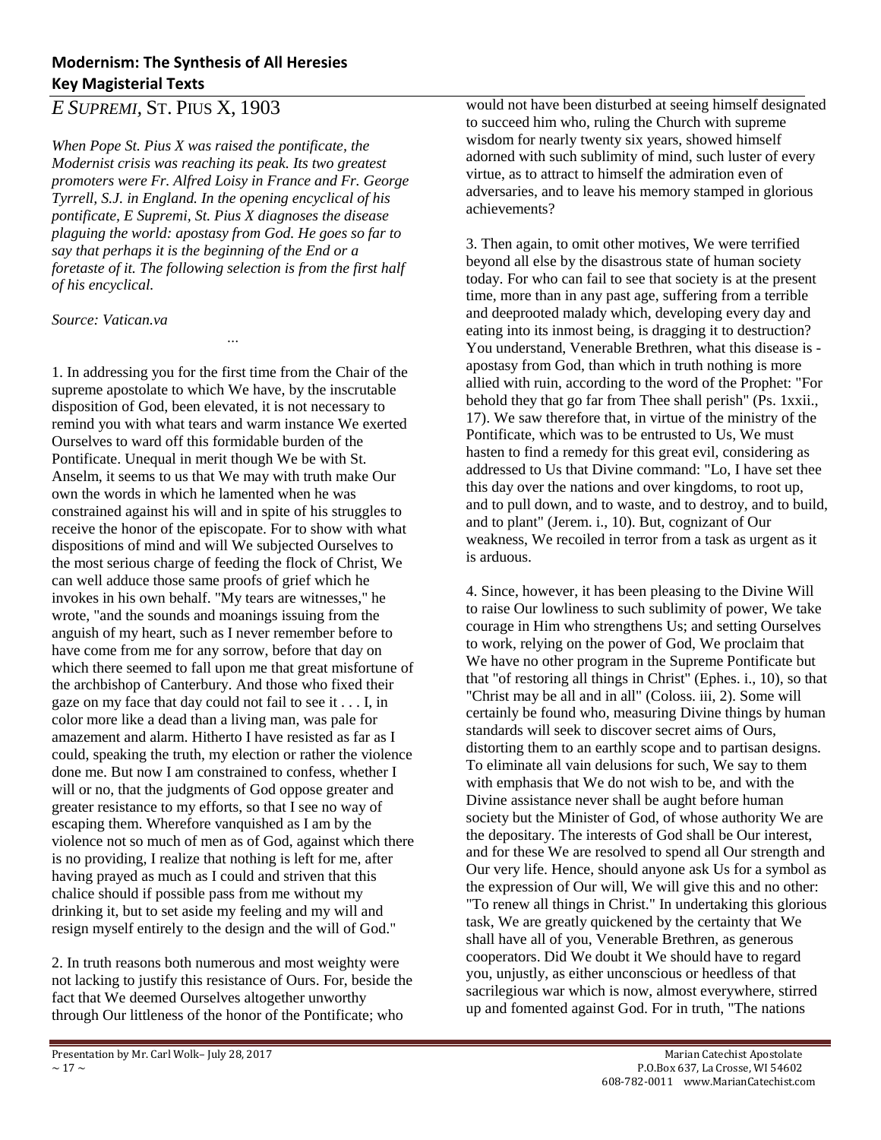# *E SUPREMI,* ST. PIUS X, 1903

*When Pope St. Pius X was raised the pontificate, the Modernist crisis was reaching its peak. Its two greatest promoters were Fr. Alfred Loisy in France and Fr. George Tyrrell, S.J. in England. In the opening encyclical of his pontificate, E Supremi, St. Pius X diagnoses the disease plaguing the world: apostasy from God. He goes so far to say that perhaps it is the beginning of the End or a foretaste of it. The following selection is from the first half of his encyclical.*

*…*

#### *Source: Vatican.va*

1. In addressing you for the first time from the Chair of the supreme apostolate to which We have, by the inscrutable disposition of God, been elevated, it is not necessary to remind you with what tears and warm instance We exerted Ourselves to ward off this formidable burden of the Pontificate. Unequal in merit though We be with St. Anselm, it seems to us that We may with truth make Our own the words in which he lamented when he was constrained against his will and in spite of his struggles to receive the honor of the episcopate. For to show with what dispositions of mind and will We subjected Ourselves to the most serious charge of feeding the flock of Christ, We can well adduce those same proofs of grief which he invokes in his own behalf. "My tears are witnesses," he wrote, "and the sounds and moanings issuing from the anguish of my heart, such as I never remember before to have come from me for any sorrow, before that day on which there seemed to fall upon me that great misfortune of the archbishop of Canterbury. And those who fixed their gaze on my face that day could not fail to see it . . . I, in color more like a dead than a living man, was pale for amazement and alarm. Hitherto I have resisted as far as I could, speaking the truth, my election or rather the violence done me. But now I am constrained to confess, whether I will or no, that the judgments of God oppose greater and greater resistance to my efforts, so that I see no way of escaping them. Wherefore vanquished as I am by the violence not so much of men as of God, against which there is no providing, I realize that nothing is left for me, after having prayed as much as I could and striven that this chalice should if possible pass from me without my drinking it, but to set aside my feeling and my will and resign myself entirely to the design and the will of God."

2. In truth reasons both numerous and most weighty were not lacking to justify this resistance of Ours. For, beside the fact that We deemed Ourselves altogether unworthy through Our littleness of the honor of the Pontificate; who

would not have been disturbed at seeing himself designated to succeed him who, ruling the Church with supreme wisdom for nearly twenty six years, showed himself adorned with such sublimity of mind, such luster of every virtue, as to attract to himself the admiration even of adversaries, and to leave his memory stamped in glorious achievements?

3. Then again, to omit other motives, We were terrified beyond all else by the disastrous state of human society today. For who can fail to see that society is at the present time, more than in any past age, suffering from a terrible and deeprooted malady which, developing every day and eating into its inmost being, is dragging it to destruction? You understand, Venerable Brethren, what this disease is apostasy from God, than which in truth nothing is more allied with ruin, according to the word of the Prophet: "For behold they that go far from Thee shall perish" (Ps. 1xxii., 17). We saw therefore that, in virtue of the ministry of the Pontificate, which was to be entrusted to Us, We must hasten to find a remedy for this great evil, considering as addressed to Us that Divine command: "Lo, I have set thee this day over the nations and over kingdoms, to root up, and to pull down, and to waste, and to destroy, and to build, and to plant" (Jerem. i., 10). But, cognizant of Our weakness, We recoiled in terror from a task as urgent as it is arduous.

4. Since, however, it has been pleasing to the Divine Will to raise Our lowliness to such sublimity of power, We take courage in Him who strengthens Us; and setting Ourselves to work, relying on the power of God, We proclaim that We have no other program in the Supreme Pontificate but that "of restoring all things in Christ" (Ephes. i., 10), so that "Christ may be all and in all" (Coloss. iii, 2). Some will certainly be found who, measuring Divine things by human standards will seek to discover secret aims of Ours, distorting them to an earthly scope and to partisan designs. To eliminate all vain delusions for such, We say to them with emphasis that We do not wish to be, and with the Divine assistance never shall be aught before human society but the Minister of God, of whose authority We are the depositary. The interests of God shall be Our interest, and for these We are resolved to spend all Our strength and Our very life. Hence, should anyone ask Us for a symbol as the expression of Our will, We will give this and no other: "To renew all things in Christ." In undertaking this glorious task, We are greatly quickened by the certainty that We shall have all of you, Venerable Brethren, as generous cooperators. Did We doubt it We should have to regard you, unjustly, as either unconscious or heedless of that sacrilegious war which is now, almost everywhere, stirred up and fomented against God. For in truth, "The nations

Presentation by Mr. Carl Wolk- July 28, 2017 Marian Catechist Apostolate Catechist Apostolate  $\sim 17 \sim$  P.O.Box 637, La Crosse, WI 54602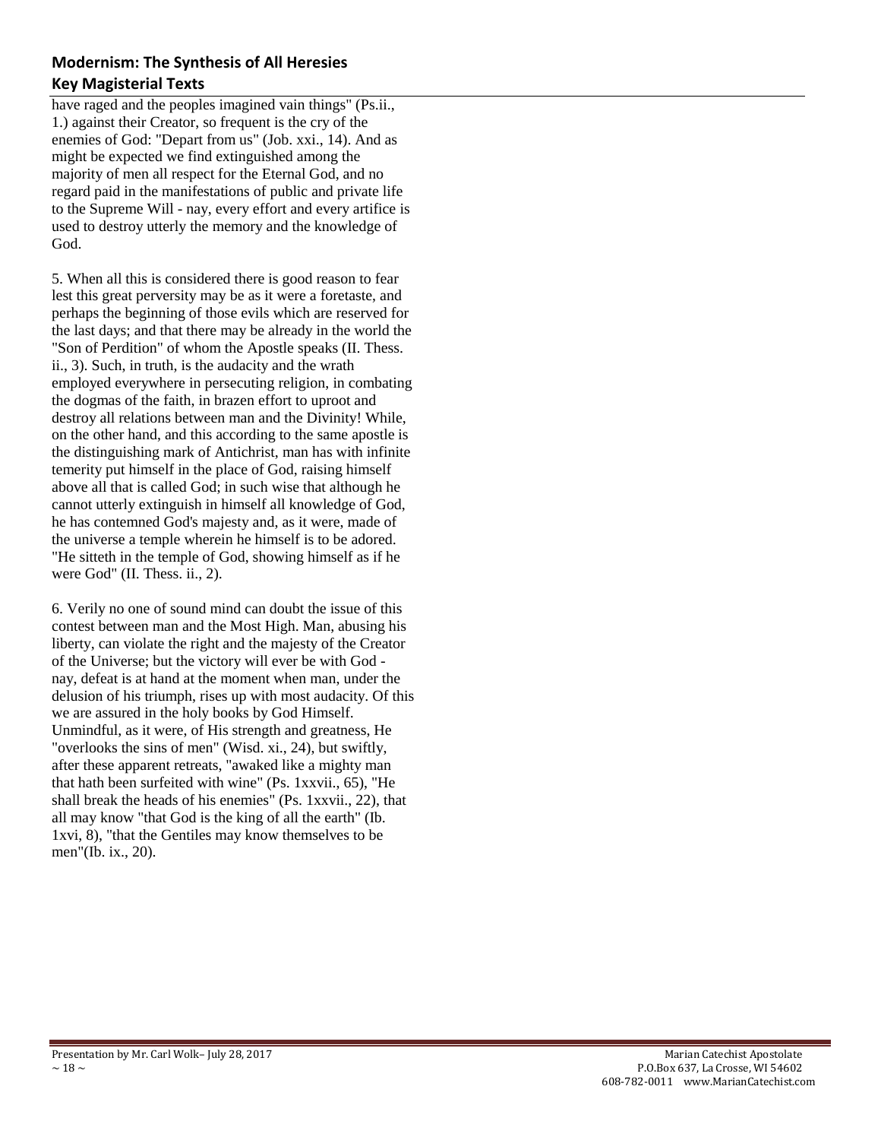have raged and the peoples imagined vain things" (Ps.ii., 1.) against their Creator, so frequent is the cry of the enemies of God: "Depart from us" (Job. xxi., 14). And as might be expected we find extinguished among the majority of men all respect for the Eternal God, and no regard paid in the manifestations of public and private life to the Supreme Will - nay, every effort and every artifice is used to destroy utterly the memory and the knowledge of God.

5. When all this is considered there is good reason to fear lest this great perversity may be as it were a foretaste, and perhaps the beginning of those evils which are reserved for the last days; and that there may be already in the world the "Son of Perdition" of whom the Apostle speaks (II. Thess. ii., 3). Such, in truth, is the audacity and the wrath employed everywhere in persecuting religion, in combating the dogmas of the faith, in brazen effort to uproot and destroy all relations between man and the Divinity! While, on the other hand, and this according to the same apostle is the distinguishing mark of Antichrist, man has with infinite temerity put himself in the place of God, raising himself above all that is called God; in such wise that although he cannot utterly extinguish in himself all knowledge of God, he has contemned God's majesty and, as it were, made of the universe a temple wherein he himself is to be adored. "He sitteth in the temple of God, showing himself as if he were God" (II. Thess. ii., 2).

6. Verily no one of sound mind can doubt the issue of this contest between man and the Most High. Man, abusing his liberty, can violate the right and the majesty of the Creator of the Universe; but the victory will ever be with God nay, defeat is at hand at the moment when man, under the delusion of his triumph, rises up with most audacity. Of this we are assured in the holy books by God Himself. Unmindful, as it were, of His strength and greatness, He "overlooks the sins of men" (Wisd. xi., 24), but swiftly, after these apparent retreats, "awaked like a mighty man that hath been surfeited with wine" (Ps. 1xxvii., 65), "He shall break the heads of his enemies" (Ps. 1xxvii., 22), that all may know "that God is the king of all the earth" (Ib. 1xvi, 8), "that the Gentiles may know themselves to be men"(Ib. ix., 20).

Presentation by Mr. Carl Wolk– July 28, 2017 Marian Catechist Apostolate Catechist Apostolate  $\sim$  18  $\sim$  P.O.Box 637, La Crosse, WI 54602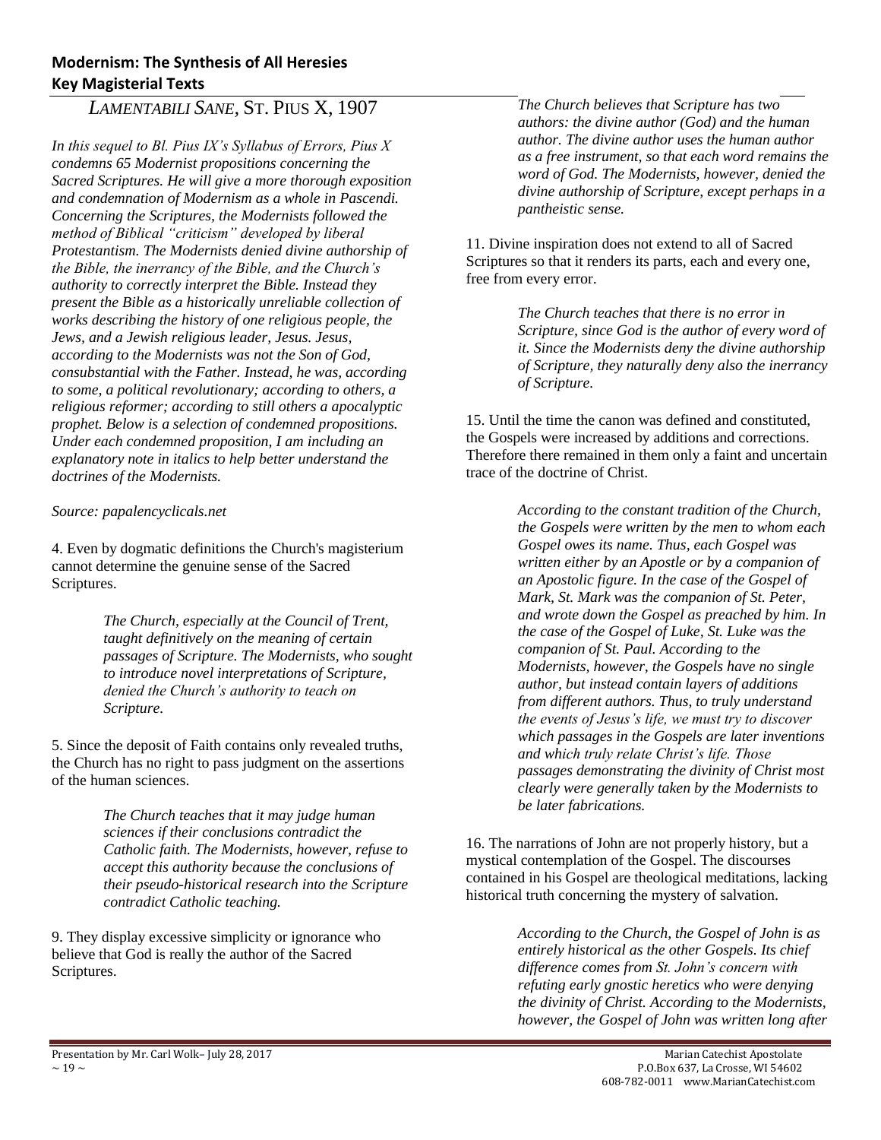*LAMENTABILI SANE,* ST. PIUS X, 1907

*In this sequel to Bl. Pius IX's Syllabus of Errors, Pius X condemns 65 Modernist propositions concerning the Sacred Scriptures. He will give a more thorough exposition and condemnation of Modernism as a whole in Pascendi. Concerning the Scriptures, the Modernists followed the method of Biblical "criticism" developed by liberal Protestantism. The Modernists denied divine authorship of the Bible, the inerrancy of the Bible, and the Church's authority to correctly interpret the Bible. Instead they present the Bible as a historically unreliable collection of works describing the history of one religious people, the Jews, and a Jewish religious leader, Jesus. Jesus, according to the Modernists was not the Son of God, consubstantial with the Father. Instead, he was, according to some, a political revolutionary; according to others, a religious reformer; according to still others a apocalyptic prophet. Below is a selection of condemned propositions. Under each condemned proposition, I am including an explanatory note in italics to help better understand the doctrines of the Modernists.*

*Source: papalencyclicals.net*

4. Even by dogmatic definitions the Church's magisterium cannot determine the genuine sense of the Sacred Scriptures.

> *The Church, especially at the Council of Trent, taught definitively on the meaning of certain passages of Scripture. The Modernists, who sought to introduce novel interpretations of Scripture, denied the Church's authority to teach on Scripture.*

5. Since the deposit of Faith contains only revealed truths, the Church has no right to pass judgment on the assertions of the human sciences.

> *The Church teaches that it may judge human sciences if their conclusions contradict the Catholic faith. The Modernists, however, refuse to accept this authority because the conclusions of their pseudo-historical research into the Scripture contradict Catholic teaching.*

9. They display excessive simplicity or ignorance who believe that God is really the author of the Sacred Scriptures.

*The Church believes that Scripture has two authors: the divine author (God) and the human author. The divine author uses the human author as a free instrument, so that each word remains the word of God. The Modernists, however, denied the divine authorship of Scripture, except perhaps in a pantheistic sense.*

11. Divine inspiration does not extend to all of Sacred Scriptures so that it renders its parts, each and every one, free from every error.

> *The Church teaches that there is no error in Scripture, since God is the author of every word of it. Since the Modernists deny the divine authorship of Scripture, they naturally deny also the inerrancy of Scripture.*

15. Until the time the canon was defined and constituted, the Gospels were increased by additions and corrections. Therefore there remained in them only a faint and uncertain trace of the doctrine of Christ.

> *According to the constant tradition of the Church, the Gospels were written by the men to whom each Gospel owes its name. Thus, each Gospel was written either by an Apostle or by a companion of an Apostolic figure. In the case of the Gospel of Mark, St. Mark was the companion of St. Peter, and wrote down the Gospel as preached by him. In the case of the Gospel of Luke, St. Luke was the companion of St. Paul. According to the Modernists, however, the Gospels have no single author, but instead contain layers of additions from different authors. Thus, to truly understand the events of Jesus's life, we must try to discover which passages in the Gospels are later inventions and which truly relate Christ's life. Those passages demonstrating the divinity of Christ most clearly were generally taken by the Modernists to be later fabrications.*

16. The narrations of John are not properly history, but a mystical contemplation of the Gospel. The discourses contained in his Gospel are theological meditations, lacking historical truth concerning the mystery of salvation.

> *According to the Church, the Gospel of John is as entirely historical as the other Gospels. Its chief difference comes from St. John's concern with refuting early gnostic heretics who were denying the divinity of Christ. According to the Modernists, however, the Gospel of John was written long after*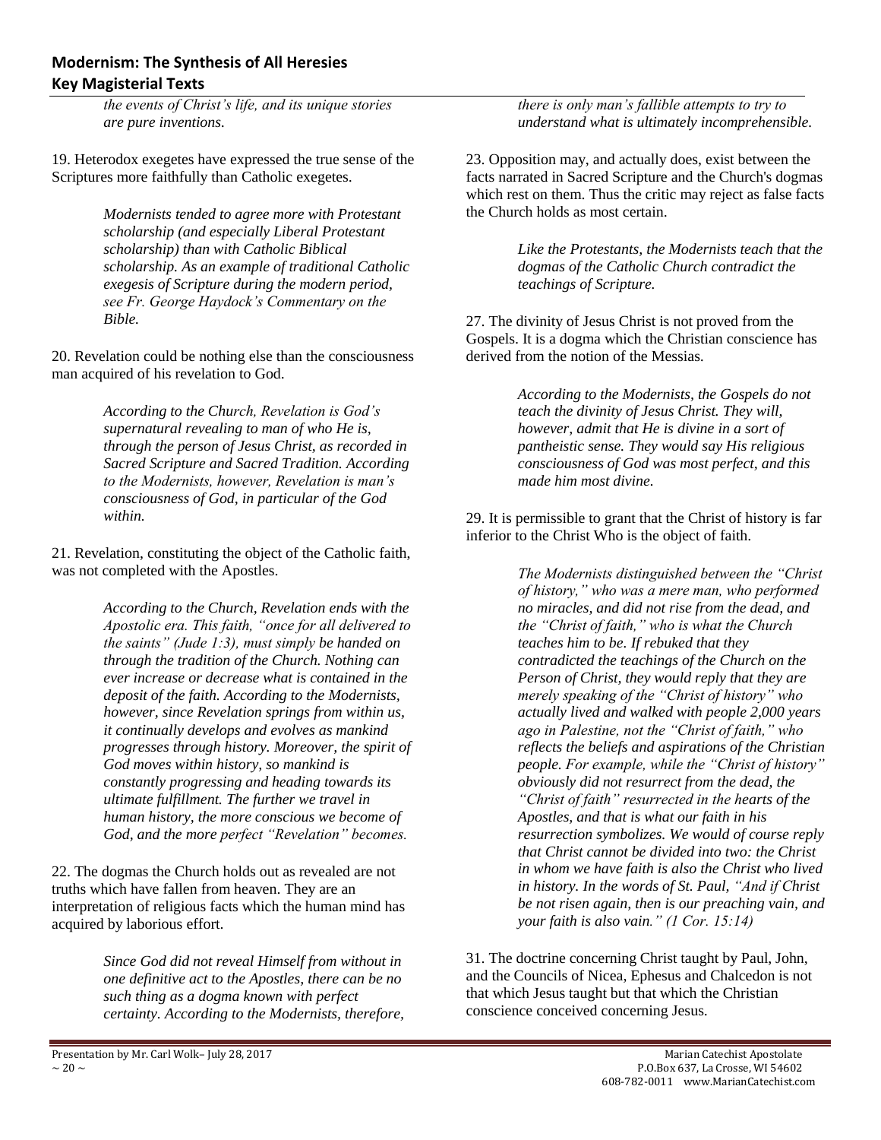*the events of Christ's life, and its unique stories are pure inventions.*

19. Heterodox exegetes have expressed the true sense of the Scriptures more faithfully than Catholic exegetes.

> *Modernists tended to agree more with Protestant scholarship (and especially Liberal Protestant scholarship) than with Catholic Biblical scholarship. As an example of traditional Catholic exegesis of Scripture during the modern period, see Fr. George Haydock's Commentary on the Bible.*

20. Revelation could be nothing else than the consciousness man acquired of his revelation to God.

> *According to the Church, Revelation is God's supernatural revealing to man of who He is, through the person of Jesus Christ, as recorded in Sacred Scripture and Sacred Tradition. According to the Modernists, however, Revelation is man's consciousness of God, in particular of the God within.*

21. Revelation, constituting the object of the Catholic faith, was not completed with the Apostles.

> *According to the Church, Revelation ends with the Apostolic era. This faith, "once for all delivered to the saints" (Jude 1:3), must simply be handed on through the tradition of the Church. Nothing can ever increase or decrease what is contained in the deposit of the faith. According to the Modernists, however, since Revelation springs from within us, it continually develops and evolves as mankind progresses through history. Moreover, the spirit of God moves within history, so mankind is constantly progressing and heading towards its ultimate fulfillment. The further we travel in human history, the more conscious we become of God, and the more perfect "Revelation" becomes.*

22. The dogmas the Church holds out as revealed are not truths which have fallen from heaven. They are an interpretation of religious facts which the human mind has acquired by laborious effort.

> *Since God did not reveal Himself from without in one definitive act to the Apostles, there can be no such thing as a dogma known with perfect certainty. According to the Modernists, therefore,*

*there is only man's fallible attempts to try to understand what is ultimately incomprehensible.*

23. Opposition may, and actually does, exist between the facts narrated in Sacred Scripture and the Church's dogmas which rest on them. Thus the critic may reject as false facts the Church holds as most certain.

> *Like the Protestants, the Modernists teach that the dogmas of the Catholic Church contradict the teachings of Scripture.*

27. The divinity of Jesus Christ is not proved from the Gospels. It is a dogma which the Christian conscience has derived from the notion of the Messias.

> *According to the Modernists, the Gospels do not teach the divinity of Jesus Christ. They will, however, admit that He is divine in a sort of pantheistic sense. They would say His religious consciousness of God was most perfect, and this made him most divine.*

29. It is permissible to grant that the Christ of history is far inferior to the Christ Who is the object of faith.

> *The Modernists distinguished between the "Christ of history," who was a mere man, who performed no miracles, and did not rise from the dead, and the "Christ of faith," who is what the Church teaches him to be. If rebuked that they contradicted the teachings of the Church on the Person of Christ, they would reply that they are merely speaking of the "Christ of history" who actually lived and walked with people 2,000 years ago in Palestine, not the "Christ of faith," who reflects the beliefs and aspirations of the Christian people. For example, while the "Christ of history" obviously did not resurrect from the dead, the "Christ of faith" resurrected in the hearts of the Apostles, and that is what our faith in his resurrection symbolizes. We would of course reply that Christ cannot be divided into two: the Christ in whom we have faith is also the Christ who lived in history. In the words of St. Paul, "And if Christ be not risen again, then is our preaching vain, and your faith is also vain." (1 Cor. 15:14)*

31. The doctrine concerning Christ taught by Paul, John, and the Councils of Nicea, Ephesus and Chalcedon is not that which Jesus taught but that which the Christian conscience conceived concerning Jesus.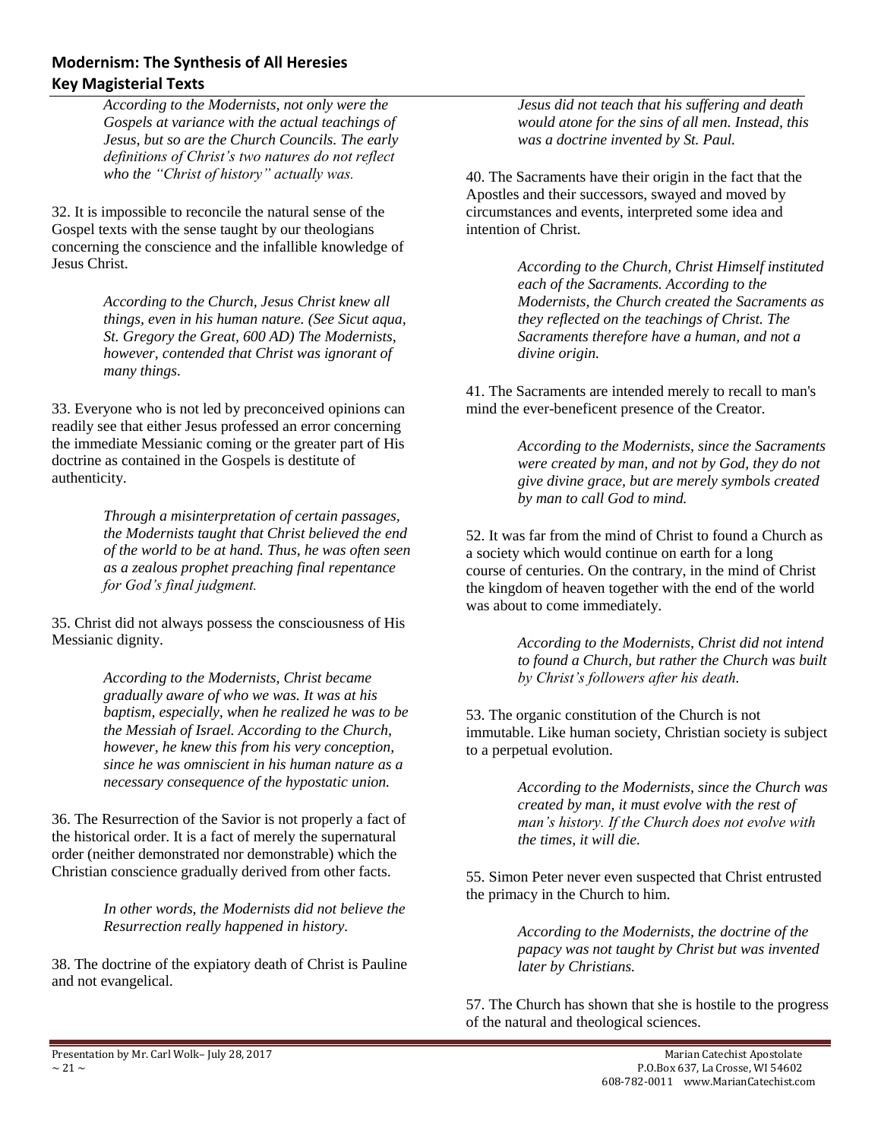*According to the Modernists, not only were the Gospels at variance with the actual teachings of Jesus, but so are the Church Councils. The early definitions of Christ's two natures do not reflect who the "Christ of history" actually was.*

32. It is impossible to reconcile the natural sense of the Gospel texts with the sense taught by our theologians concerning the conscience and the infallible knowledge of Jesus Christ.

> *According to the Church, Jesus Christ knew all things, even in his human nature. (See Sicut aqua, St. Gregory the Great, 600 AD) The Modernists, however, contended that Christ was ignorant of many things.*

33. Everyone who is not led by preconceived opinions can readily see that either Jesus professed an error concerning the immediate Messianic coming or the greater part of His doctrine as contained in the Gospels is destitute of authenticity.

> *Through a misinterpretation of certain passages, the Modernists taught that Christ believed the end of the world to be at hand. Thus, he was often seen as a zealous prophet preaching final repentance for God's final judgment.*

35. Christ did not always possess the consciousness of His Messianic dignity.

> *According to the Modernists, Christ became gradually aware of who we was. It was at his baptism, especially, when he realized he was to be the Messiah of Israel. According to the Church, however, he knew this from his very conception, since he was omniscient in his human nature as a necessary consequence of the hypostatic union.*

36. The Resurrection of the Savior is not properly a fact of the historical order. It is a fact of merely the supernatural order (neither demonstrated nor demonstrable) which the Christian conscience gradually derived from other facts.

> *In other words, the Modernists did not believe the Resurrection really happened in history.*

38. The doctrine of the expiatory death of Christ is Pauline and not evangelical.

*Jesus did not teach that his suffering and death would atone for the sins of all men. Instead, this was a doctrine invented by St. Paul.*

40. The Sacraments have their origin in the fact that the Apostles and their successors, swayed and moved by circumstances and events, interpreted some idea and intention of Christ.

> *According to the Church, Christ Himself instituted each of the Sacraments. According to the Modernists, the Church created the Sacraments as they reflected on the teachings of Christ. The Sacraments therefore have a human, and not a divine origin.*

41. The Sacraments are intended merely to recall to man's mind the ever-beneficent presence of the Creator.

> *According to the Modernists, since the Sacraments were created by man, and not by God, they do not give divine grace, but are merely symbols created by man to call God to mind.*

52. It was far from the mind of Christ to found a Church as a society which would continue on earth for a long course of centuries. On the contrary, in the mind of Christ the kingdom of heaven together with the end of the world was about to come immediately.

> *According to the Modernists, Christ did not intend to found a Church, but rather the Church was built by Christ's followers after his death.*

53. The organic constitution of the Church is not immutable. Like human society, Christian society is subject to a perpetual evolution.

> *According to the Modernists, since the Church was created by man, it must evolve with the rest of man's history. If the Church does not evolve with the times, it will die.*

55. Simon Peter never even suspected that Christ entrusted the primacy in the Church to him.

> *According to the Modernists, the doctrine of the papacy was not taught by Christ but was invented later by Christians.*

57. The Church has shown that she is hostile to the progress of the natural and theological sciences.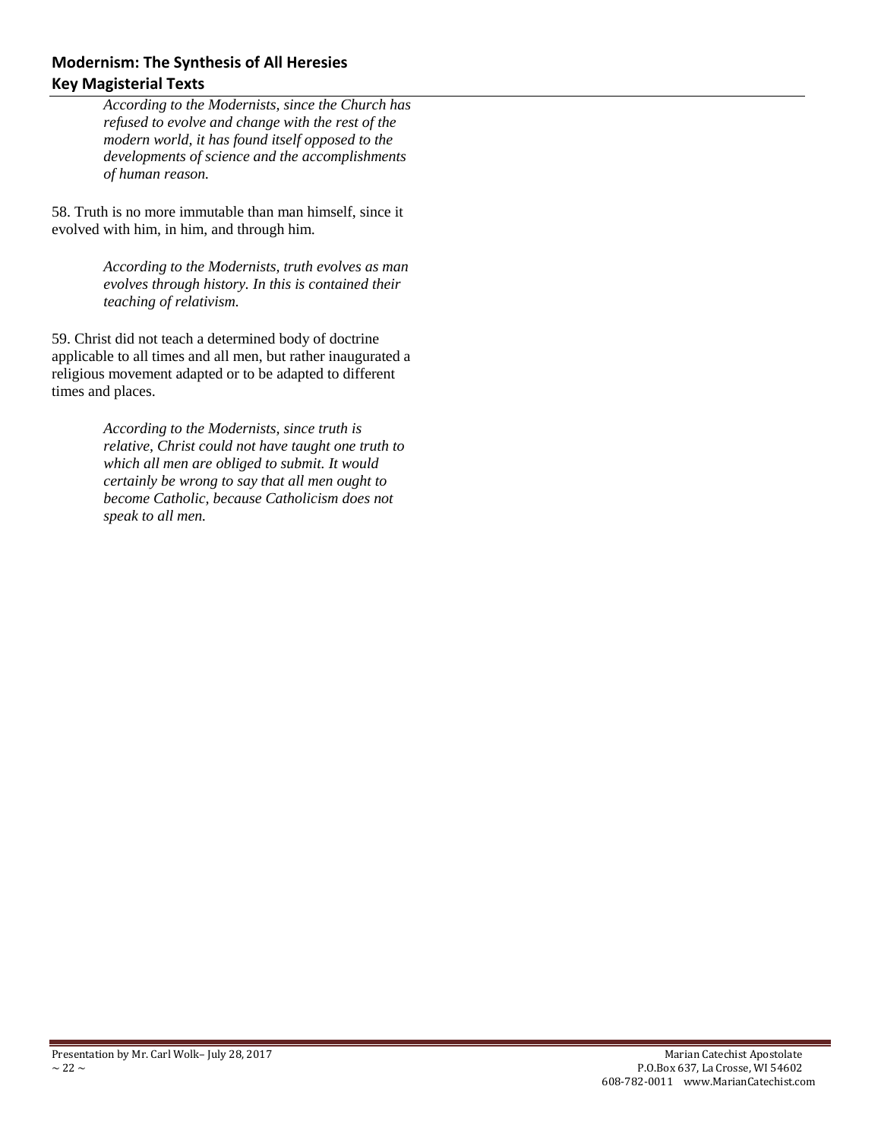*According to the Modernists, since the Church has refused to evolve and change with the rest of the modern world, it has found itself opposed to the developments of science and the accomplishments of human reason.*

58. Truth is no more immutable than man himself, since it evolved with him, in him, and through him.

> *According to the Modernists, truth evolves as man evolves through history. In this is contained their teaching of relativism.*

59. Christ did not teach a determined body of doctrine applicable to all times and all men, but rather inaugurated a religious movement adapted or to be adapted to different times and places.

> *According to the Modernists, since truth is relative, Christ could not have taught one truth to which all men are obliged to submit. It would certainly be wrong to say that all men ought to become Catholic, because Catholicism does not speak to all men.*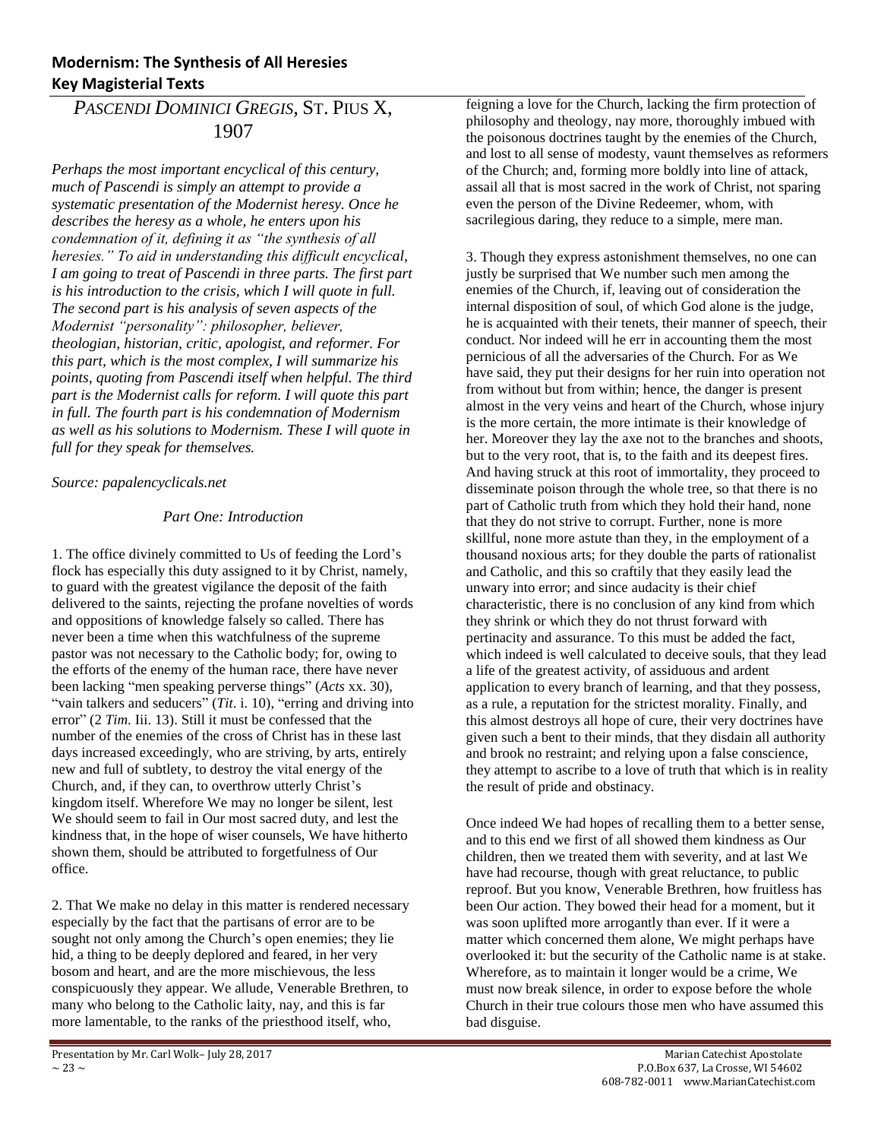*PASCENDI DOMINICI GREGIS,* ST. PIUS X, 1907

*Perhaps the most important encyclical of this century, much of Pascendi is simply an attempt to provide a systematic presentation of the Modernist heresy. Once he describes the heresy as a whole, he enters upon his condemnation of it, defining it as "the synthesis of all heresies." To aid in understanding this difficult encyclical, I am going to treat of Pascendi in three parts. The first part is his introduction to the crisis, which I will quote in full. The second part is his analysis of seven aspects of the Modernist "personality": philosopher, believer, theologian, historian, critic, apologist, and reformer. For this part, which is the most complex, I will summarize his points, quoting from Pascendi itself when helpful. The third part is the Modernist calls for reform. I will quote this part in full. The fourth part is his condemnation of Modernism as well as his solutions to Modernism. These I will quote in full for they speak for themselves.*

*Source: papalencyclicals.net*

#### *Part One: Introduction*

1. The office divinely committed to Us of feeding the Lord's flock has especially this duty assigned to it by Christ, namely, to guard with the greatest vigilance the deposit of the faith delivered to the saints, rejecting the profane novelties of words and oppositions of knowledge falsely so called. There has never been a time when this watchfulness of the supreme pastor was not necessary to the Catholic body; for, owing to the efforts of the enemy of the human race, there have never been lacking "men speaking perverse things" (*Acts* xx. 30), "vain talkers and seducers" (*Tit.* i. 10), "erring and driving into error" (2 *Tim*. Iii. 13). Still it must be confessed that the number of the enemies of the cross of Christ has in these last days increased exceedingly, who are striving, by arts, entirely new and full of subtlety, to destroy the vital energy of the Church, and, if they can, to overthrow utterly Christ's kingdom itself. Wherefore We may no longer be silent, lest We should seem to fail in Our most sacred duty, and lest the kindness that, in the hope of wiser counsels, We have hitherto shown them, should be attributed to forgetfulness of Our office.

2. That We make no delay in this matter is rendered necessary especially by the fact that the partisans of error are to be sought not only among the Church's open enemies; they lie hid, a thing to be deeply deplored and feared, in her very bosom and heart, and are the more mischievous, the less conspicuously they appear. We allude, Venerable Brethren, to many who belong to the Catholic laity, nay, and this is far more lamentable, to the ranks of the priesthood itself, who,

Presentation by Mr. Carl Wolk- July 28, 2017 Marian Catechist Apostolate Catechist Apostolate  $\sim$  23  $\sim$   $\sim$  23  $\sim$ 

feigning a love for the Church, lacking the firm protection of philosophy and theology, nay more, thoroughly imbued with the poisonous doctrines taught by the enemies of the Church, and lost to all sense of modesty, vaunt themselves as reformers of the Church; and, forming more boldly into line of attack, assail all that is most sacred in the work of Christ, not sparing even the person of the Divine Redeemer, whom, with sacrilegious daring, they reduce to a simple, mere man.

3. Though they express astonishment themselves, no one can justly be surprised that We number such men among the enemies of the Church, if, leaving out of consideration the internal disposition of soul, of which God alone is the judge, he is acquainted with their tenets, their manner of speech, their conduct. Nor indeed will he err in accounting them the most pernicious of all the adversaries of the Church. For as We have said, they put their designs for her ruin into operation not from without but from within; hence, the danger is present almost in the very veins and heart of the Church, whose injury is the more certain, the more intimate is their knowledge of her. Moreover they lay the axe not to the branches and shoots, but to the very root, that is, to the faith and its deepest fires. And having struck at this root of immortality, they proceed to disseminate poison through the whole tree, so that there is no part of Catholic truth from which they hold their hand, none that they do not strive to corrupt. Further, none is more skillful, none more astute than they, in the employment of a thousand noxious arts; for they double the parts of rationalist and Catholic, and this so craftily that they easily lead the unwary into error; and since audacity is their chief characteristic, there is no conclusion of any kind from which they shrink or which they do not thrust forward with pertinacity and assurance. To this must be added the fact, which indeed is well calculated to deceive souls, that they lead a life of the greatest activity, of assiduous and ardent application to every branch of learning, and that they possess, as a rule, a reputation for the strictest morality. Finally, and this almost destroys all hope of cure, their very doctrines have given such a bent to their minds, that they disdain all authority and brook no restraint; and relying upon a false conscience, they attempt to ascribe to a love of truth that which is in reality the result of pride and obstinacy.

Once indeed We had hopes of recalling them to a better sense, and to this end we first of all showed them kindness as Our children, then we treated them with severity, and at last We have had recourse, though with great reluctance, to public reproof. But you know, Venerable Brethren, how fruitless has been Our action. They bowed their head for a moment, but it was soon uplifted more arrogantly than ever. If it were a matter which concerned them alone, We might perhaps have overlooked it: but the security of the Catholic name is at stake. Wherefore, as to maintain it longer would be a crime, We must now break silence, in order to expose before the whole Church in their true colours those men who have assumed this bad disguise.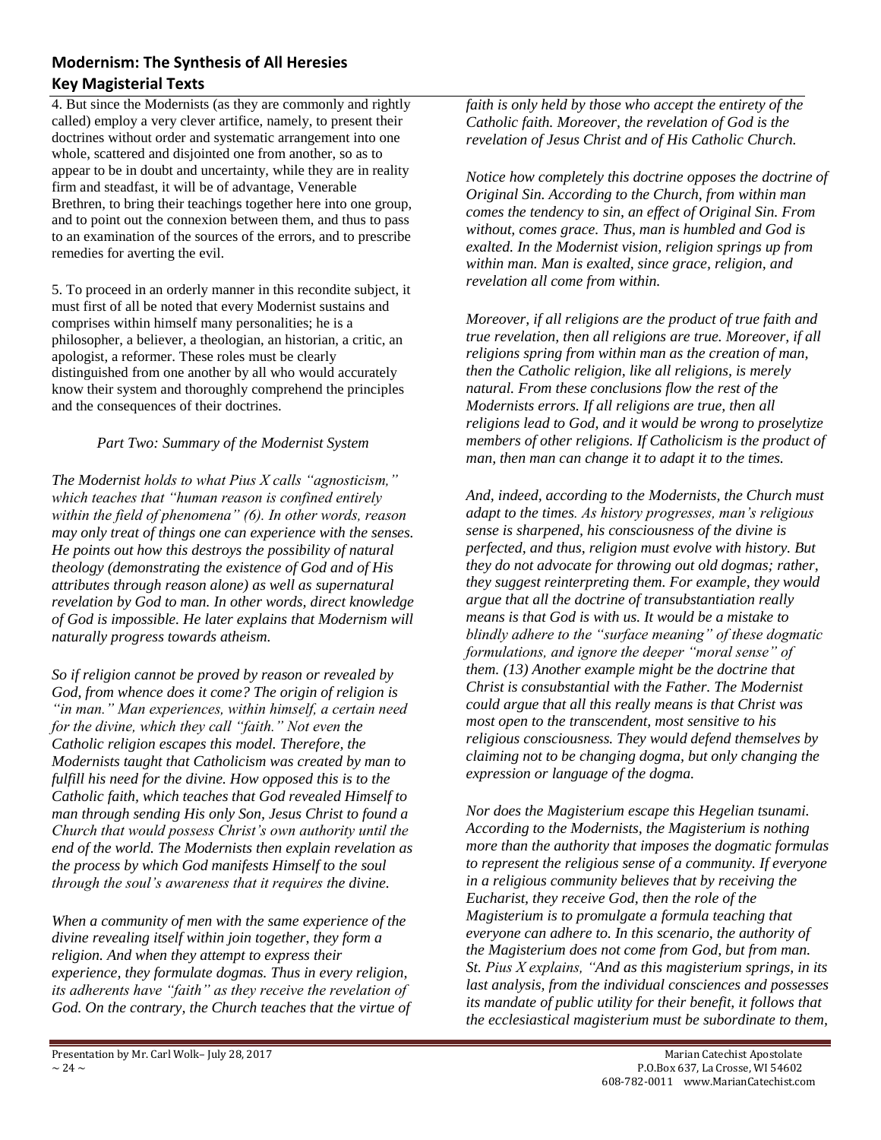4. But since the Modernists (as they are commonly and rightly called) employ a very clever artifice, namely, to present their doctrines without order and systematic arrangement into one whole, scattered and disjointed one from another, so as to appear to be in doubt and uncertainty, while they are in reality firm and steadfast, it will be of advantage, Venerable Brethren, to bring their teachings together here into one group, and to point out the connexion between them, and thus to pass to an examination of the sources of the errors, and to prescribe remedies for averting the evil.

5. To proceed in an orderly manner in this recondite subject, it must first of all be noted that every Modernist sustains and comprises within himself many personalities; he is a philosopher, a believer, a theologian, an historian, a critic, an apologist, a reformer. These roles must be clearly distinguished from one another by all who would accurately know their system and thoroughly comprehend the principles and the consequences of their doctrines.

### *Part Two: Summary of the Modernist System*

*The Modernist holds to what Pius X calls "agnosticism," which teaches that "human reason is confined entirely within the field of phenomena" (6). In other words, reason may only treat of things one can experience with the senses. He points out how this destroys the possibility of natural theology (demonstrating the existence of God and of His attributes through reason alone) as well as supernatural revelation by God to man. In other words, direct knowledge of God is impossible. He later explains that Modernism will naturally progress towards atheism.*

*So if religion cannot be proved by reason or revealed by God, from whence does it come? The origin of religion is "in man." Man experiences, within himself, a certain need for the divine, which they call "faith." Not even the Catholic religion escapes this model. Therefore, the Modernists taught that Catholicism was created by man to fulfill his need for the divine. How opposed this is to the Catholic faith, which teaches that God revealed Himself to man through sending His only Son, Jesus Christ to found a Church that would possess Christ's own authority until the end of the world. The Modernists then explain revelation as the process by which God manifests Himself to the soul through the soul's awareness that it requires the divine.* 

*When a community of men with the same experience of the divine revealing itself within join together, they form a religion. And when they attempt to express their experience, they formulate dogmas. Thus in every religion, its adherents have "faith" as they receive the revelation of God. On the contrary, the Church teaches that the virtue of*  *faith is only held by those who accept the entirety of the Catholic faith. Moreover, the revelation of God is the revelation of Jesus Christ and of His Catholic Church.*

*Notice how completely this doctrine opposes the doctrine of Original Sin. According to the Church, from within man comes the tendency to sin, an effect of Original Sin. From without, comes grace. Thus, man is humbled and God is exalted. In the Modernist vision, religion springs up from within man. Man is exalted, since grace, religion, and revelation all come from within.*

*Moreover, if all religions are the product of true faith and true revelation, then all religions are true. Moreover, if all religions spring from within man as the creation of man, then the Catholic religion, like all religions, is merely natural. From these conclusions flow the rest of the Modernists errors. If all religions are true, then all religions lead to God, and it would be wrong to proselytize members of other religions. If Catholicism is the product of man, then man can change it to adapt it to the times.*

*And, indeed, according to the Modernists, the Church must adapt to the times. As history progresses, man's religious sense is sharpened, his consciousness of the divine is perfected, and thus, religion must evolve with history. But they do not advocate for throwing out old dogmas; rather, they suggest reinterpreting them. For example, they would argue that all the doctrine of transubstantiation really means is that God is with us. It would be a mistake to blindly adhere to the "surface meaning" of these dogmatic formulations, and ignore the deeper "moral sense" of them. (13) Another example might be the doctrine that Christ is consubstantial with the Father. The Modernist could argue that all this really means is that Christ was most open to the transcendent, most sensitive to his religious consciousness. They would defend themselves by claiming not to be changing dogma, but only changing the expression or language of the dogma.* 

*Nor does the Magisterium escape this Hegelian tsunami. According to the Modernists, the Magisterium is nothing more than the authority that imposes the dogmatic formulas to represent the religious sense of a community. If everyone in a religious community believes that by receiving the Eucharist, they receive God, then the role of the Magisterium is to promulgate a formula teaching that everyone can adhere to. In this scenario, the authority of the Magisterium does not come from God, but from man. St. Pius X explains, "And as this magisterium springs, in its last analysis, from the individual consciences and possesses its mandate of public utility for their benefit, it follows that the ecclesiastical magisterium must be subordinate to them,*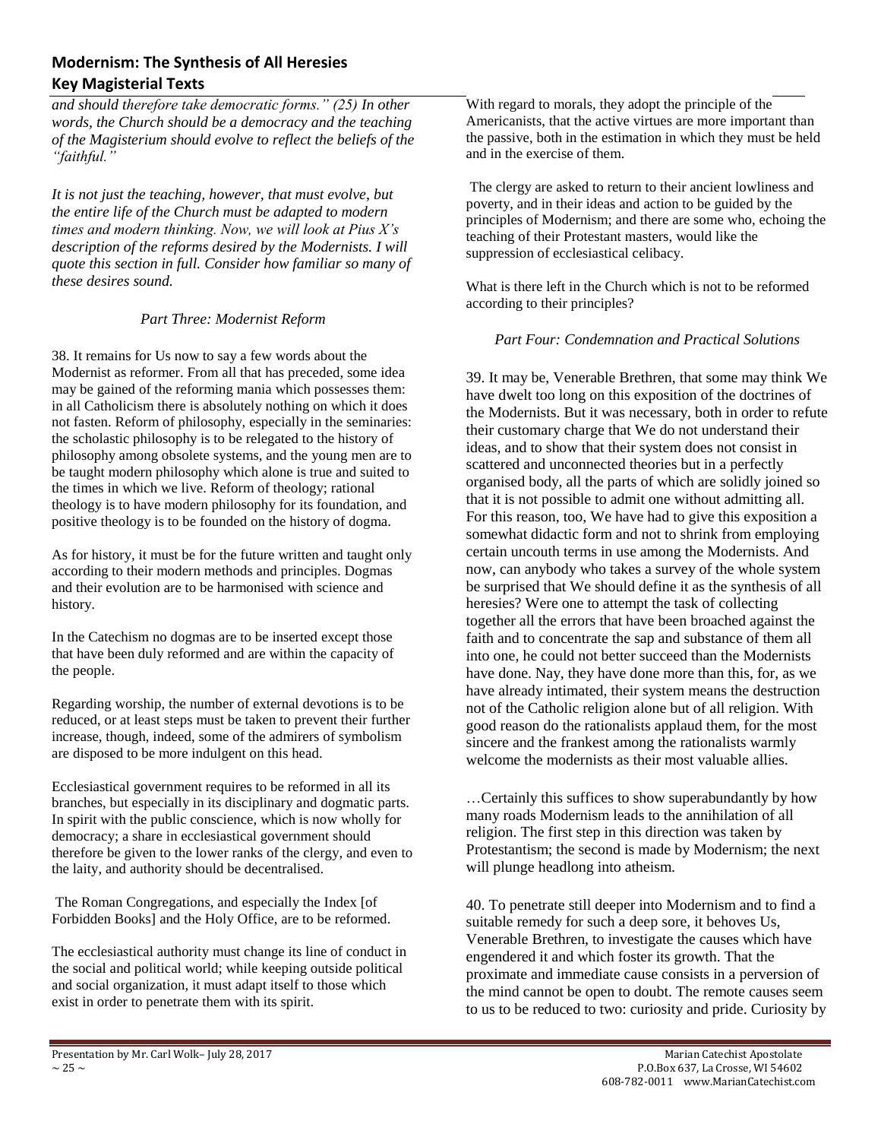*and should therefore take democratic forms." (25) In other words, the Church should be a democracy and the teaching of the Magisterium should evolve to reflect the beliefs of the "faithful."*

*It is not just the teaching, however, that must evolve, but the entire life of the Church must be adapted to modern times and modern thinking. Now, we will look at Pius X's description of the reforms desired by the Modernists. I will quote this section in full. Consider how familiar so many of these desires sound.*

### *Part Three: Modernist Reform*

38. It remains for Us now to say a few words about the Modernist as reformer. From all that has preceded, some idea may be gained of the reforming mania which possesses them: in all Catholicism there is absolutely nothing on which it does not fasten. Reform of philosophy, especially in the seminaries: the scholastic philosophy is to be relegated to the history of philosophy among obsolete systems, and the young men are to be taught modern philosophy which alone is true and suited to the times in which we live. Reform of theology; rational theology is to have modern philosophy for its foundation, and positive theology is to be founded on the history of dogma.

As for history, it must be for the future written and taught only according to their modern methods and principles. Dogmas and their evolution are to be harmonised with science and history.

In the Catechism no dogmas are to be inserted except those that have been duly reformed and are within the capacity of the people.

Regarding worship, the number of external devotions is to be reduced, or at least steps must be taken to prevent their further increase, though, indeed, some of the admirers of symbolism are disposed to be more indulgent on this head.

Ecclesiastical government requires to be reformed in all its branches, but especially in its disciplinary and dogmatic parts. In spirit with the public conscience, which is now wholly for democracy; a share in ecclesiastical government should therefore be given to the lower ranks of the clergy, and even to the laity, and authority should be decentralised.

The Roman Congregations, and especially the Index [of Forbidden Books] and the Holy Office, are to be reformed.

The ecclesiastical authority must change its line of conduct in the social and political world; while keeping outside political and social organization, it must adapt itself to those which exist in order to penetrate them with its spirit.

With regard to morals, they adopt the principle of the Americanists, that the active virtues are more important than the passive, both in the estimation in which they must be held and in the exercise of them.

The clergy are asked to return to their ancient lowliness and poverty, and in their ideas and action to be guided by the principles of Modernism; and there are some who, echoing the teaching of their Protestant masters, would like the suppression of ecclesiastical celibacy.

What is there left in the Church which is not to be reformed according to their principles?

### *Part Four: Condemnation and Practical Solutions*

39. It may be, Venerable Brethren, that some may think We have dwelt too long on this exposition of the doctrines of the Modernists. But it was necessary, both in order to refute their customary charge that We do not understand their ideas, and to show that their system does not consist in scattered and unconnected theories but in a perfectly organised body, all the parts of which are solidly joined so that it is not possible to admit one without admitting all. For this reason, too, We have had to give this exposition a somewhat didactic form and not to shrink from employing certain uncouth terms in use among the Modernists. And now, can anybody who takes a survey of the whole system be surprised that We should define it as the synthesis of all heresies? Were one to attempt the task of collecting together all the errors that have been broached against the faith and to concentrate the sap and substance of them all into one, he could not better succeed than the Modernists have done. Nay, they have done more than this, for, as we have already intimated, their system means the destruction not of the Catholic religion alone but of all religion. With good reason do the rationalists applaud them, for the most sincere and the frankest among the rationalists warmly welcome the modernists as their most valuable allies.

…Certainly this suffices to show superabundantly by how many roads Modernism leads to the annihilation of all religion. The first step in this direction was taken by Protestantism; the second is made by Modernism; the next will plunge headlong into atheism.

40. To penetrate still deeper into Modernism and to find a suitable remedy for such a deep sore, it behoves Us, Venerable Brethren, to investigate the causes which have engendered it and which foster its growth. That the proximate and immediate cause consists in a perversion of the mind cannot be open to doubt. The remote causes seem to us to be reduced to two: curiosity and pride. Curiosity by

Presentation by Mr. Carl Wolk- July 28, 2017 Marian Catechist Apostolate Catechist Apostolate  $\sim$  25  $\sim$   $\sim$  25  $\sim$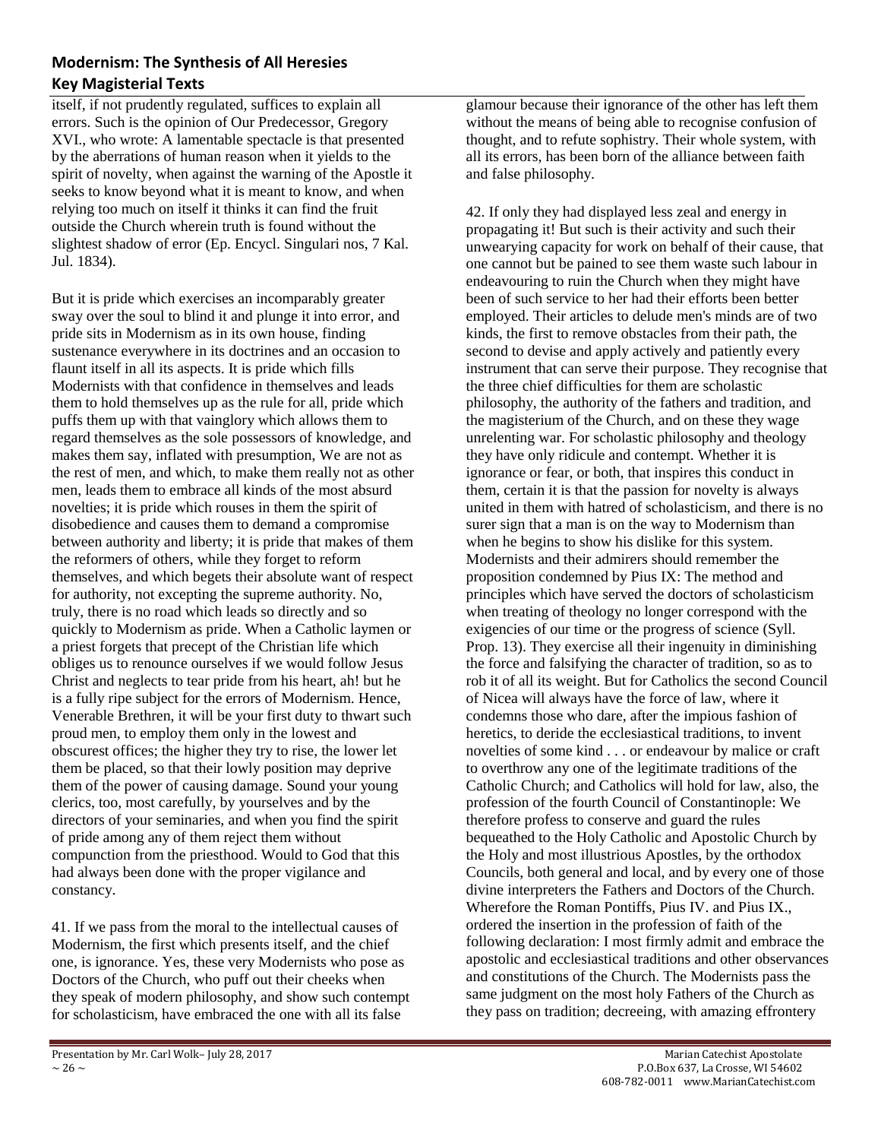itself, if not prudently regulated, suffices to explain all errors. Such is the opinion of Our Predecessor, Gregory XVI., who wrote: A lamentable spectacle is that presented by the aberrations of human reason when it yields to the spirit of novelty, when against the warning of the Apostle it seeks to know beyond what it is meant to know, and when relying too much on itself it thinks it can find the fruit outside the Church wherein truth is found without the slightest shadow of error (Ep. Encycl. Singulari nos, 7 Kal. Jul. 1834).

But it is pride which exercises an incomparably greater sway over the soul to blind it and plunge it into error, and pride sits in Modernism as in its own house, finding sustenance everywhere in its doctrines and an occasion to flaunt itself in all its aspects. It is pride which fills Modernists with that confidence in themselves and leads them to hold themselves up as the rule for all, pride which puffs them up with that vainglory which allows them to regard themselves as the sole possessors of knowledge, and makes them say, inflated with presumption, We are not as the rest of men, and which, to make them really not as other men, leads them to embrace all kinds of the most absurd novelties; it is pride which rouses in them the spirit of disobedience and causes them to demand a compromise between authority and liberty; it is pride that makes of them the reformers of others, while they forget to reform themselves, and which begets their absolute want of respect for authority, not excepting the supreme authority. No, truly, there is no road which leads so directly and so quickly to Modernism as pride. When a Catholic laymen or a priest forgets that precept of the Christian life which obliges us to renounce ourselves if we would follow Jesus Christ and neglects to tear pride from his heart, ah! but he is a fully ripe subject for the errors of Modernism. Hence, Venerable Brethren, it will be your first duty to thwart such proud men, to employ them only in the lowest and obscurest offices; the higher they try to rise, the lower let them be placed, so that their lowly position may deprive them of the power of causing damage. Sound your young clerics, too, most carefully, by yourselves and by the directors of your seminaries, and when you find the spirit of pride among any of them reject them without compunction from the priesthood. Would to God that this had always been done with the proper vigilance and constancy.

41. If we pass from the moral to the intellectual causes of Modernism, the first which presents itself, and the chief one, is ignorance. Yes, these very Modernists who pose as Doctors of the Church, who puff out their cheeks when they speak of modern philosophy, and show such contempt for scholasticism, have embraced the one with all its false

glamour because their ignorance of the other has left them without the means of being able to recognise confusion of thought, and to refute sophistry. Their whole system, with all its errors, has been born of the alliance between faith and false philosophy.

42. If only they had displayed less zeal and energy in propagating it! But such is their activity and such their unwearying capacity for work on behalf of their cause, that one cannot but be pained to see them waste such labour in endeavouring to ruin the Church when they might have been of such service to her had their efforts been better employed. Their articles to delude men's minds are of two kinds, the first to remove obstacles from their path, the second to devise and apply actively and patiently every instrument that can serve their purpose. They recognise that the three chief difficulties for them are scholastic philosophy, the authority of the fathers and tradition, and the magisterium of the Church, and on these they wage unrelenting war. For scholastic philosophy and theology they have only ridicule and contempt. Whether it is ignorance or fear, or both, that inspires this conduct in them, certain it is that the passion for novelty is always united in them with hatred of scholasticism, and there is no surer sign that a man is on the way to Modernism than when he begins to show his dislike for this system. Modernists and their admirers should remember the proposition condemned by Pius IX: The method and principles which have served the doctors of scholasticism when treating of theology no longer correspond with the exigencies of our time or the progress of science (Syll. Prop. 13). They exercise all their ingenuity in diminishing the force and falsifying the character of tradition, so as to rob it of all its weight. But for Catholics the second Council of Nicea will always have the force of law, where it condemns those who dare, after the impious fashion of heretics, to deride the ecclesiastical traditions, to invent novelties of some kind . . . or endeavour by malice or craft to overthrow any one of the legitimate traditions of the Catholic Church; and Catholics will hold for law, also, the profession of the fourth Council of Constantinople: We therefore profess to conserve and guard the rules bequeathed to the Holy Catholic and Apostolic Church by the Holy and most illustrious Apostles, by the orthodox Councils, both general and local, and by every one of those divine interpreters the Fathers and Doctors of the Church. Wherefore the Roman Pontiffs, Pius IV. and Pius IX., ordered the insertion in the profession of faith of the following declaration: I most firmly admit and embrace the apostolic and ecclesiastical traditions and other observances and constitutions of the Church. The Modernists pass the same judgment on the most holy Fathers of the Church as they pass on tradition; decreeing, with amazing effrontery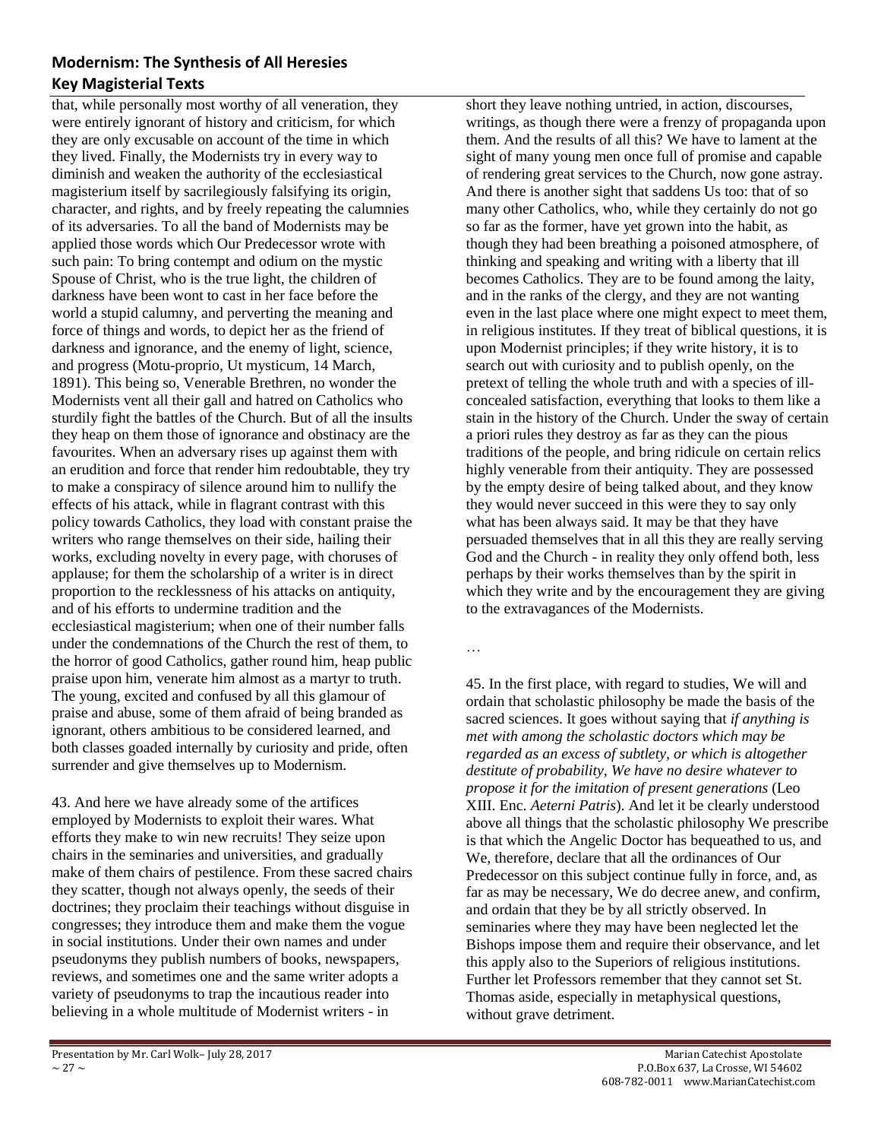that, while personally most worthy of all veneration, they were entirely ignorant of history and criticism, for which they are only excusable on account of the time in which they lived. Finally, the Modernists try in every way to diminish and weaken the authority of the ecclesiastical magisterium itself by sacrilegiously falsifying its origin, character, and rights, and by freely repeating the calumnies of its adversaries. To all the band of Modernists may be applied those words which Our Predecessor wrote with such pain: To bring contempt and odium on the mystic Spouse of Christ, who is the true light, the children of darkness have been wont to cast in her face before the world a stupid calumny, and perverting the meaning and force of things and words, to depict her as the friend of darkness and ignorance, and the enemy of light, science, and progress (Motu-proprio, Ut mysticum, 14 March, 1891). This being so, Venerable Brethren, no wonder the Modernists vent all their gall and hatred on Catholics who sturdily fight the battles of the Church. But of all the insults they heap on them those of ignorance and obstinacy are the favourites. When an adversary rises up against them with an erudition and force that render him redoubtable, they try to make a conspiracy of silence around him to nullify the effects of his attack, while in flagrant contrast with this policy towards Catholics, they load with constant praise the writers who range themselves on their side, hailing their works, excluding novelty in every page, with choruses of applause; for them the scholarship of a writer is in direct proportion to the recklessness of his attacks on antiquity, and of his efforts to undermine tradition and the ecclesiastical magisterium; when one of their number falls under the condemnations of the Church the rest of them, to the horror of good Catholics, gather round him, heap public praise upon him, venerate him almost as a martyr to truth. The young, excited and confused by all this glamour of praise and abuse, some of them afraid of being branded as ignorant, others ambitious to be considered learned, and both classes goaded internally by curiosity and pride, often surrender and give themselves up to Modernism.

43. And here we have already some of the artifices employed by Modernists to exploit their wares. What efforts they make to win new recruits! They seize upon chairs in the seminaries and universities, and gradually make of them chairs of pestilence. From these sacred chairs they scatter, though not always openly, the seeds of their doctrines; they proclaim their teachings without disguise in congresses; they introduce them and make them the vogue in social institutions. Under their own names and under pseudonyms they publish numbers of books, newspapers, reviews, and sometimes one and the same writer adopts a variety of pseudonyms to trap the incautious reader into believing in a whole multitude of Modernist writers - in

short they leave nothing untried, in action, discourses, writings, as though there were a frenzy of propaganda upon them. And the results of all this? We have to lament at the sight of many young men once full of promise and capable of rendering great services to the Church, now gone astray. And there is another sight that saddens Us too: that of so many other Catholics, who, while they certainly do not go so far as the former, have yet grown into the habit, as though they had been breathing a poisoned atmosphere, of thinking and speaking and writing with a liberty that ill becomes Catholics. They are to be found among the laity, and in the ranks of the clergy, and they are not wanting even in the last place where one might expect to meet them, in religious institutes. If they treat of biblical questions, it is upon Modernist principles; if they write history, it is to search out with curiosity and to publish openly, on the pretext of telling the whole truth and with a species of illconcealed satisfaction, everything that looks to them like a stain in the history of the Church. Under the sway of certain a priori rules they destroy as far as they can the pious traditions of the people, and bring ridicule on certain relics highly venerable from their antiquity. They are possessed by the empty desire of being talked about, and they know they would never succeed in this were they to say only what has been always said. It may be that they have persuaded themselves that in all this they are really serving God and the Church - in reality they only offend both, less perhaps by their works themselves than by the spirit in which they write and by the encouragement they are giving to the extravagances of the Modernists.

…

45. In the first place, with regard to studies, We will and ordain that scholastic philosophy be made the basis of the sacred sciences. It goes without saying that *if anything is met with among the scholastic doctors which may be regarded as an excess of subtlety, or which is altogether destitute of probability, We have no desire whatever to propose it for the imitation of present generations* (Leo XIII. Enc. *Aeterni Patris*). And let it be clearly understood above all things that the scholastic philosophy We prescribe is that which the Angelic Doctor has bequeathed to us, and We, therefore, declare that all the ordinances of Our Predecessor on this subject continue fully in force, and, as far as may be necessary, We do decree anew, and confirm, and ordain that they be by all strictly observed. In seminaries where they may have been neglected let the Bishops impose them and require their observance, and let this apply also to the Superiors of religious institutions. Further let Professors remember that they cannot set St. Thomas aside, especially in metaphysical questions, without grave detriment.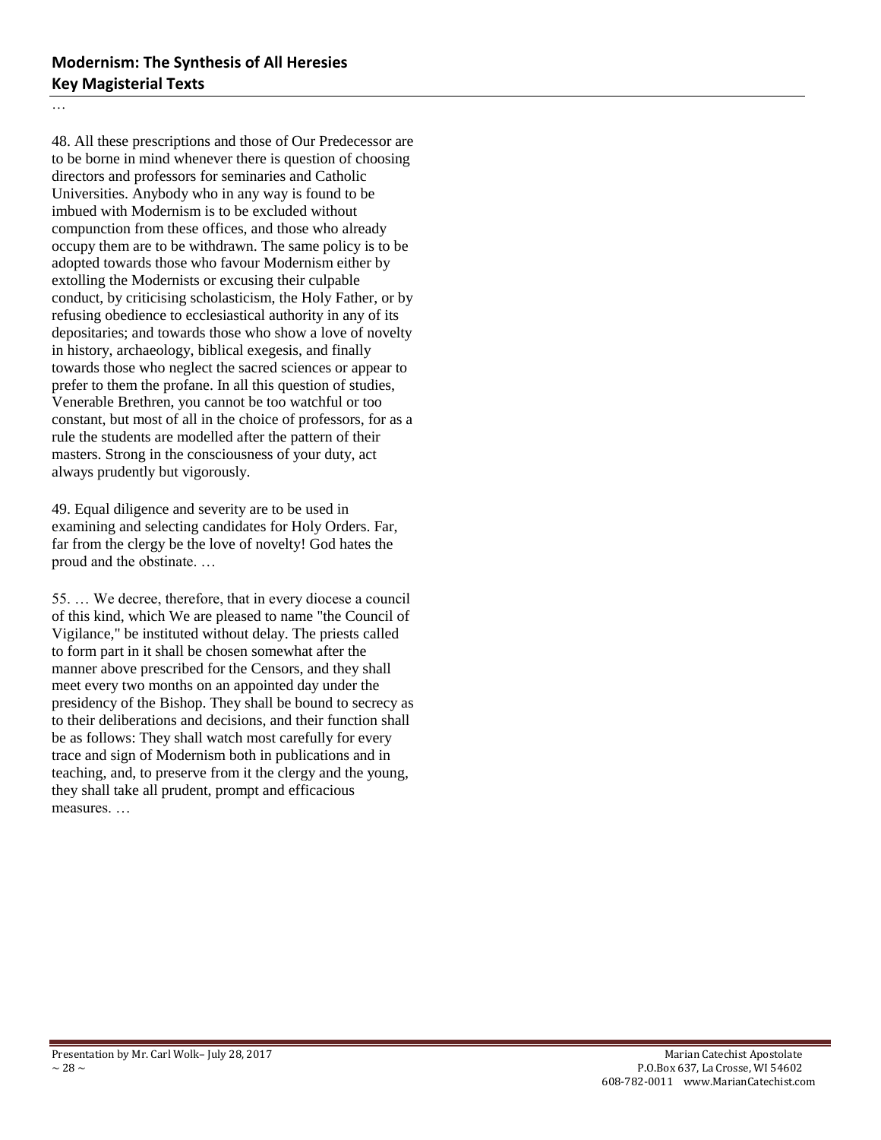…

48. All these prescriptions and those of Our Predecessor are to be borne in mind whenever there is question of choosing directors and professors for seminaries and Catholic Universities. Anybody who in any way is found to be imbued with Modernism is to be excluded without compunction from these offices, and those who already occupy them are to be withdrawn. The same policy is to be adopted towards those who favour Modernism either by extolling the Modernists or excusing their culpable conduct, by criticising scholasticism, the Holy Father, or by refusing obedience to ecclesiastical authority in any of its depositaries; and towards those who show a love of novelty in history, archaeology, biblical exegesis, and finally towards those who neglect the sacred sciences or appear to prefer to them the profane. In all this question of studies, Venerable Brethren, you cannot be too watchful or too constant, but most of all in the choice of professors, for as a rule the students are modelled after the pattern of their masters. Strong in the consciousness of your duty, act always prudently but vigorously.

49. Equal diligence and severity are to be used in examining and selecting candidates for Holy Orders. Far, far from the clergy be the love of novelty! God hates the proud and the obstinate. …

55. … We decree, therefore, that in every diocese a council of this kind, which We are pleased to name "the Council of Vigilance," be instituted without delay. The priests called to form part in it shall be chosen somewhat after the manner above prescribed for the Censors, and they shall meet every two months on an appointed day under the presidency of the Bishop. They shall be bound to secrecy as to their deliberations and decisions, and their function shall be as follows: They shall watch most carefully for every trace and sign of Modernism both in publications and in teaching, and, to preserve from it the clergy and the young, they shall take all prudent, prompt and efficacious measures. …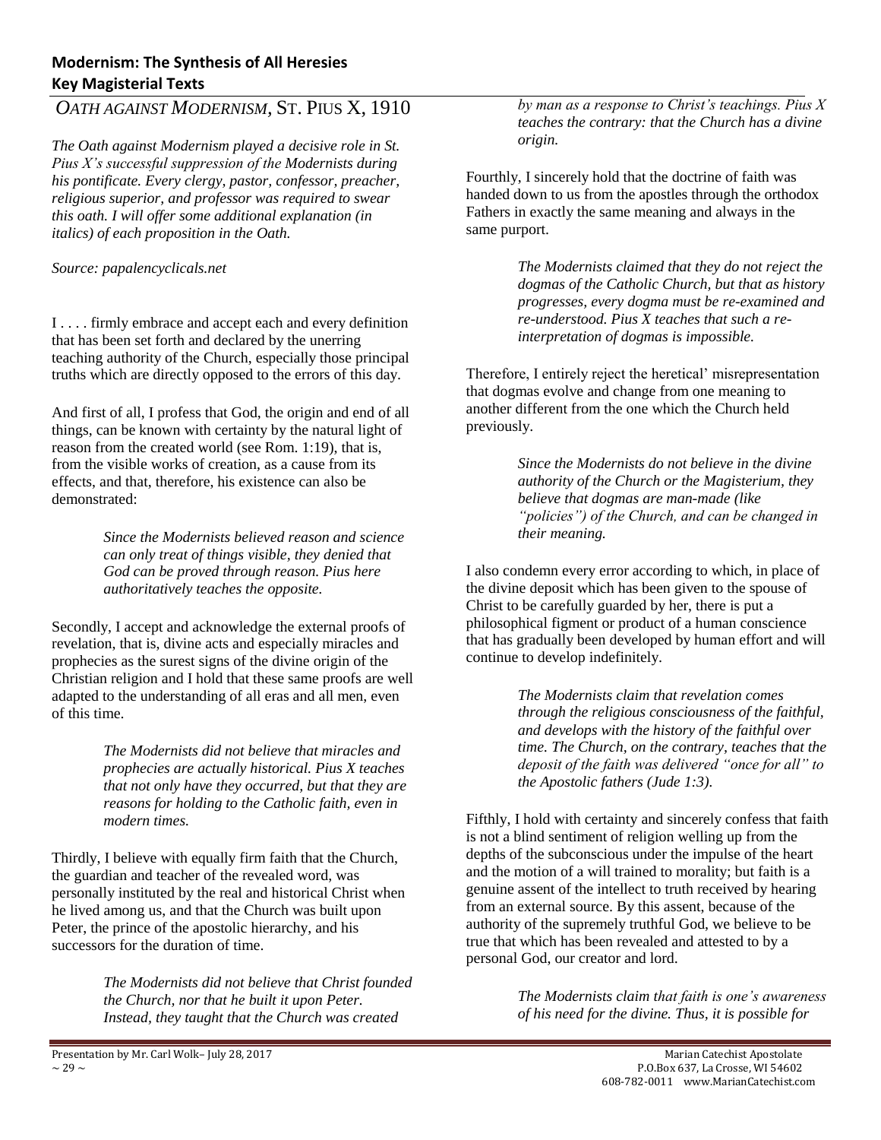*OATH AGAINST MODERNISM,* ST. PIUS X, 1910

*The Oath against Modernism played a decisive role in St. Pius X's successful suppression of the Modernists during his pontificate. Every clergy, pastor, confessor, preacher, religious superior, and professor was required to swear this oath. I will offer some additional explanation (in italics) of each proposition in the Oath.*

*Source: papalencyclicals.net*

I . . . . firmly embrace and accept each and every definition that has been set forth and declared by the unerring teaching authority of the Church, especially those principal truths which are directly opposed to the errors of this day.

And first of all, I profess that God, the origin and end of all things, can be known with certainty by the natural light of reason from the created world (see Rom. 1:19), that is, from the visible works of creation, as a cause from its effects, and that, therefore, his existence can also be demonstrated:

> *Since the Modernists believed reason and science can only treat of things visible, they denied that God can be proved through reason. Pius here authoritatively teaches the opposite.*

Secondly, I accept and acknowledge the external proofs of revelation, that is, divine acts and especially miracles and prophecies as the surest signs of the divine origin of the Christian religion and I hold that these same proofs are well adapted to the understanding of all eras and all men, even of this time.

> *The Modernists did not believe that miracles and prophecies are actually historical. Pius X teaches that not only have they occurred, but that they are reasons for holding to the Catholic faith, even in modern times.*

Thirdly, I believe with equally firm faith that the Church, the guardian and teacher of the revealed word, was personally instituted by the real and historical Christ when he lived among us, and that the Church was built upon Peter, the prince of the apostolic hierarchy, and his successors for the duration of time.

> *The Modernists did not believe that Christ founded the Church, nor that he built it upon Peter. Instead, they taught that the Church was created*

*by man as a response to Christ's teachings. Pius X teaches the contrary: that the Church has a divine origin.*

Fourthly, I sincerely hold that the doctrine of faith was handed down to us from the apostles through the orthodox Fathers in exactly the same meaning and always in the same purport.

> *The Modernists claimed that they do not reject the dogmas of the Catholic Church, but that as history progresses, every dogma must be re-examined and re-understood. Pius X teaches that such a reinterpretation of dogmas is impossible.*

Therefore, I entirely reject the heretical' misrepresentation that dogmas evolve and change from one meaning to another different from the one which the Church held previously.

> *Since the Modernists do not believe in the divine authority of the Church or the Magisterium, they believe that dogmas are man-made (like "policies") of the Church, and can be changed in their meaning.*

I also condemn every error according to which, in place of the divine deposit which has been given to the spouse of Christ to be carefully guarded by her, there is put a philosophical figment or product of a human conscience that has gradually been developed by human effort and will continue to develop indefinitely.

> *The Modernists claim that revelation comes through the religious consciousness of the faithful, and develops with the history of the faithful over time. The Church, on the contrary, teaches that the deposit of the faith was delivered "once for all" to the Apostolic fathers (Jude 1:3).*

Fifthly, I hold with certainty and sincerely confess that faith is not a blind sentiment of religion welling up from the depths of the subconscious under the impulse of the heart and the motion of a will trained to morality; but faith is a genuine assent of the intellect to truth received by hearing from an external source. By this assent, because of the authority of the supremely truthful God, we believe to be true that which has been revealed and attested to by a personal God, our creator and lord.

> *The Modernists claim that faith is one's awareness of his need for the divine. Thus, it is possible for*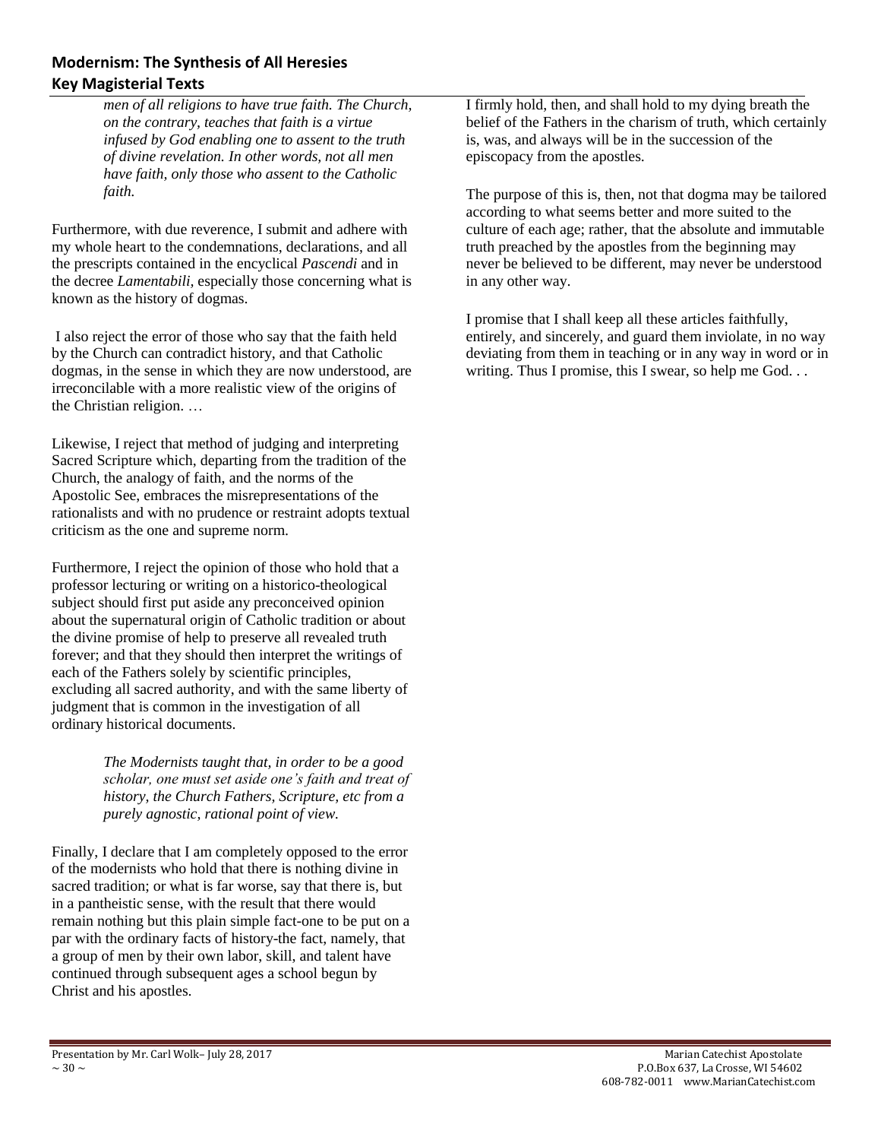*men of all religions to have true faith. The Church, on the contrary, teaches that faith is a virtue infused by God enabling one to assent to the truth of divine revelation. In other words, not all men have faith, only those who assent to the Catholic faith.*

Furthermore, with due reverence, I submit and adhere with my whole heart to the condemnations, declarations, and all the prescripts contained in the encyclical *Pascendi* and in the decree *Lamentabili,* especially those concerning what is known as the history of dogmas.

I also reject the error of those who say that the faith held by the Church can contradict history, and that Catholic dogmas, in the sense in which they are now understood, are irreconcilable with a more realistic view of the origins of the Christian religion. …

Likewise, I reject that method of judging and interpreting Sacred Scripture which, departing from the tradition of the Church, the analogy of faith, and the norms of the Apostolic See, embraces the misrepresentations of the rationalists and with no prudence or restraint adopts textual criticism as the one and supreme norm.

Furthermore, I reject the opinion of those who hold that a professor lecturing or writing on a historico-theological subject should first put aside any preconceived opinion about the supernatural origin of Catholic tradition or about the divine promise of help to preserve all revealed truth forever; and that they should then interpret the writings of each of the Fathers solely by scientific principles, excluding all sacred authority, and with the same liberty of judgment that is common in the investigation of all ordinary historical documents.

> *The Modernists taught that, in order to be a good scholar, one must set aside one's faith and treat of history, the Church Fathers, Scripture, etc from a purely agnostic, rational point of view.*

Finally, I declare that I am completely opposed to the error of the modernists who hold that there is nothing divine in sacred tradition; or what is far worse, say that there is, but in a pantheistic sense, with the result that there would remain nothing but this plain simple fact-one to be put on a par with the ordinary facts of history-the fact, namely, that a group of men by their own labor, skill, and talent have continued through subsequent ages a school begun by Christ and his apostles.

I firmly hold, then, and shall hold to my dying breath the belief of the Fathers in the charism of truth, which certainly is, was, and always will be in the succession of the episcopacy from the apostles.

The purpose of this is, then, not that dogma may be tailored according to what seems better and more suited to the culture of each age; rather, that the absolute and immutable truth preached by the apostles from the beginning may never be believed to be different, may never be understood in any other way.

I promise that I shall keep all these articles faithfully, entirely, and sincerely, and guard them inviolate, in no way deviating from them in teaching or in any way in word or in writing. Thus I promise, this I swear, so help me God. . .

Presentation by Mr. Carl Wolk- July 28, 2017 Marian Catechist Apostolate Catechist Apostolate  $\sim$  30  $\sim$  P.O.Box 637, La Crosse, WI 54602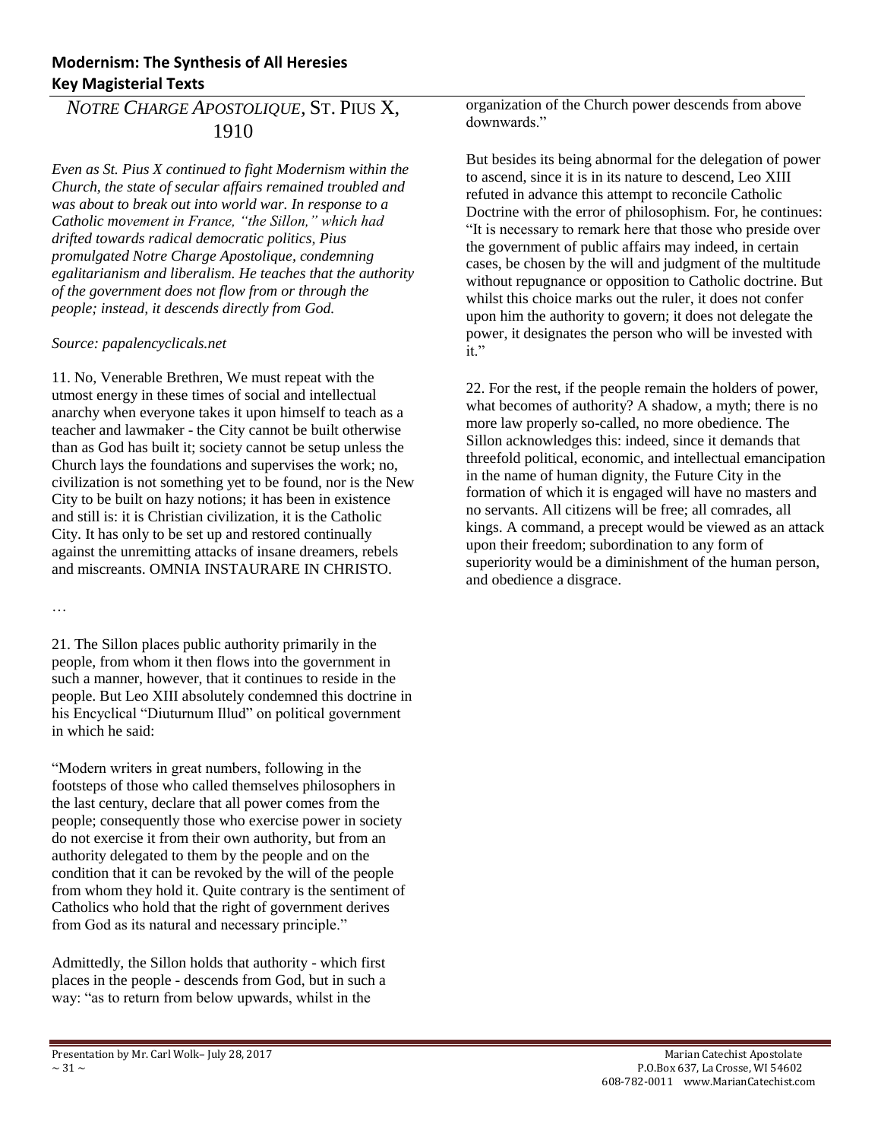*NOTRE CHARGE APOSTOLIQUE,* ST. PIUS X, 1910

*Even as St. Pius X continued to fight Modernism within the Church, the state of secular affairs remained troubled and was about to break out into world war. In response to a Catholic movement in France, "the Sillon," which had drifted towards radical democratic politics, Pius promulgated Notre Charge Apostolique, condemning egalitarianism and liberalism. He teaches that the authority of the government does not flow from or through the people; instead, it descends directly from God.*

#### *Source: papalencyclicals.net*

11. No, Venerable Brethren, We must repeat with the utmost energy in these times of social and intellectual anarchy when everyone takes it upon himself to teach as a teacher and lawmaker - the City cannot be built otherwise than as God has built it; society cannot be setup unless the Church lays the foundations and supervises the work; no, civilization is not something yet to be found, nor is the New City to be built on hazy notions; it has been in existence and still is: it is Christian civilization, it is the Catholic City. It has only to be set up and restored continually against the unremitting attacks of insane dreamers, rebels and miscreants. OMNIA INSTAURARE IN CHRISTO.

…

21. The Sillon places public authority primarily in the people, from whom it then flows into the government in such a manner, however, that it continues to reside in the people. But Leo XIII absolutely condemned this doctrine in his Encyclical "Diuturnum Illud" on political government in which he said:

"Modern writers in great numbers, following in the footsteps of those who called themselves philosophers in the last century, declare that all power comes from the people; consequently those who exercise power in society do not exercise it from their own authority, but from an authority delegated to them by the people and on the condition that it can be revoked by the will of the people from whom they hold it. Quite contrary is the sentiment of Catholics who hold that the right of government derives from God as its natural and necessary principle."

Admittedly, the Sillon holds that authority - which first places in the people - descends from God, but in such a way: "as to return from below upwards, whilst in the

organization of the Church power descends from above downwards."

But besides its being abnormal for the delegation of power to ascend, since it is in its nature to descend, Leo XIII refuted in advance this attempt to reconcile Catholic Doctrine with the error of philosophism. For, he continues: "It is necessary to remark here that those who preside over the government of public affairs may indeed, in certain cases, be chosen by the will and judgment of the multitude without repugnance or opposition to Catholic doctrine. But whilst this choice marks out the ruler, it does not confer upon him the authority to govern; it does not delegate the power, it designates the person who will be invested with it."

22. For the rest, if the people remain the holders of power, what becomes of authority? A shadow, a myth; there is no more law properly so-called, no more obedience. The Sillon acknowledges this: indeed, since it demands that threefold political, economic, and intellectual emancipation in the name of human dignity, the Future City in the formation of which it is engaged will have no masters and no servants. All citizens will be free; all comrades, all kings. A command, a precept would be viewed as an attack upon their freedom; subordination to any form of superiority would be a diminishment of the human person, and obedience a disgrace.

Presentation by Mr. Carl Wolk- July 28, 2017 Marian Catechist Apostolate Catechist Apostolate  $\sim$  31  $\sim$  P.O.Box 637, La Crosse, WI 54602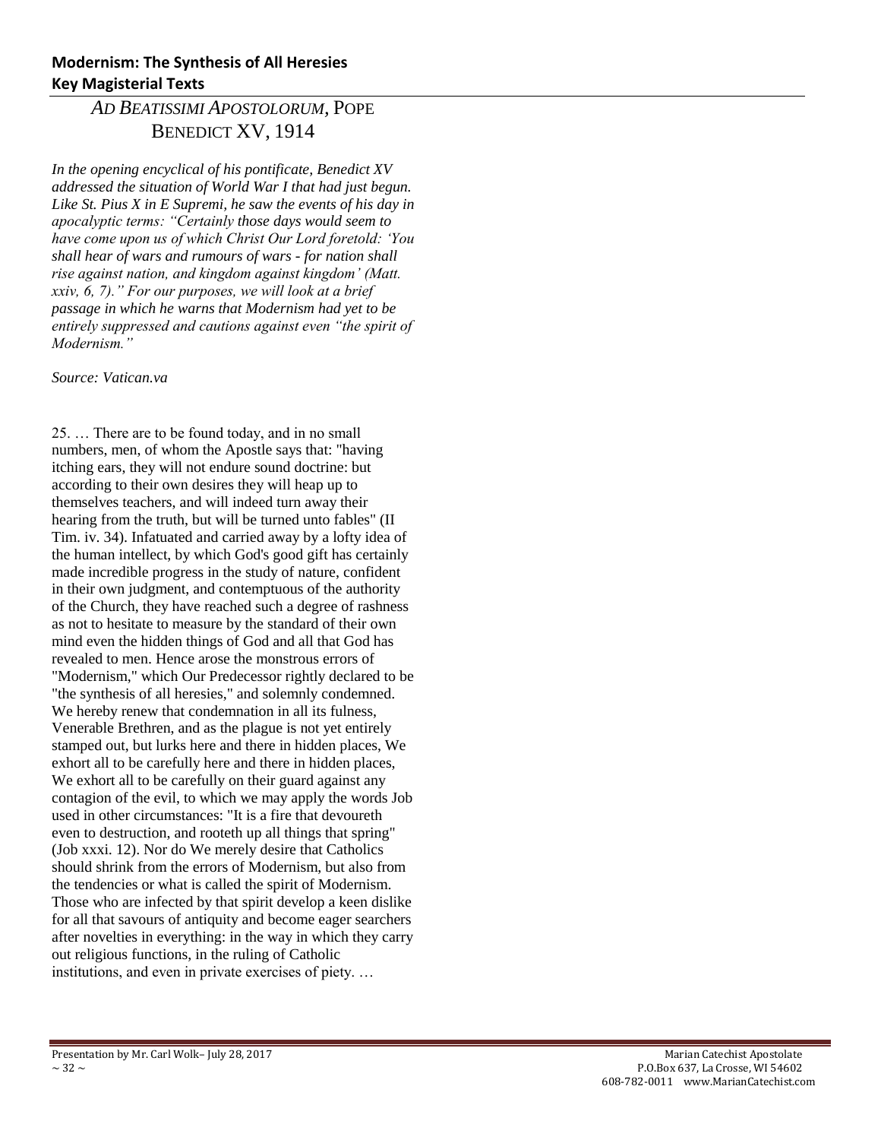# *AD BEATISSIMI APOSTOLORUM,* POPE BENEDICT XV, 1914

*In the opening encyclical of his pontificate, Benedict XV addressed the situation of World War I that had just begun. Like St. Pius X in E Supremi, he saw the events of his day in apocalyptic terms: "Certainly those days would seem to have come upon us of which Christ Our Lord foretold: 'You shall hear of wars and rumours of wars - for nation shall rise against nation, and kingdom against kingdom' (Matt. xxiv, 6, 7)." For our purposes, we will look at a brief passage in which he warns that Modernism had yet to be entirely suppressed and cautions against even "the spirit of Modernism."*

*Source: Vatican.va*

25. … There are to be found today, and in no small numbers, men, of whom the Apostle says that: "having itching ears, they will not endure sound doctrine: but according to their own desires they will heap up to themselves teachers, and will indeed turn away their hearing from the truth, but will be turned unto fables" (II Tim. iv. 34). Infatuated and carried away by a lofty idea of the human intellect, by which God's good gift has certainly made incredible progress in the study of nature, confident in their own judgment, and contemptuous of the authority of the Church, they have reached such a degree of rashness as not to hesitate to measure by the standard of their own mind even the hidden things of God and all that God has revealed to men. Hence arose the monstrous errors of "Modernism," which Our Predecessor rightly declared to be "the synthesis of all heresies," and solemnly condemned. We hereby renew that condemnation in all its fulness, Venerable Brethren, and as the plague is not yet entirely stamped out, but lurks here and there in hidden places, We exhort all to be carefully here and there in hidden places, We exhort all to be carefully on their guard against any contagion of the evil, to which we may apply the words Job used in other circumstances: "It is a fire that devoureth even to destruction, and rooteth up all things that spring" (Job xxxi. 12). Nor do We merely desire that Catholics should shrink from the errors of Modernism, but also from the tendencies or what is called the spirit of Modernism. Those who are infected by that spirit develop a keen dislike for all that savours of antiquity and become eager searchers after novelties in everything: in the way in which they carry out religious functions, in the ruling of Catholic institutions, and even in private exercises of piety. …

Presentation by Mr. Carl Wolk- July 28, 2017 Marian Catechist Apostolate Catechist Apostolate  $\sim$  32  $\sim$  P.O.Box 637, La Crosse, WI 54602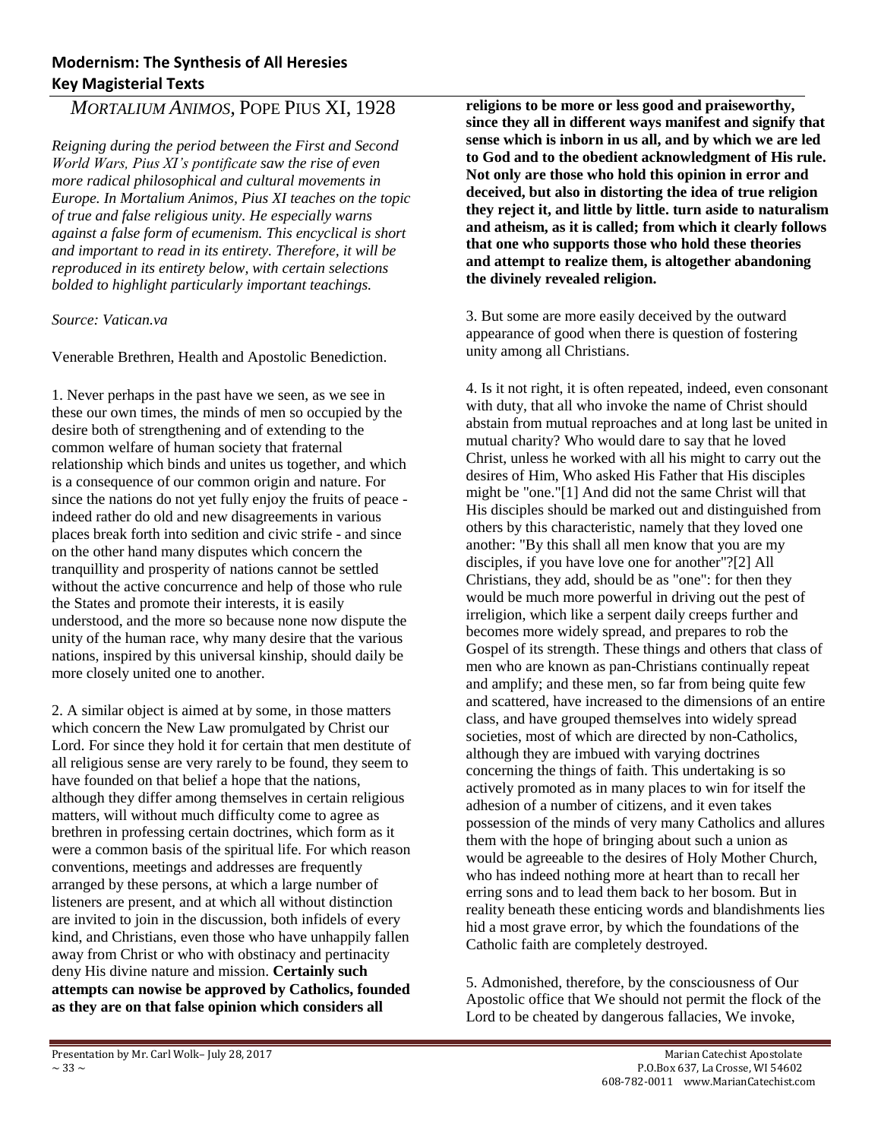### *MORTALIUM ANIMOS,* POPE PIUS XI, 1928

*Reigning during the period between the First and Second World Wars, Pius XI's pontificate saw the rise of even more radical philosophical and cultural movements in Europe. In Mortalium Animos, Pius XI teaches on the topic of true and false religious unity. He especially warns against a false form of ecumenism. This encyclical is short and important to read in its entirety. Therefore, it will be reproduced in its entirety below, with certain selections bolded to highlight particularly important teachings.*

*Source: Vatican.va*

Venerable Brethren, Health and Apostolic Benediction.

1. Never perhaps in the past have we seen, as we see in these our own times, the minds of men so occupied by the desire both of strengthening and of extending to the common welfare of human society that fraternal relationship which binds and unites us together, and which is a consequence of our common origin and nature. For since the nations do not yet fully enjoy the fruits of peace indeed rather do old and new disagreements in various places break forth into sedition and civic strife - and since on the other hand many disputes which concern the tranquillity and prosperity of nations cannot be settled without the active concurrence and help of those who rule the States and promote their interests, it is easily understood, and the more so because none now dispute the unity of the human race, why many desire that the various nations, inspired by this universal kinship, should daily be more closely united one to another.

2. A similar object is aimed at by some, in those matters which concern the New Law promulgated by Christ our Lord. For since they hold it for certain that men destitute of all religious sense are very rarely to be found, they seem to have founded on that belief a hope that the nations, although they differ among themselves in certain religious matters, will without much difficulty come to agree as brethren in professing certain doctrines, which form as it were a common basis of the spiritual life. For which reason conventions, meetings and addresses are frequently arranged by these persons, at which a large number of listeners are present, and at which all without distinction are invited to join in the discussion, both infidels of every kind, and Christians, even those who have unhappily fallen away from Christ or who with obstinacy and pertinacity deny His divine nature and mission. **Certainly such attempts can nowise be approved by Catholics, founded as they are on that false opinion which considers all** 

**religions to be more or less good and praiseworthy, since they all in different ways manifest and signify that sense which is inborn in us all, and by which we are led to God and to the obedient acknowledgment of His rule. Not only are those who hold this opinion in error and deceived, but also in distorting the idea of true religion they reject it, and little by little. turn aside to naturalism and atheism, as it is called; from which it clearly follows that one who supports those who hold these theories and attempt to realize them, is altogether abandoning the divinely revealed religion.**

3. But some are more easily deceived by the outward appearance of good when there is question of fostering unity among all Christians.

4. Is it not right, it is often repeated, indeed, even consonant with duty, that all who invoke the name of Christ should abstain from mutual reproaches and at long last be united in mutual charity? Who would dare to say that he loved Christ, unless he worked with all his might to carry out the desires of Him, Who asked His Father that His disciples might be "one."[1] And did not the same Christ will that His disciples should be marked out and distinguished from others by this characteristic, namely that they loved one another: "By this shall all men know that you are my disciples, if you have love one for another"?[2] All Christians, they add, should be as "one": for then they would be much more powerful in driving out the pest of irreligion, which like a serpent daily creeps further and becomes more widely spread, and prepares to rob the Gospel of its strength. These things and others that class of men who are known as pan-Christians continually repeat and amplify; and these men, so far from being quite few and scattered, have increased to the dimensions of an entire class, and have grouped themselves into widely spread societies, most of which are directed by non-Catholics, although they are imbued with varying doctrines concerning the things of faith. This undertaking is so actively promoted as in many places to win for itself the adhesion of a number of citizens, and it even takes possession of the minds of very many Catholics and allures them with the hope of bringing about such a union as would be agreeable to the desires of Holy Mother Church, who has indeed nothing more at heart than to recall her erring sons and to lead them back to her bosom. But in reality beneath these enticing words and blandishments lies hid a most grave error, by which the foundations of the Catholic faith are completely destroyed.

5. Admonished, therefore, by the consciousness of Our Apostolic office that We should not permit the flock of the Lord to be cheated by dangerous fallacies, We invoke,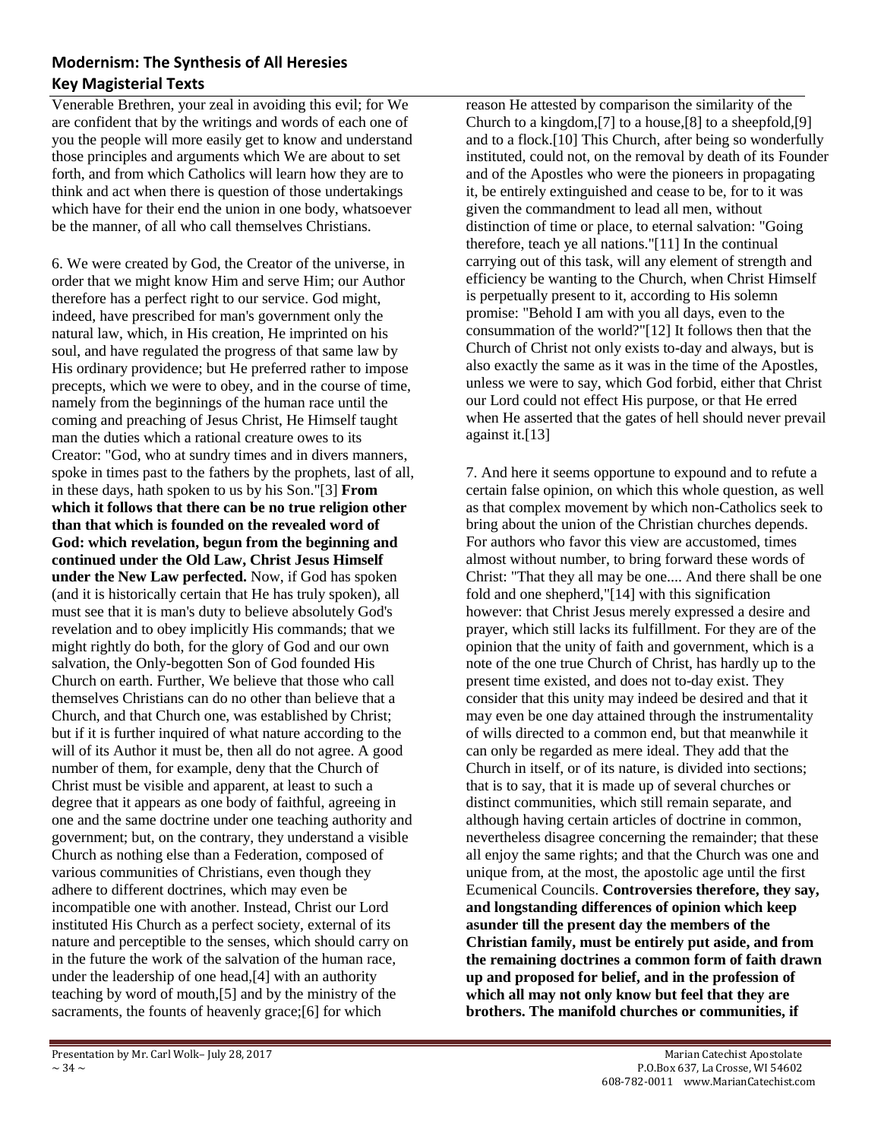Venerable Brethren, your zeal in avoiding this evil; for We are confident that by the writings and words of each one of you the people will more easily get to know and understand those principles and arguments which We are about to set forth, and from which Catholics will learn how they are to think and act when there is question of those undertakings which have for their end the union in one body, whatsoever be the manner, of all who call themselves Christians.

6. We were created by God, the Creator of the universe, in order that we might know Him and serve Him; our Author therefore has a perfect right to our service. God might, indeed, have prescribed for man's government only the natural law, which, in His creation, He imprinted on his soul, and have regulated the progress of that same law by His ordinary providence; but He preferred rather to impose precepts, which we were to obey, and in the course of time, namely from the beginnings of the human race until the coming and preaching of Jesus Christ, He Himself taught man the duties which a rational creature owes to its Creator: "God, who at sundry times and in divers manners, spoke in times past to the fathers by the prophets, last of all, in these days, hath spoken to us by his Son."[3] **From which it follows that there can be no true religion other than that which is founded on the revealed word of God: which revelation, begun from the beginning and continued under the Old Law, Christ Jesus Himself under the New Law perfected.** Now, if God has spoken (and it is historically certain that He has truly spoken), all must see that it is man's duty to believe absolutely God's revelation and to obey implicitly His commands; that we might rightly do both, for the glory of God and our own salvation, the Only-begotten Son of God founded His Church on earth. Further, We believe that those who call themselves Christians can do no other than believe that a Church, and that Church one, was established by Christ; but if it is further inquired of what nature according to the will of its Author it must be, then all do not agree. A good number of them, for example, deny that the Church of Christ must be visible and apparent, at least to such a degree that it appears as one body of faithful, agreeing in one and the same doctrine under one teaching authority and government; but, on the contrary, they understand a visible Church as nothing else than a Federation, composed of various communities of Christians, even though they adhere to different doctrines, which may even be incompatible one with another. Instead, Christ our Lord instituted His Church as a perfect society, external of its nature and perceptible to the senses, which should carry on in the future the work of the salvation of the human race, under the leadership of one head,[4] with an authority teaching by word of mouth,[5] and by the ministry of the sacraments, the founts of heavenly grace;[6] for which

reason He attested by comparison the similarity of the Church to a kingdom,[7] to a house,[8] to a sheepfold,[9] and to a flock.[10] This Church, after being so wonderfully instituted, could not, on the removal by death of its Founder and of the Apostles who were the pioneers in propagating it, be entirely extinguished and cease to be, for to it was given the commandment to lead all men, without distinction of time or place, to eternal salvation: "Going therefore, teach ye all nations."[11] In the continual carrying out of this task, will any element of strength and efficiency be wanting to the Church, when Christ Himself is perpetually present to it, according to His solemn promise: "Behold I am with you all days, even to the consummation of the world?"[12] It follows then that the Church of Christ not only exists to-day and always, but is also exactly the same as it was in the time of the Apostles, unless we were to say, which God forbid, either that Christ our Lord could not effect His purpose, or that He erred when He asserted that the gates of hell should never prevail against it.[13]

7. And here it seems opportune to expound and to refute a certain false opinion, on which this whole question, as well as that complex movement by which non-Catholics seek to bring about the union of the Christian churches depends. For authors who favor this view are accustomed, times almost without number, to bring forward these words of Christ: "That they all may be one.... And there shall be one fold and one shepherd,"[14] with this signification however: that Christ Jesus merely expressed a desire and prayer, which still lacks its fulfillment. For they are of the opinion that the unity of faith and government, which is a note of the one true Church of Christ, has hardly up to the present time existed, and does not to-day exist. They consider that this unity may indeed be desired and that it may even be one day attained through the instrumentality of wills directed to a common end, but that meanwhile it can only be regarded as mere ideal. They add that the Church in itself, or of its nature, is divided into sections; that is to say, that it is made up of several churches or distinct communities, which still remain separate, and although having certain articles of doctrine in common, nevertheless disagree concerning the remainder; that these all enjoy the same rights; and that the Church was one and unique from, at the most, the apostolic age until the first Ecumenical Councils. **Controversies therefore, they say, and longstanding differences of opinion which keep asunder till the present day the members of the Christian family, must be entirely put aside, and from the remaining doctrines a common form of faith drawn up and proposed for belief, and in the profession of which all may not only know but feel that they are brothers. The manifold churches or communities, if**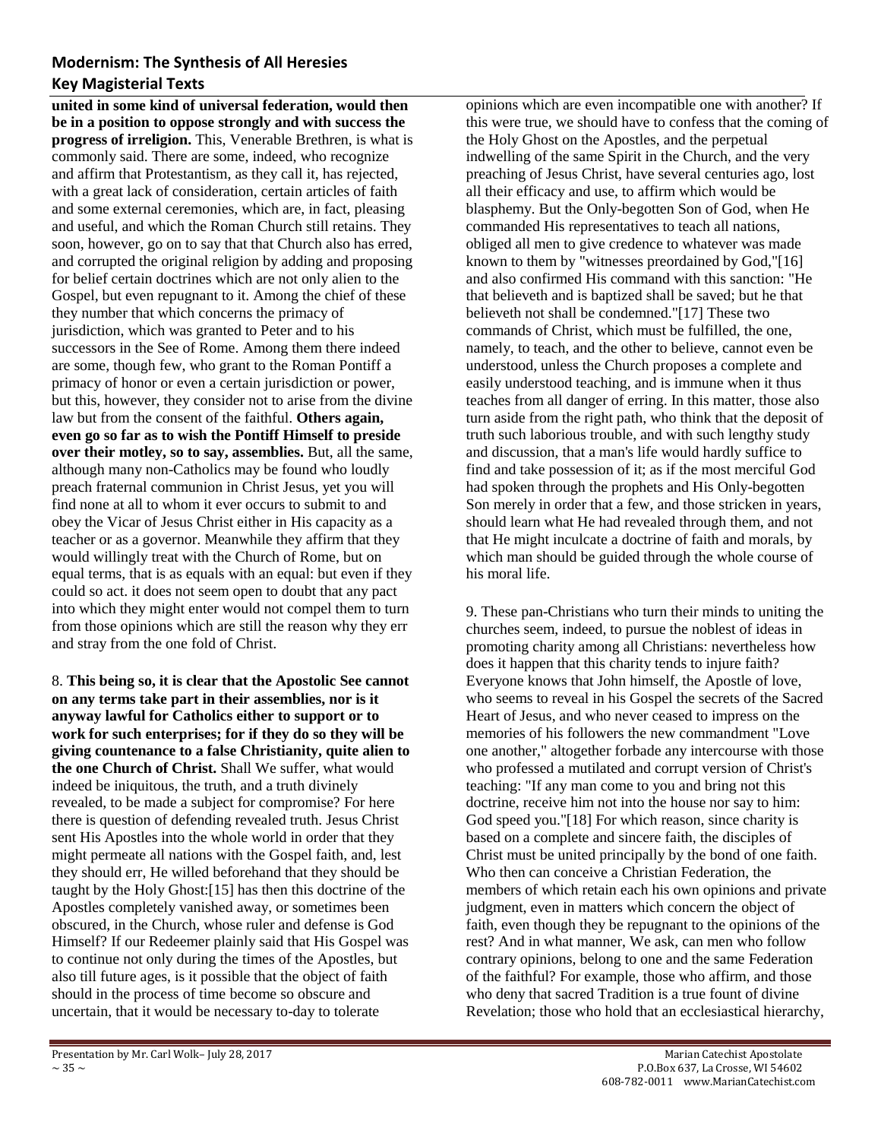**united in some kind of universal federation, would then be in a position to oppose strongly and with success the progress of irreligion.** This, Venerable Brethren, is what is commonly said. There are some, indeed, who recognize and affirm that Protestantism, as they call it, has rejected, with a great lack of consideration, certain articles of faith and some external ceremonies, which are, in fact, pleasing and useful, and which the Roman Church still retains. They soon, however, go on to say that that Church also has erred, and corrupted the original religion by adding and proposing for belief certain doctrines which are not only alien to the Gospel, but even repugnant to it. Among the chief of these they number that which concerns the primacy of jurisdiction, which was granted to Peter and to his successors in the See of Rome. Among them there indeed are some, though few, who grant to the Roman Pontiff a primacy of honor or even a certain jurisdiction or power, but this, however, they consider not to arise from the divine law but from the consent of the faithful. **Others again, even go so far as to wish the Pontiff Himself to preside over their motley, so to say, assemblies.** But, all the same, although many non-Catholics may be found who loudly preach fraternal communion in Christ Jesus, yet you will find none at all to whom it ever occurs to submit to and obey the Vicar of Jesus Christ either in His capacity as a teacher or as a governor. Meanwhile they affirm that they would willingly treat with the Church of Rome, but on equal terms, that is as equals with an equal: but even if they could so act. it does not seem open to doubt that any pact into which they might enter would not compel them to turn from those opinions which are still the reason why they err and stray from the one fold of Christ.

8. **This being so, it is clear that the Apostolic See cannot on any terms take part in their assemblies, nor is it anyway lawful for Catholics either to support or to work for such enterprises; for if they do so they will be giving countenance to a false Christianity, quite alien to the one Church of Christ.** Shall We suffer, what would indeed be iniquitous, the truth, and a truth divinely revealed, to be made a subject for compromise? For here there is question of defending revealed truth. Jesus Christ sent His Apostles into the whole world in order that they might permeate all nations with the Gospel faith, and, lest they should err, He willed beforehand that they should be taught by the Holy Ghost:[15] has then this doctrine of the Apostles completely vanished away, or sometimes been obscured, in the Church, whose ruler and defense is God Himself? If our Redeemer plainly said that His Gospel was to continue not only during the times of the Apostles, but also till future ages, is it possible that the object of faith should in the process of time become so obscure and uncertain, that it would be necessary to-day to tolerate

opinions which are even incompatible one with another? If this were true, we should have to confess that the coming of the Holy Ghost on the Apostles, and the perpetual indwelling of the same Spirit in the Church, and the very preaching of Jesus Christ, have several centuries ago, lost all their efficacy and use, to affirm which would be blasphemy. But the Only-begotten Son of God, when He commanded His representatives to teach all nations, obliged all men to give credence to whatever was made known to them by "witnesses preordained by God,"[16] and also confirmed His command with this sanction: "He that believeth and is baptized shall be saved; but he that believeth not shall be condemned."[17] These two commands of Christ, which must be fulfilled, the one, namely, to teach, and the other to believe, cannot even be understood, unless the Church proposes a complete and easily understood teaching, and is immune when it thus teaches from all danger of erring. In this matter, those also turn aside from the right path, who think that the deposit of truth such laborious trouble, and with such lengthy study and discussion, that a man's life would hardly suffice to find and take possession of it; as if the most merciful God had spoken through the prophets and His Only-begotten Son merely in order that a few, and those stricken in years, should learn what He had revealed through them, and not that He might inculcate a doctrine of faith and morals, by which man should be guided through the whole course of his moral life.

9. These pan-Christians who turn their minds to uniting the churches seem, indeed, to pursue the noblest of ideas in promoting charity among all Christians: nevertheless how does it happen that this charity tends to injure faith? Everyone knows that John himself, the Apostle of love, who seems to reveal in his Gospel the secrets of the Sacred Heart of Jesus, and who never ceased to impress on the memories of his followers the new commandment "Love one another," altogether forbade any intercourse with those who professed a mutilated and corrupt version of Christ's teaching: "If any man come to you and bring not this doctrine, receive him not into the house nor say to him: God speed you."[18] For which reason, since charity is based on a complete and sincere faith, the disciples of Christ must be united principally by the bond of one faith. Who then can conceive a Christian Federation, the members of which retain each his own opinions and private judgment, even in matters which concern the object of faith, even though they be repugnant to the opinions of the rest? And in what manner, We ask, can men who follow contrary opinions, belong to one and the same Federation of the faithful? For example, those who affirm, and those who deny that sacred Tradition is a true fount of divine Revelation; those who hold that an ecclesiastical hierarchy,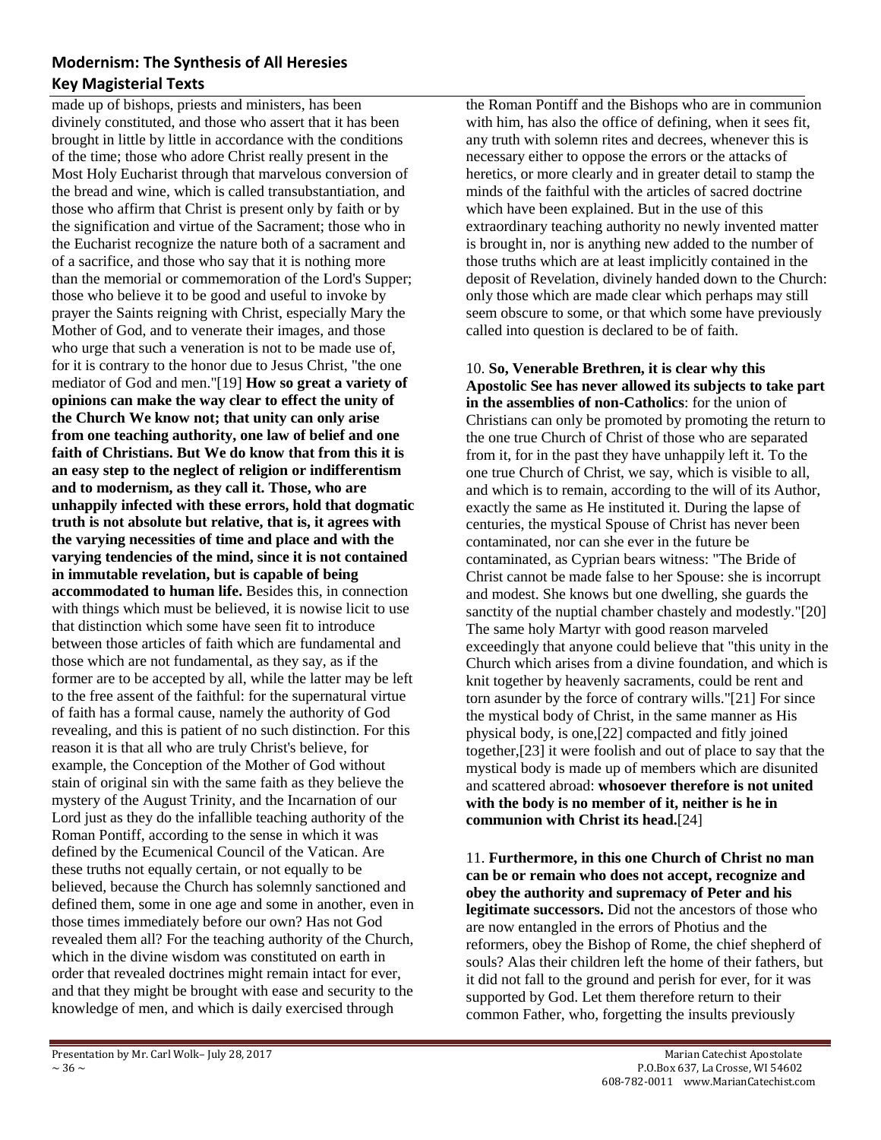made up of bishops, priests and ministers, has been divinely constituted, and those who assert that it has been brought in little by little in accordance with the conditions of the time; those who adore Christ really present in the Most Holy Eucharist through that marvelous conversion of the bread and wine, which is called transubstantiation, and those who affirm that Christ is present only by faith or by the signification and virtue of the Sacrament; those who in the Eucharist recognize the nature both of a sacrament and of a sacrifice, and those who say that it is nothing more than the memorial or commemoration of the Lord's Supper; those who believe it to be good and useful to invoke by prayer the Saints reigning with Christ, especially Mary the Mother of God, and to venerate their images, and those who urge that such a veneration is not to be made use of, for it is contrary to the honor due to Jesus Christ, "the one mediator of God and men."[19] **How so great a variety of opinions can make the way clear to effect the unity of the Church We know not; that unity can only arise from one teaching authority, one law of belief and one faith of Christians. But We do know that from this it is an easy step to the neglect of religion or indifferentism and to modernism, as they call it. Those, who are unhappily infected with these errors, hold that dogmatic truth is not absolute but relative, that is, it agrees with the varying necessities of time and place and with the varying tendencies of the mind, since it is not contained in immutable revelation, but is capable of being accommodated to human life.** Besides this, in connection with things which must be believed, it is nowise licit to use that distinction which some have seen fit to introduce between those articles of faith which are fundamental and those which are not fundamental, as they say, as if the former are to be accepted by all, while the latter may be left to the free assent of the faithful: for the supernatural virtue of faith has a formal cause, namely the authority of God revealing, and this is patient of no such distinction. For this reason it is that all who are truly Christ's believe, for example, the Conception of the Mother of God without stain of original sin with the same faith as they believe the mystery of the August Trinity, and the Incarnation of our Lord just as they do the infallible teaching authority of the Roman Pontiff, according to the sense in which it was defined by the Ecumenical Council of the Vatican. Are these truths not equally certain, or not equally to be believed, because the Church has solemnly sanctioned and defined them, some in one age and some in another, even in those times immediately before our own? Has not God revealed them all? For the teaching authority of the Church, which in the divine wisdom was constituted on earth in order that revealed doctrines might remain intact for ever, and that they might be brought with ease and security to the knowledge of men, and which is daily exercised through

the Roman Pontiff and the Bishops who are in communion with him, has also the office of defining, when it sees fit, any truth with solemn rites and decrees, whenever this is necessary either to oppose the errors or the attacks of heretics, or more clearly and in greater detail to stamp the minds of the faithful with the articles of sacred doctrine which have been explained. But in the use of this extraordinary teaching authority no newly invented matter is brought in, nor is anything new added to the number of those truths which are at least implicitly contained in the deposit of Revelation, divinely handed down to the Church: only those which are made clear which perhaps may still seem obscure to some, or that which some have previously called into question is declared to be of faith.

10. **So, Venerable Brethren, it is clear why this Apostolic See has never allowed its subjects to take part in the assemblies of non-Catholics**: for the union of Christians can only be promoted by promoting the return to the one true Church of Christ of those who are separated from it, for in the past they have unhappily left it. To the one true Church of Christ, we say, which is visible to all, and which is to remain, according to the will of its Author, exactly the same as He instituted it. During the lapse of centuries, the mystical Spouse of Christ has never been contaminated, nor can she ever in the future be contaminated, as Cyprian bears witness: "The Bride of Christ cannot be made false to her Spouse: she is incorrupt and modest. She knows but one dwelling, she guards the sanctity of the nuptial chamber chastely and modestly."[20] The same holy Martyr with good reason marveled exceedingly that anyone could believe that "this unity in the Church which arises from a divine foundation, and which is knit together by heavenly sacraments, could be rent and torn asunder by the force of contrary wills."[21] For since the mystical body of Christ, in the same manner as His physical body, is one,[22] compacted and fitly joined together,[23] it were foolish and out of place to say that the mystical body is made up of members which are disunited and scattered abroad: **whosoever therefore is not united with the body is no member of it, neither is he in communion with Christ its head.**[24]

11. **Furthermore, in this one Church of Christ no man can be or remain who does not accept, recognize and obey the authority and supremacy of Peter and his legitimate successors.** Did not the ancestors of those who are now entangled in the errors of Photius and the reformers, obey the Bishop of Rome, the chief shepherd of souls? Alas their children left the home of their fathers, but it did not fall to the ground and perish for ever, for it was supported by God. Let them therefore return to their common Father, who, forgetting the insults previously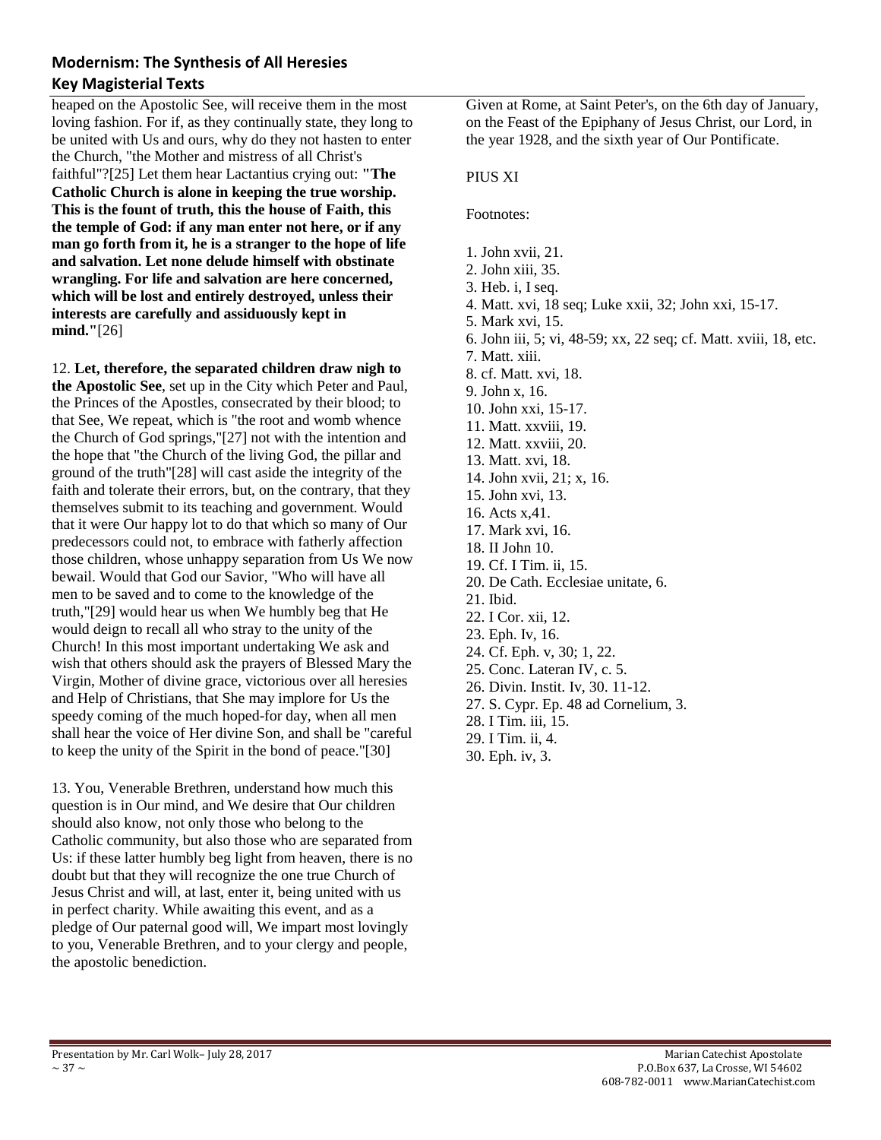heaped on the Apostolic See, will receive them in the most loving fashion. For if, as they continually state, they long to be united with Us and ours, why do they not hasten to enter the Church, "the Mother and mistress of all Christ's faithful"?[25] Let them hear Lactantius crying out: **"The Catholic Church is alone in keeping the true worship. This is the fount of truth, this the house of Faith, this the temple of God: if any man enter not here, or if any man go forth from it, he is a stranger to the hope of life and salvation. Let none delude himself with obstinate wrangling. For life and salvation are here concerned, which will be lost and entirely destroyed, unless their interests are carefully and assiduously kept in mind."**[26]

12. **Let, therefore, the separated children draw nigh to the Apostolic See**, set up in the City which Peter and Paul, the Princes of the Apostles, consecrated by their blood; to that See, We repeat, which is "the root and womb whence the Church of God springs,"[27] not with the intention and the hope that "the Church of the living God, the pillar and ground of the truth"[28] will cast aside the integrity of the faith and tolerate their errors, but, on the contrary, that they themselves submit to its teaching and government. Would that it were Our happy lot to do that which so many of Our predecessors could not, to embrace with fatherly affection those children, whose unhappy separation from Us We now bewail. Would that God our Savior, "Who will have all men to be saved and to come to the knowledge of the truth,"[29] would hear us when We humbly beg that He would deign to recall all who stray to the unity of the Church! In this most important undertaking We ask and wish that others should ask the prayers of Blessed Mary the Virgin, Mother of divine grace, victorious over all heresies and Help of Christians, that She may implore for Us the speedy coming of the much hoped-for day, when all men shall hear the voice of Her divine Son, and shall be "careful to keep the unity of the Spirit in the bond of peace."[30]

13. You, Venerable Brethren, understand how much this question is in Our mind, and We desire that Our children should also know, not only those who belong to the Catholic community, but also those who are separated from Us: if these latter humbly beg light from heaven, there is no doubt but that they will recognize the one true Church of Jesus Christ and will, at last, enter it, being united with us in perfect charity. While awaiting this event, and as a pledge of Our paternal good will, We impart most lovingly to you, Venerable Brethren, and to your clergy and people, the apostolic benediction.

Given at Rome, at Saint Peter's, on the 6th day of January, on the Feast of the Epiphany of Jesus Christ, our Lord, in the year 1928, and the sixth year of Our Pontificate.

PIUS XI

Footnotes:

1. John xvii, 21. 2. John xiii, 35. 3. Heb. i, I seq. 4. Matt. xvi, 18 seq; Luke xxii, 32; John xxi, 15-17. 5. Mark xvi, 15. 6. John iii, 5; vi, 48-59; xx, 22 seq; cf. Matt. xviii, 18, etc. 7. Matt. xiii. 8. cf. Matt. xvi, 18. 9. John x, 16. 10. John xxi, 15-17. 11. Matt. xxviii, 19. 12. Matt. xxviii, 20. 13. Matt. xvi, 18. 14. John xvii, 21; x, 16. 15. John xvi, 13. 16. Acts x,41. 17. Mark xvi, 16. 18. II John 10. 19. Cf. I Tim. ii, 15. 20. De Cath. Ecclesiae unitate, 6. 21. Ibid. 22. I Cor. xii, 12. 23. Eph. Iv, 16. 24. Cf. Eph. v, 30; 1, 22. 25. Conc. Lateran IV, c. 5. 26. Divin. Instit. Iv, 30. 11-12. 27. S. Cypr. Ep. 48 ad Cornelium, 3. 28. I Tim. iii, 15. 29. I Tim. ii, 4. 30. Eph. iv, 3.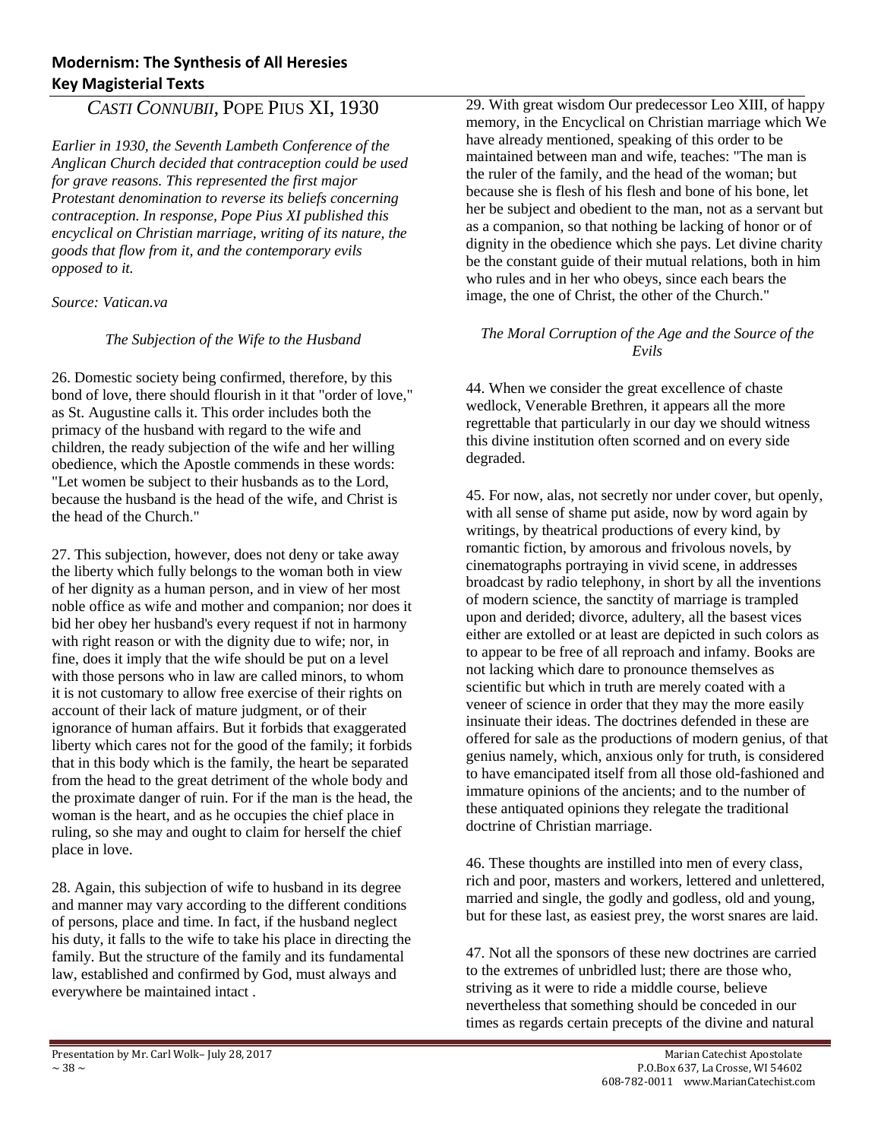# *CASTI CONNUBII,* POPE PIUS XI, 1930

*Earlier in 1930, the Seventh Lambeth Conference of the Anglican Church decided that contraception could be used for grave reasons. This represented the first major Protestant denomination to reverse its beliefs concerning contraception. In response, Pope Pius XI published this encyclical on Christian marriage, writing of its nature, the goods that flow from it, and the contemporary evils opposed to it.*

*Source: Vatican.va*

### *The Subjection of the Wife to the Husband*

26. Domestic society being confirmed, therefore, by this bond of love, there should flourish in it that "order of love," as St. Augustine calls it. This order includes both the primacy of the husband with regard to the wife and children, the ready subjection of the wife and her willing obedience, which the Apostle commends in these words: "Let women be subject to their husbands as to the Lord, because the husband is the head of the wife, and Christ is the head of the Church."

27. This subjection, however, does not deny or take away the liberty which fully belongs to the woman both in view of her dignity as a human person, and in view of her most noble office as wife and mother and companion; nor does it bid her obey her husband's every request if not in harmony with right reason or with the dignity due to wife; nor, in fine, does it imply that the wife should be put on a level with those persons who in law are called minors, to whom it is not customary to allow free exercise of their rights on account of their lack of mature judgment, or of their ignorance of human affairs. But it forbids that exaggerated liberty which cares not for the good of the family; it forbids that in this body which is the family, the heart be separated from the head to the great detriment of the whole body and the proximate danger of ruin. For if the man is the head, the woman is the heart, and as he occupies the chief place in ruling, so she may and ought to claim for herself the chief place in love.

28. Again, this subjection of wife to husband in its degree and manner may vary according to the different conditions of persons, place and time. In fact, if the husband neglect his duty, it falls to the wife to take his place in directing the family. But the structure of the family and its fundamental law, established and confirmed by God, must always and everywhere be maintained intact .

29. With great wisdom Our predecessor Leo XIII, of happy memory, in the Encyclical on Christian marriage which We have already mentioned, speaking of this order to be maintained between man and wife, teaches: "The man is the ruler of the family, and the head of the woman; but because she is flesh of his flesh and bone of his bone, let her be subject and obedient to the man, not as a servant but as a companion, so that nothing be lacking of honor or of dignity in the obedience which she pays. Let divine charity be the constant guide of their mutual relations, both in him who rules and in her who obeys, since each bears the image, the one of Christ, the other of the Church."

#### *The Moral Corruption of the Age and the Source of the Evils*

44. When we consider the great excellence of chaste wedlock, Venerable Brethren, it appears all the more regrettable that particularly in our day we should witness this divine institution often scorned and on every side degraded.

45. For now, alas, not secretly nor under cover, but openly, with all sense of shame put aside, now by word again by writings, by theatrical productions of every kind, by romantic fiction, by amorous and frivolous novels, by cinematographs portraying in vivid scene, in addresses broadcast by radio telephony, in short by all the inventions of modern science, the sanctity of marriage is trampled upon and derided; divorce, adultery, all the basest vices either are extolled or at least are depicted in such colors as to appear to be free of all reproach and infamy. Books are not lacking which dare to pronounce themselves as scientific but which in truth are merely coated with a veneer of science in order that they may the more easily insinuate their ideas. The doctrines defended in these are offered for sale as the productions of modern genius, of that genius namely, which, anxious only for truth, is considered to have emancipated itself from all those old-fashioned and immature opinions of the ancients; and to the number of these antiquated opinions they relegate the traditional doctrine of Christian marriage.

46. These thoughts are instilled into men of every class, rich and poor, masters and workers, lettered and unlettered, married and single, the godly and godless, old and young, but for these last, as easiest prey, the worst snares are laid.

47. Not all the sponsors of these new doctrines are carried to the extremes of unbridled lust; there are those who, striving as it were to ride a middle course, believe nevertheless that something should be conceded in our times as regards certain precepts of the divine and natural

Presentation by Mr. Carl Wolk- July 28, 2017 Marian Catechist Apostolate Catechist Apostolate  $\sim$  38  $\sim$  P.O.Box 637, La Crosse, WI 54602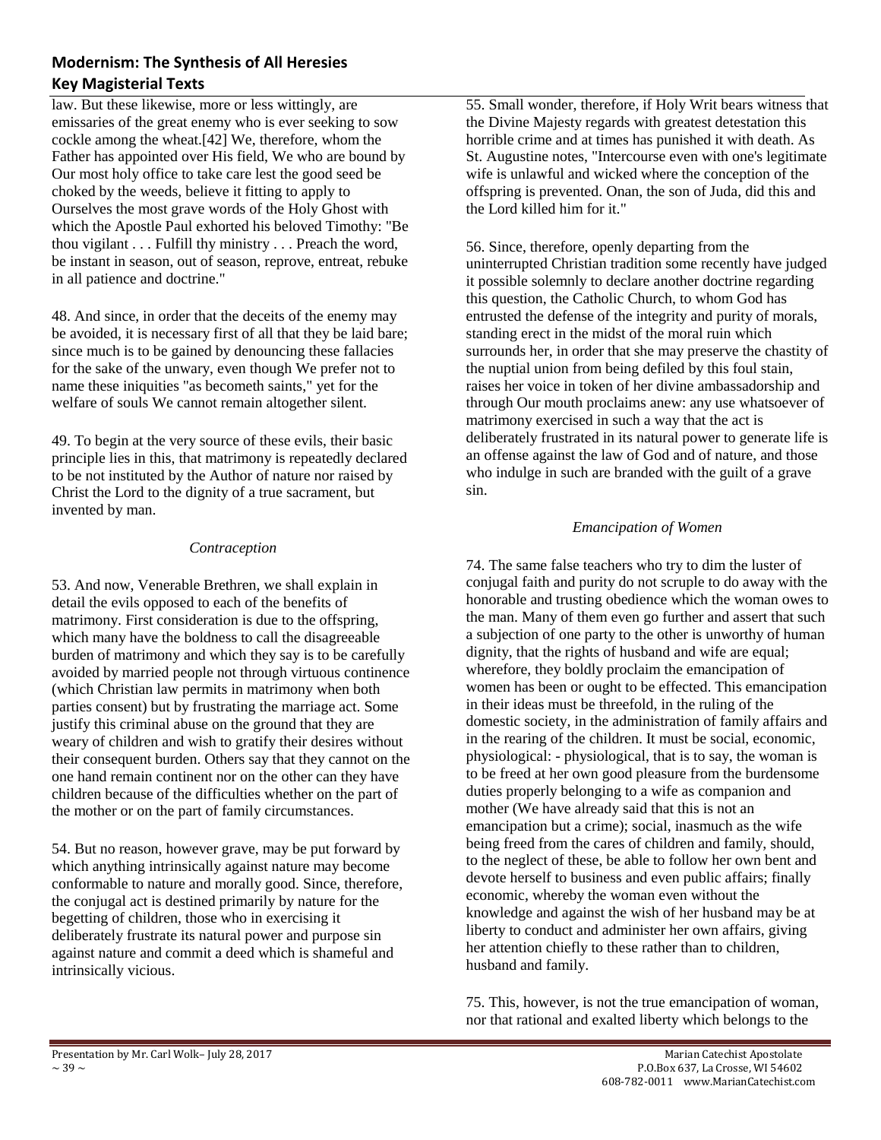law. But these likewise, more or less wittingly, are emissaries of the great enemy who is ever seeking to sow cockle among the wheat.[42] We, therefore, whom the Father has appointed over His field, We who are bound by Our most holy office to take care lest the good seed be choked by the weeds, believe it fitting to apply to Ourselves the most grave words of the Holy Ghost with which the Apostle Paul exhorted his beloved Timothy: "Be thou vigilant . . . Fulfill thy ministry . . . Preach the word, be instant in season, out of season, reprove, entreat, rebuke in all patience and doctrine."

48. And since, in order that the deceits of the enemy may be avoided, it is necessary first of all that they be laid bare; since much is to be gained by denouncing these fallacies for the sake of the unwary, even though We prefer not to name these iniquities "as becometh saints," yet for the welfare of souls We cannot remain altogether silent.

49. To begin at the very source of these evils, their basic principle lies in this, that matrimony is repeatedly declared to be not instituted by the Author of nature nor raised by Christ the Lord to the dignity of a true sacrament, but invented by man.

#### *Contraception*

53. And now, Venerable Brethren, we shall explain in detail the evils opposed to each of the benefits of matrimony. First consideration is due to the offspring, which many have the boldness to call the disagreeable burden of matrimony and which they say is to be carefully avoided by married people not through virtuous continence (which Christian law permits in matrimony when both parties consent) but by frustrating the marriage act. Some justify this criminal abuse on the ground that they are weary of children and wish to gratify their desires without their consequent burden. Others say that they cannot on the one hand remain continent nor on the other can they have children because of the difficulties whether on the part of the mother or on the part of family circumstances.

54. But no reason, however grave, may be put forward by which anything intrinsically against nature may become conformable to nature and morally good. Since, therefore, the conjugal act is destined primarily by nature for the begetting of children, those who in exercising it deliberately frustrate its natural power and purpose sin against nature and commit a deed which is shameful and intrinsically vicious.

55. Small wonder, therefore, if Holy Writ bears witness that the Divine Majesty regards with greatest detestation this horrible crime and at times has punished it with death. As St. Augustine notes, "Intercourse even with one's legitimate wife is unlawful and wicked where the conception of the offspring is prevented. Onan, the son of Juda, did this and the Lord killed him for it."

56. Since, therefore, openly departing from the uninterrupted Christian tradition some recently have judged it possible solemnly to declare another doctrine regarding this question, the Catholic Church, to whom God has entrusted the defense of the integrity and purity of morals, standing erect in the midst of the moral ruin which surrounds her, in order that she may preserve the chastity of the nuptial union from being defiled by this foul stain, raises her voice in token of her divine ambassadorship and through Our mouth proclaims anew: any use whatsoever of matrimony exercised in such a way that the act is deliberately frustrated in its natural power to generate life is an offense against the law of God and of nature, and those who indulge in such are branded with the guilt of a grave sin.

### *Emancipation of Women*

74. The same false teachers who try to dim the luster of conjugal faith and purity do not scruple to do away with the honorable and trusting obedience which the woman owes to the man. Many of them even go further and assert that such a subjection of one party to the other is unworthy of human dignity, that the rights of husband and wife are equal; wherefore, they boldly proclaim the emancipation of women has been or ought to be effected. This emancipation in their ideas must be threefold, in the ruling of the domestic society, in the administration of family affairs and in the rearing of the children. It must be social, economic, physiological: - physiological, that is to say, the woman is to be freed at her own good pleasure from the burdensome duties properly belonging to a wife as companion and mother (We have already said that this is not an emancipation but a crime); social, inasmuch as the wife being freed from the cares of children and family, should, to the neglect of these, be able to follow her own bent and devote herself to business and even public affairs; finally economic, whereby the woman even without the knowledge and against the wish of her husband may be at liberty to conduct and administer her own affairs, giving her attention chiefly to these rather than to children, husband and family.

75. This, however, is not the true emancipation of woman, nor that rational and exalted liberty which belongs to the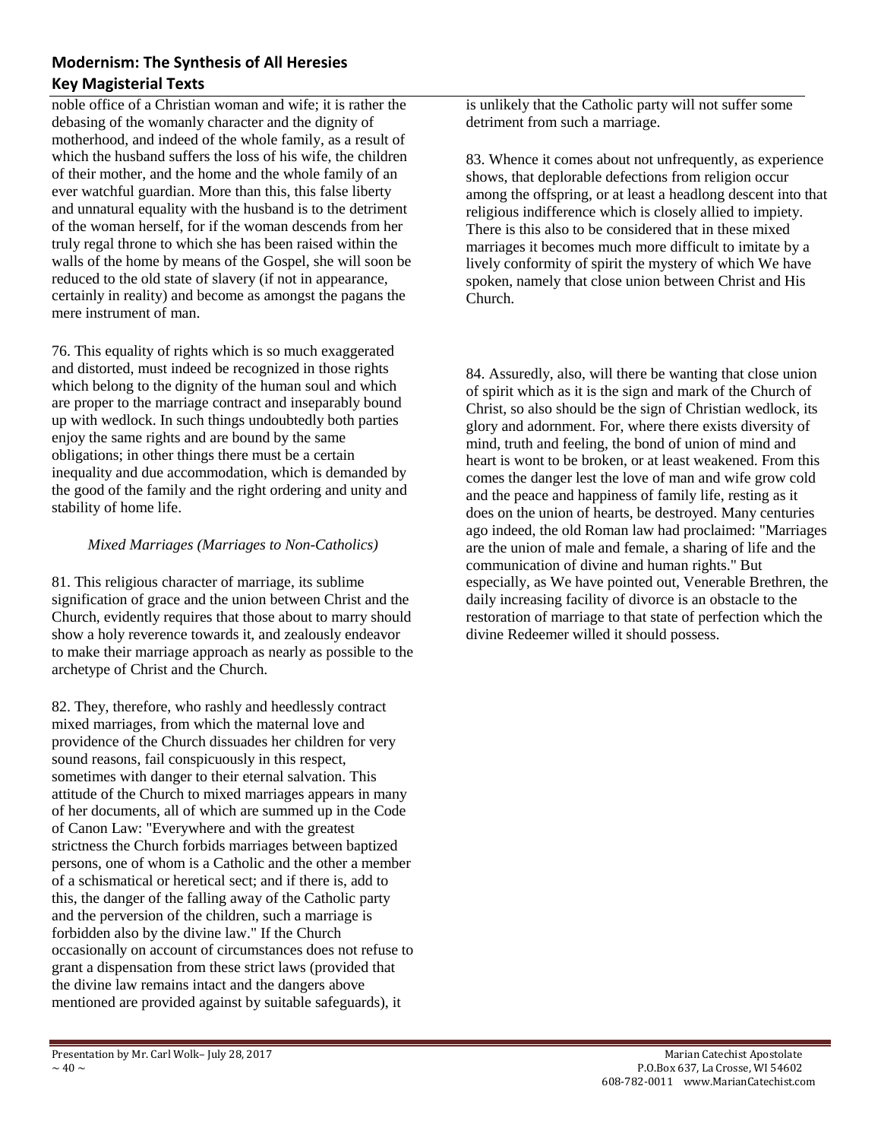noble office of a Christian woman and wife; it is rather the debasing of the womanly character and the dignity of motherhood, and indeed of the whole family, as a result of which the husband suffers the loss of his wife, the children of their mother, and the home and the whole family of an ever watchful guardian. More than this, this false liberty and unnatural equality with the husband is to the detriment of the woman herself, for if the woman descends from her truly regal throne to which she has been raised within the walls of the home by means of the Gospel, she will soon be reduced to the old state of slavery (if not in appearance, certainly in reality) and become as amongst the pagans the mere instrument of man.

76. This equality of rights which is so much exaggerated and distorted, must indeed be recognized in those rights which belong to the dignity of the human soul and which are proper to the marriage contract and inseparably bound up with wedlock. In such things undoubtedly both parties enjoy the same rights and are bound by the same obligations; in other things there must be a certain inequality and due accommodation, which is demanded by the good of the family and the right ordering and unity and stability of home life.

### *Mixed Marriages (Marriages to Non-Catholics)*

81. This religious character of marriage, its sublime signification of grace and the union between Christ and the Church, evidently requires that those about to marry should show a holy reverence towards it, and zealously endeavor to make their marriage approach as nearly as possible to the archetype of Christ and the Church.

82. They, therefore, who rashly and heedlessly contract mixed marriages, from which the maternal love and providence of the Church dissuades her children for very sound reasons, fail conspicuously in this respect, sometimes with danger to their eternal salvation. This attitude of the Church to mixed marriages appears in many of her documents, all of which are summed up in the Code of Canon Law: "Everywhere and with the greatest strictness the Church forbids marriages between baptized persons, one of whom is a Catholic and the other a member of a schismatical or heretical sect; and if there is, add to this, the danger of the falling away of the Catholic party and the perversion of the children, such a marriage is forbidden also by the divine law." If the Church occasionally on account of circumstances does not refuse to grant a dispensation from these strict laws (provided that the divine law remains intact and the dangers above mentioned are provided against by suitable safeguards), it

is unlikely that the Catholic party will not suffer some detriment from such a marriage.

83. Whence it comes about not unfrequently, as experience shows, that deplorable defections from religion occur among the offspring, or at least a headlong descent into that religious indifference which is closely allied to impiety. There is this also to be considered that in these mixed marriages it becomes much more difficult to imitate by a lively conformity of spirit the mystery of which We have spoken, namely that close union between Christ and His Church.

84. Assuredly, also, will there be wanting that close union of spirit which as it is the sign and mark of the Church of Christ, so also should be the sign of Christian wedlock, its glory and adornment. For, where there exists diversity of mind, truth and feeling, the bond of union of mind and heart is wont to be broken, or at least weakened. From this comes the danger lest the love of man and wife grow cold and the peace and happiness of family life, resting as it does on the union of hearts, be destroyed. Many centuries ago indeed, the old Roman law had proclaimed: "Marriages are the union of male and female, a sharing of life and the communication of divine and human rights." But especially, as We have pointed out, Venerable Brethren, the daily increasing facility of divorce is an obstacle to the restoration of marriage to that state of perfection which the divine Redeemer willed it should possess.

Presentation by Mr. Carl Wolk- July 28, 2017 Marian Catechist Apostolate Catechist Apostolate  $\sim$  40  $\sim$  P.O.Box 637, La Crosse, WI 54602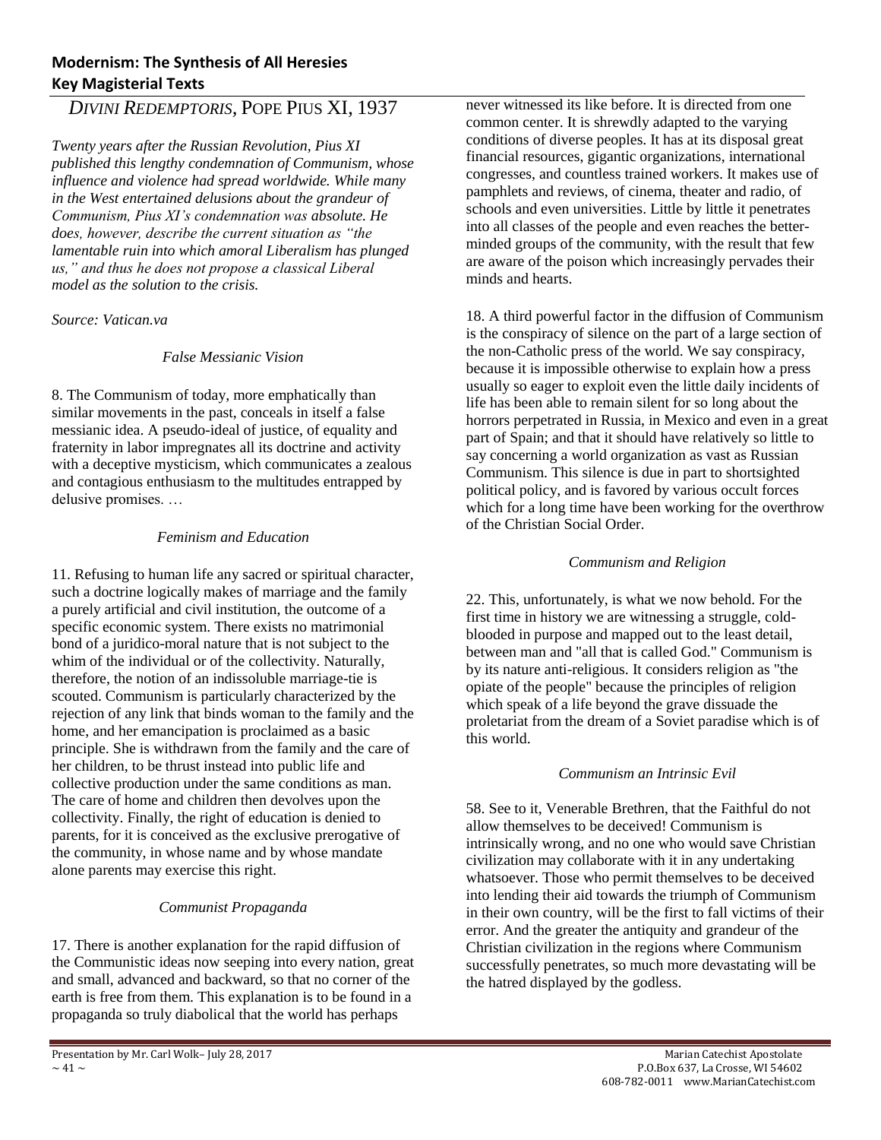# *DIVINI REDEMPTORIS,* POPE PIUS XI, 1937

*Twenty years after the Russian Revolution, Pius XI published this lengthy condemnation of Communism, whose influence and violence had spread worldwide. While many in the West entertained delusions about the grandeur of Communism, Pius XI's condemnation was absolute. He does, however, describe the current situation as "the lamentable ruin into which amoral Liberalism has plunged us," and thus he does not propose a classical Liberal model as the solution to the crisis.*

*Source: Vatican.va*

### *False Messianic Vision*

8. The Communism of today, more emphatically than similar movements in the past, conceals in itself a false messianic idea. A pseudo-ideal of justice, of equality and fraternity in labor impregnates all its doctrine and activity with a deceptive mysticism, which communicates a zealous and contagious enthusiasm to the multitudes entrapped by delusive promises. …

### *Feminism and Education*

11. Refusing to human life any sacred or spiritual character, such a doctrine logically makes of marriage and the family a purely artificial and civil institution, the outcome of a specific economic system. There exists no matrimonial bond of a juridico-moral nature that is not subject to the whim of the individual or of the collectivity. Naturally, therefore, the notion of an indissoluble marriage-tie is scouted. Communism is particularly characterized by the rejection of any link that binds woman to the family and the home, and her emancipation is proclaimed as a basic principle. She is withdrawn from the family and the care of her children, to be thrust instead into public life and collective production under the same conditions as man. The care of home and children then devolves upon the collectivity. Finally, the right of education is denied to parents, for it is conceived as the exclusive prerogative of the community, in whose name and by whose mandate alone parents may exercise this right.

### *Communist Propaganda*

17. There is another explanation for the rapid diffusion of the Communistic ideas now seeping into every nation, great and small, advanced and backward, so that no corner of the earth is free from them. This explanation is to be found in a propaganda so truly diabolical that the world has perhaps

never witnessed its like before. It is directed from one common center. It is shrewdly adapted to the varying conditions of diverse peoples. It has at its disposal great financial resources, gigantic organizations, international congresses, and countless trained workers. It makes use of pamphlets and reviews, of cinema, theater and radio, of schools and even universities. Little by little it penetrates into all classes of the people and even reaches the betterminded groups of the community, with the result that few are aware of the poison which increasingly pervades their minds and hearts.

18. A third powerful factor in the diffusion of Communism is the conspiracy of silence on the part of a large section of the non-Catholic press of the world. We say conspiracy, because it is impossible otherwise to explain how a press usually so eager to exploit even the little daily incidents of life has been able to remain silent for so long about the horrors perpetrated in Russia, in Mexico and even in a great part of Spain; and that it should have relatively so little to say concerning a world organization as vast as Russian Communism. This silence is due in part to shortsighted political policy, and is favored by various occult forces which for a long time have been working for the overthrow of the Christian Social Order.

#### *Communism and Religion*

22. This, unfortunately, is what we now behold. For the first time in history we are witnessing a struggle, coldblooded in purpose and mapped out to the least detail, between man and "all that is called God." Communism is by its nature anti-religious. It considers religion as "the opiate of the people" because the principles of religion which speak of a life beyond the grave dissuade the proletariat from the dream of a Soviet paradise which is of this world.

#### *Communism an Intrinsic Evil*

58. See to it, Venerable Brethren, that the Faithful do not allow themselves to be deceived! Communism is intrinsically wrong, and no one who would save Christian civilization may collaborate with it in any undertaking whatsoever. Those who permit themselves to be deceived into lending their aid towards the triumph of Communism in their own country, will be the first to fall victims of their error. And the greater the antiquity and grandeur of the Christian civilization in the regions where Communism successfully penetrates, so much more devastating will be the hatred displayed by the godless.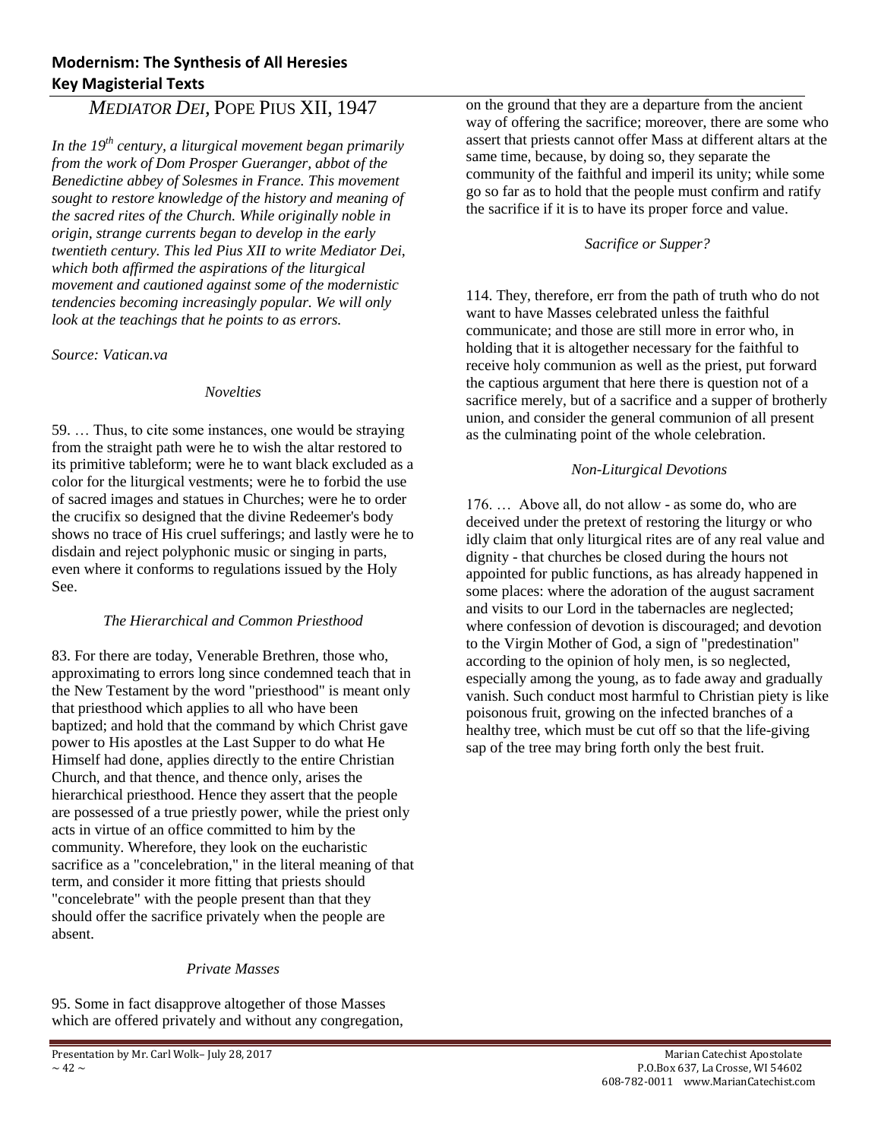# *MEDIATOR DEI,* POPE PIUS XII, 1947

*In the 19th century, a liturgical movement began primarily from the work of Dom Prosper Gueranger, abbot of the Benedictine abbey of Solesmes in France. This movement sought to restore knowledge of the history and meaning of the sacred rites of the Church. While originally noble in origin, strange currents began to develop in the early twentieth century. This led Pius XII to write Mediator Dei, which both affirmed the aspirations of the liturgical movement and cautioned against some of the modernistic tendencies becoming increasingly popular. We will only look at the teachings that he points to as errors.*

*Source: Vatican.va*

#### *Novelties*

59. … Thus, to cite some instances, one would be straying from the straight path were he to wish the altar restored to its primitive tableform; were he to want black excluded as a color for the liturgical vestments; were he to forbid the use of sacred images and statues in Churches; were he to order the crucifix so designed that the divine Redeemer's body shows no trace of His cruel sufferings; and lastly were he to disdain and reject polyphonic music or singing in parts, even where it conforms to regulations issued by the Holy See.

#### *The Hierarchical and Common Priesthood*

83. For there are today, Venerable Brethren, those who, approximating to errors long since condemned teach that in the New Testament by the word "priesthood" is meant only that priesthood which applies to all who have been baptized; and hold that the command by which Christ gave power to His apostles at the Last Supper to do what He Himself had done, applies directly to the entire Christian Church, and that thence, and thence only, arises the hierarchical priesthood. Hence they assert that the people are possessed of a true priestly power, while the priest only acts in virtue of an office committed to him by the community. Wherefore, they look on the eucharistic sacrifice as a "concelebration," in the literal meaning of that term, and consider it more fitting that priests should "concelebrate" with the people present than that they should offer the sacrifice privately when the people are absent.

### *Private Masses*

95. Some in fact disapprove altogether of those Masses which are offered privately and without any congregation, on the ground that they are a departure from the ancient way of offering the sacrifice; moreover, there are some who assert that priests cannot offer Mass at different altars at the same time, because, by doing so, they separate the community of the faithful and imperil its unity; while some go so far as to hold that the people must confirm and ratify the sacrifice if it is to have its proper force and value.

#### *Sacrifice or Supper?*

114. They, therefore, err from the path of truth who do not want to have Masses celebrated unless the faithful communicate; and those are still more in error who, in holding that it is altogether necessary for the faithful to receive holy communion as well as the priest, put forward the captious argument that here there is question not of a sacrifice merely, but of a sacrifice and a supper of brotherly union, and consider the general communion of all present as the culminating point of the whole celebration.

### *Non-Liturgical Devotions*

176. … Above all, do not allow - as some do, who are deceived under the pretext of restoring the liturgy or who idly claim that only liturgical rites are of any real value and dignity - that churches be closed during the hours not appointed for public functions, as has already happened in some places: where the adoration of the august sacrament and visits to our Lord in the tabernacles are neglected; where confession of devotion is discouraged; and devotion to the Virgin Mother of God, a sign of "predestination" according to the opinion of holy men, is so neglected, especially among the young, as to fade away and gradually vanish. Such conduct most harmful to Christian piety is like poisonous fruit, growing on the infected branches of a healthy tree, which must be cut off so that the life-giving sap of the tree may bring forth only the best fruit.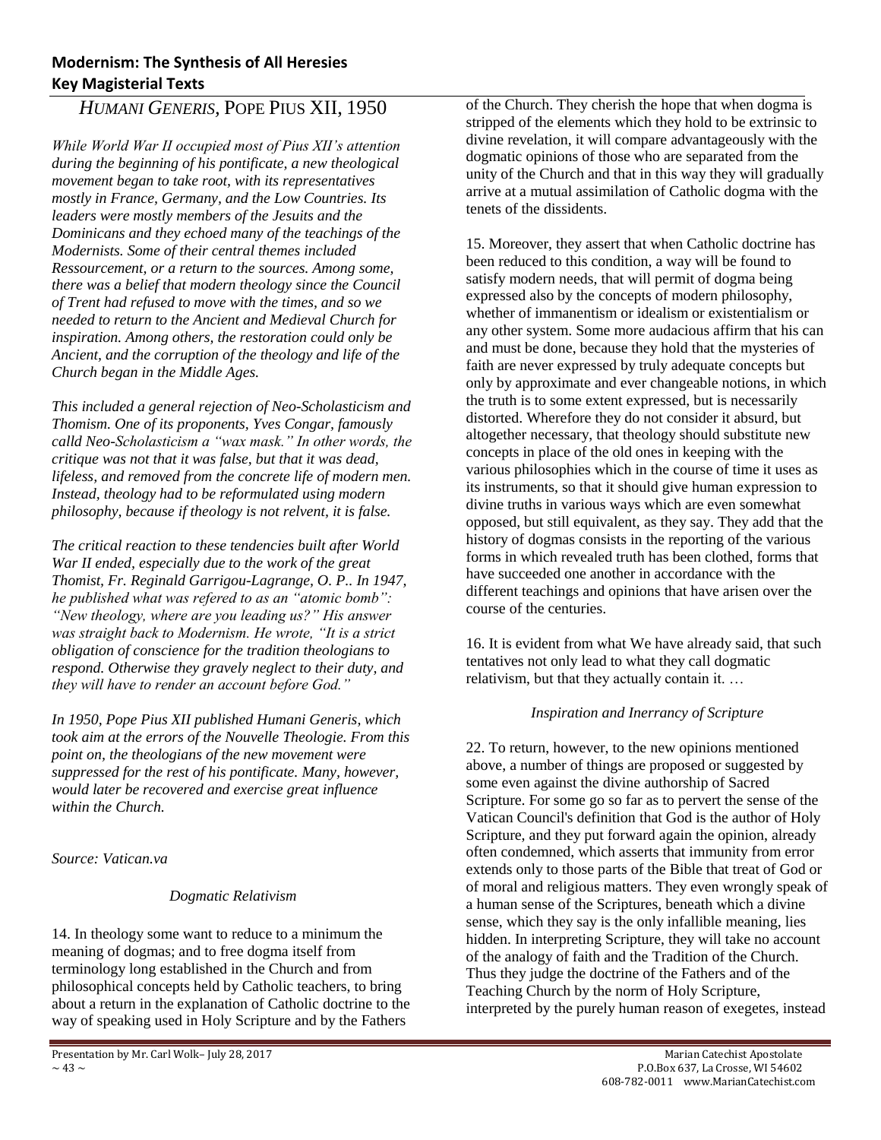### *HUMANI GENERIS,* POPE PIUS XII, 1950

*While World War II occupied most of Pius XII's attention during the beginning of his pontificate, a new theological movement began to take root, with its representatives mostly in France, Germany, and the Low Countries. Its leaders were mostly members of the Jesuits and the Dominicans and they echoed many of the teachings of the Modernists. Some of their central themes included Ressourcement, or a return to the sources. Among some, there was a belief that modern theology since the Council of Trent had refused to move with the times, and so we needed to return to the Ancient and Medieval Church for inspiration. Among others, the restoration could only be Ancient, and the corruption of the theology and life of the Church began in the Middle Ages.*

*This included a general rejection of Neo-Scholasticism and Thomism. One of its proponents, Yves Congar, famously calld Neo-Scholasticism a "wax mask." In other words, the critique was not that it was false, but that it was dead, lifeless, and removed from the concrete life of modern men. Instead, theology had to be reformulated using modern philosophy, because if theology is not relvent, it is false.*

*The critical reaction to these tendencies built after World War II ended, especially due to the work of the great Thomist, Fr. Reginald Garrigou-Lagrange, O. P.. In 1947, he published what was refered to as an "atomic bomb": "New theology, where are you leading us?" His answer was straight back to Modernism. He wrote, "It is a strict obligation of conscience for the tradition theologians to respond. Otherwise they gravely neglect to their duty, and they will have to render an account before God."*

*In 1950, Pope Pius XII published Humani Generis, which took aim at the errors of the Nouvelle Theologie. From this point on, the theologians of the new movement were suppressed for the rest of his pontificate. Many, however, would later be recovered and exercise great influence within the Church.*

*Source: Vatican.va*

### *Dogmatic Relativism*

14. In theology some want to reduce to a minimum the meaning of dogmas; and to free dogma itself from terminology long established in the Church and from philosophical concepts held by Catholic teachers, to bring about a return in the explanation of Catholic doctrine to the way of speaking used in Holy Scripture and by the Fathers

of the Church. They cherish the hope that when dogma is stripped of the elements which they hold to be extrinsic to divine revelation, it will compare advantageously with the dogmatic opinions of those who are separated from the unity of the Church and that in this way they will gradually arrive at a mutual assimilation of Catholic dogma with the tenets of the dissidents.

15. Moreover, they assert that when Catholic doctrine has been reduced to this condition, a way will be found to satisfy modern needs, that will permit of dogma being expressed also by the concepts of modern philosophy, whether of immanentism or idealism or existentialism or any other system. Some more audacious affirm that his can and must be done, because they hold that the mysteries of faith are never expressed by truly adequate concepts but only by approximate and ever changeable notions, in which the truth is to some extent expressed, but is necessarily distorted. Wherefore they do not consider it absurd, but altogether necessary, that theology should substitute new concepts in place of the old ones in keeping with the various philosophies which in the course of time it uses as its instruments, so that it should give human expression to divine truths in various ways which are even somewhat opposed, but still equivalent, as they say. They add that the history of dogmas consists in the reporting of the various forms in which revealed truth has been clothed, forms that have succeeded one another in accordance with the different teachings and opinions that have arisen over the course of the centuries.

16. It is evident from what We have already said, that such tentatives not only lead to what they call dogmatic relativism, but that they actually contain it. …

### *Inspiration and Inerrancy of Scripture*

22. To return, however, to the new opinions mentioned above, a number of things are proposed or suggested by some even against the divine authorship of Sacred Scripture. For some go so far as to pervert the sense of the Vatican Council's definition that God is the author of Holy Scripture, and they put forward again the opinion, already often condemned, which asserts that immunity from error extends only to those parts of the Bible that treat of God or of moral and religious matters. They even wrongly speak of a human sense of the Scriptures, beneath which a divine sense, which they say is the only infallible meaning, lies hidden. In interpreting Scripture, they will take no account of the analogy of faith and the Tradition of the Church. Thus they judge the doctrine of the Fathers and of the Teaching Church by the norm of Holy Scripture, interpreted by the purely human reason of exegetes, instead